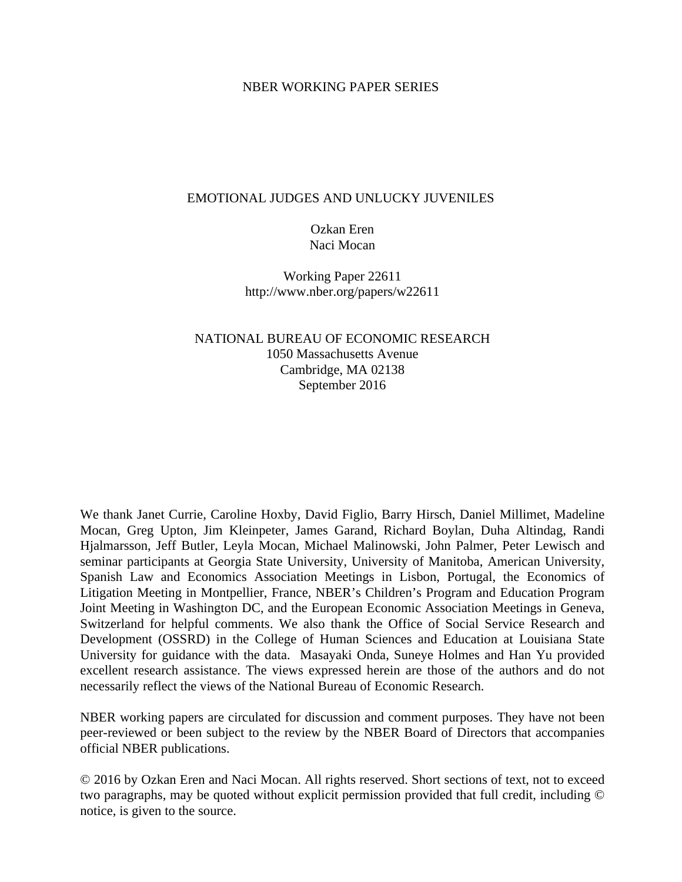# NBER WORKING PAPER SERIES

# EMOTIONAL JUDGES AND UNLUCKY JUVENILES

# Ozkan Eren Naci Mocan

Working Paper 22611 http://www.nber.org/papers/w22611

# NATIONAL BUREAU OF ECONOMIC RESEARCH 1050 Massachusetts Avenue Cambridge, MA 02138 September 2016

We thank Janet Currie, Caroline Hoxby, David Figlio, Barry Hirsch, Daniel Millimet, Madeline Mocan, Greg Upton, Jim Kleinpeter, James Garand, Richard Boylan, Duha Altindag, Randi Hjalmarsson, Jeff Butler, Leyla Mocan, Michael Malinowski, John Palmer, Peter Lewisch and seminar participants at Georgia State University, University of Manitoba, American University, Spanish Law and Economics Association Meetings in Lisbon, Portugal, the Economics of Litigation Meeting in Montpellier, France, NBER's Children's Program and Education Program Joint Meeting in Washington DC, and the European Economic Association Meetings in Geneva, Switzerland for helpful comments. We also thank the Office of Social Service Research and Development (OSSRD) in the College of Human Sciences and Education at Louisiana State University for guidance with the data. Masayaki Onda, Suneye Holmes and Han Yu provided excellent research assistance. The views expressed herein are those of the authors and do not necessarily reflect the views of the National Bureau of Economic Research.

NBER working papers are circulated for discussion and comment purposes. They have not been peer-reviewed or been subject to the review by the NBER Board of Directors that accompanies official NBER publications.

© 2016 by Ozkan Eren and Naci Mocan. All rights reserved. Short sections of text, not to exceed two paragraphs, may be quoted without explicit permission provided that full credit, including © notice, is given to the source.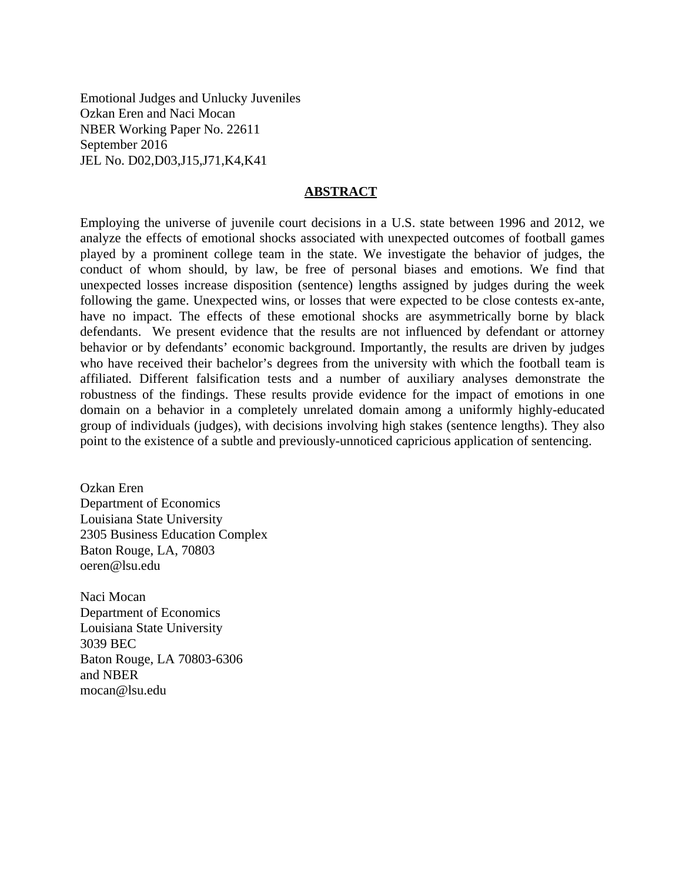Emotional Judges and Unlucky Juveniles Ozkan Eren and Naci Mocan NBER Working Paper No. 22611 September 2016 JEL No. D02,D03,J15,J71,K4,K41

#### **ABSTRACT**

Employing the universe of juvenile court decisions in a U.S. state between 1996 and 2012, we analyze the effects of emotional shocks associated with unexpected outcomes of football games played by a prominent college team in the state. We investigate the behavior of judges, the conduct of whom should, by law, be free of personal biases and emotions. We find that unexpected losses increase disposition (sentence) lengths assigned by judges during the week following the game. Unexpected wins, or losses that were expected to be close contests ex-ante, have no impact. The effects of these emotional shocks are asymmetrically borne by black defendants. We present evidence that the results are not influenced by defendant or attorney behavior or by defendants' economic background. Importantly, the results are driven by judges who have received their bachelor's degrees from the university with which the football team is affiliated. Different falsification tests and a number of auxiliary analyses demonstrate the robustness of the findings. These results provide evidence for the impact of emotions in one domain on a behavior in a completely unrelated domain among a uniformly highly-educated group of individuals (judges), with decisions involving high stakes (sentence lengths). They also point to the existence of a subtle and previously-unnoticed capricious application of sentencing.

Ozkan Eren Department of Economics Louisiana State University 2305 Business Education Complex Baton Rouge, LA, 70803 oeren@lsu.edu

Naci Mocan Department of Economics Louisiana State University 3039 BEC Baton Rouge, LA 70803-6306 and NBER mocan@lsu.edu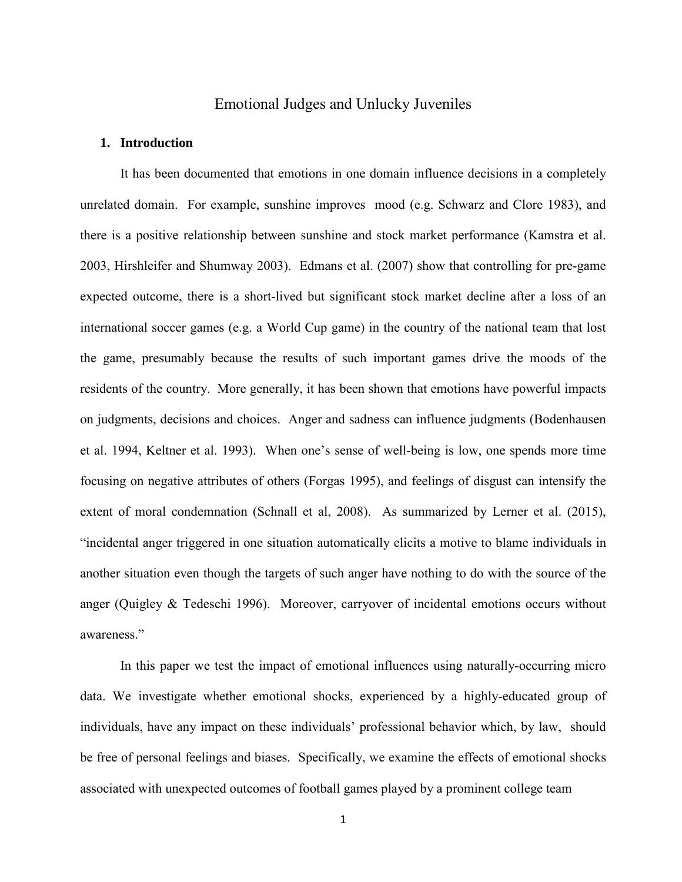# Emotional Judges and Unlucky Juveniles

#### **1. Introduction**

 It has been documented that emotions in one domain influence decisions in a completely unrelated domain. For example, sunshine improves mood (e.g. Schwarz and Clore 1983), and there is a positive relationship between sunshine and stock market performance (Kamstra et al. 2003, Hirshleifer and Shumway 2003). Edmans et al. (2007) show that controlling for pre-game expected outcome, there is a short-lived but significant stock market decline after a loss of an international soccer games (e.g. a World Cup game) in the country of the national team that lost the game, presumably because the results of such important games drive the moods of the residents of the country. More generally, it has been shown that emotions have powerful impacts on judgments, decisions and choices. Anger and sadness can influence judgments (Bodenhausen et al. 1994, Keltner et al. 1993). When one's sense of well-being is low, one spends more time focusing on negative attributes of others (Forgas 1995), and feelings of disgust can intensify the extent of moral condemnation (Schnall et al, 2008). As summarized by Lerner et al. (2015), "incidental anger triggered in one situation automatically elicits a motive to blame individuals in another situation even though the targets of such anger have nothing to do with the source of the anger (Quigley & Tedeschi 1996). Moreover, carryover of incidental emotions occurs without awareness."

In this paper we test the impact of emotional influences using naturally-occurring micro data. We investigate whether emotional shocks, experienced by a highly-educated group of individuals, have any impact on these individuals' professional behavior which, by law, should be free of personal feelings and biases. Specifically, we examine the effects of emotional shocks associated with unexpected outcomes of football games played by a prominent college team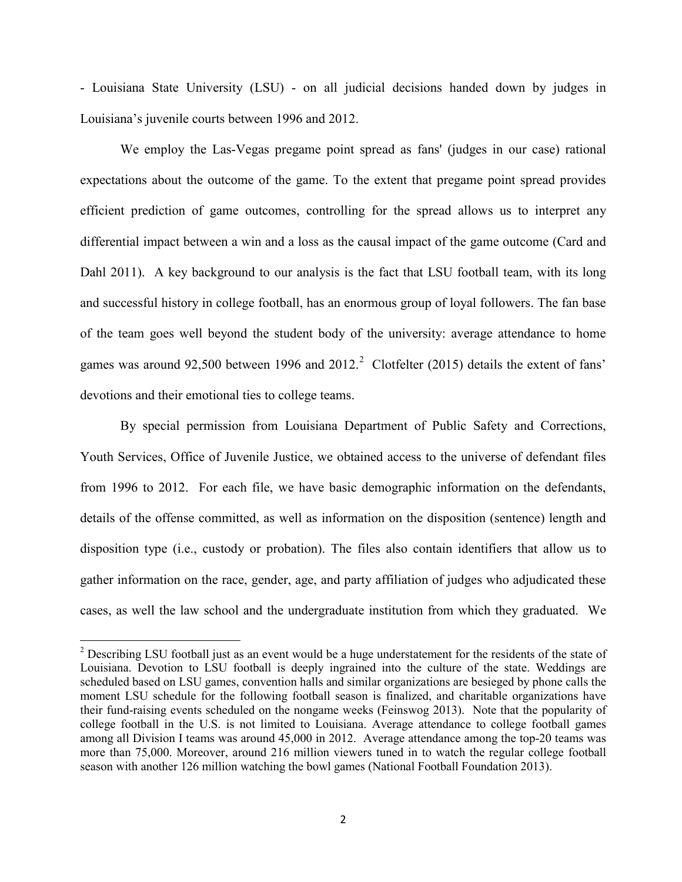- Louisiana State University (LSU) - on all judicial decisions handed down by judges in Louisiana's juvenile courts between 1996 and 2012.

We employ the Las-Vegas pregame point spread as fans' (judges in our case) rational expectations about the outcome of the game. To the extent that pregame point spread provides efficient prediction of game outcomes, controlling for the spread allows us to interpret any differential impact between a win and a loss as the causal impact of the game outcome (Card and Dahl 2011). A key background to our analysis is the fact that LSU football team, with its long and successful history in college football, has an enormous group of loyal followers. The fan base of the team goes well beyond the student body of the university: average attendance to home games was around 9[2](#page-4-0),500 between 1996 and 2012.<sup>2</sup> Clotfelter (2015) details the extent of fans' devotions and their emotional ties to college teams.

By special permission from Louisiana Department of Public Safety and Corrections, Youth Services, Office of Juvenile Justice, we obtained access to the universe of defendant files from 1996 to 2012. For each file, we have basic demographic information on the defendants, details of the offense committed, as well as information on the disposition (sentence) length and disposition type (i.e., custody or probation). The files also contain identifiers that allow us to gather information on the race, gender, age, and party affiliation of judges who adjudicated these cases, as well the law school and the undergraduate institution from which they graduated. We

 $\overline{\phantom{a}}$ 

 $2$  Describing LSU football just as an event would be a huge understatement for the residents of the state of Louisiana. Devotion to LSU football is deeply ingrained into the culture of the state. Weddings are scheduled based on LSU games, convention halls and similar organizations are besieged by phone calls the moment LSU schedule for the following football season is finalized, and charitable organizations have their fund-raising events scheduled on the nongame weeks (Feinswog 2013). Note that the popularity of college football in the U.S. is not limited to Louisiana. Average attendance to college football games among all Division I teams was around 45,000 in 2012. Average attendance among the top-20 teams was more than 75,000. Moreover, around 216 million viewers tuned in to watch the regular college football season with another 126 million watching the bowl games (National Football Foundation 2013).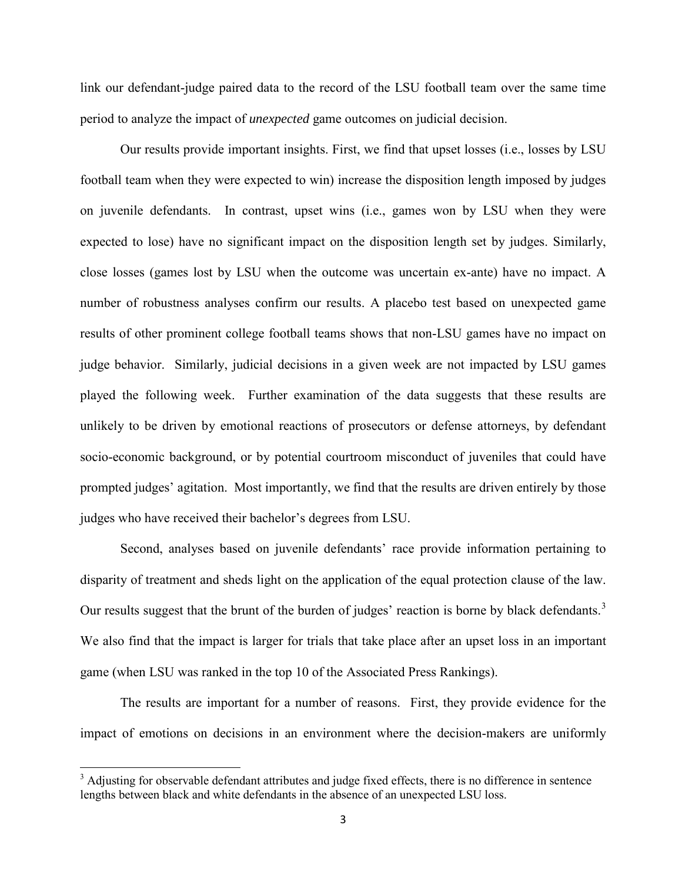link our defendant-judge paired data to the record of the LSU football team over the same time period to analyze the impact of *unexpected* game outcomes on judicial decision.

Our results provide important insights. First, we find that upset losses (i.e., losses by LSU football team when they were expected to win) increase the disposition length imposed by judges on juvenile defendants. In contrast, upset wins (i.e., games won by LSU when they were expected to lose) have no significant impact on the disposition length set by judges. Similarly, close losses (games lost by LSU when the outcome was uncertain ex-ante) have no impact. A number of robustness analyses confirm our results. A placebo test based on unexpected game results of other prominent college football teams shows that non-LSU games have no impact on judge behavior. Similarly, judicial decisions in a given week are not impacted by LSU games played the following week. Further examination of the data suggests that these results are unlikely to be driven by emotional reactions of prosecutors or defense attorneys, by defendant socio-economic background, or by potential courtroom misconduct of juveniles that could have prompted judges' agitation. Most importantly, we find that the results are driven entirely by those judges who have received their bachelor's degrees from LSU.

Second, analyses based on juvenile defendants' race provide information pertaining to disparity of treatment and sheds light on the application of the equal protection clause of the law. Our results suggest that the brunt of the burden of judges' reaction is borne by black defendants.<sup>[3](#page-6-0)</sup> We also find that the impact is larger for trials that take place after an upset loss in an important game (when LSU was ranked in the top 10 of the Associated Press Rankings).

<span id="page-4-0"></span>The results are important for a number of reasons. First, they provide evidence for the impact of emotions on decisions in an environment where the decision-makers are uniformly

l

<sup>&</sup>lt;sup>3</sup> Adjusting for observable defendant attributes and judge fixed effects, there is no difference in sentence lengths between black and white defendants in the absence of an unexpected LSU loss.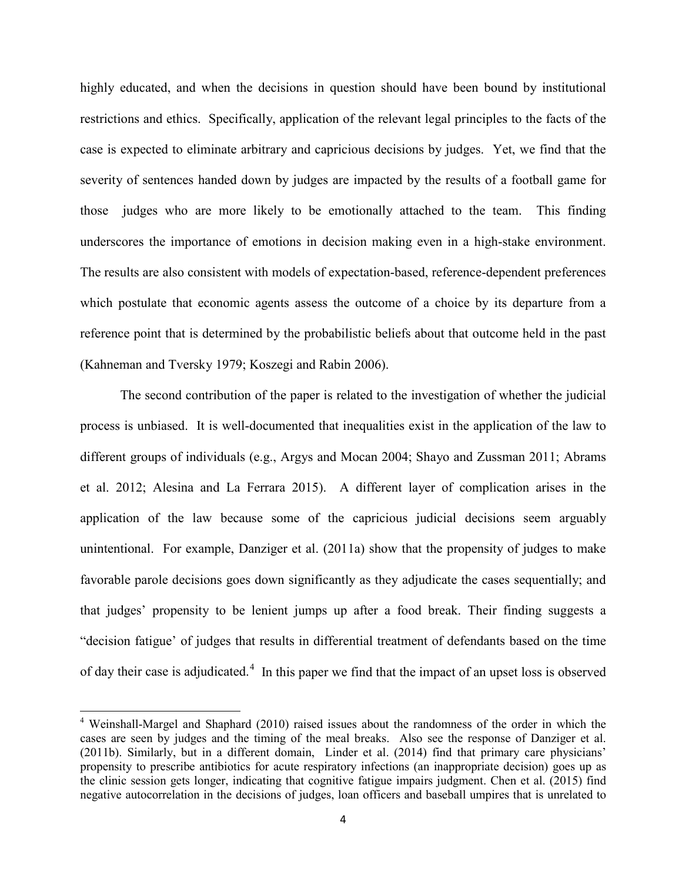highly educated, and when the decisions in question should have been bound by institutional restrictions and ethics. Specifically, application of the relevant legal principles to the facts of the case is expected to eliminate arbitrary and capricious decisions by judges. Yet, we find that the severity of sentences handed down by judges are impacted by the results of a football game for those judges who are more likely to be emotionally attached to the team. This finding underscores the importance of emotions in decision making even in a high-stake environment. The results are also consistent with models of expectation-based, reference-dependent preferences which postulate that economic agents assess the outcome of a choice by its departure from a reference point that is determined by the probabilistic beliefs about that outcome held in the past (Kahneman and Tversky 1979; Koszegi and Rabin 2006).

The second contribution of the paper is related to the investigation of whether the judicial process is unbiased. It is well-documented that inequalities exist in the application of the law to different groups of individuals (e.g., Argys and Mocan 2004; Shayo and Zussman 2011; Abrams et al. 2012; Alesina and La Ferrara 2015). A different layer of complication arises in the application of the law because some of the capricious judicial decisions seem arguably unintentional. For example, Danziger et al. (2011a) show that the propensity of judges to make favorable parole decisions goes down significantly as they adjudicate the cases sequentially; and that judges' propensity to be lenient jumps up after a food break. Their finding suggests a "decision fatigue' of judges that results in differential treatment of defendants based on the time of day their case is adjudicated.<sup>[4](#page-7-0)</sup> In this paper we find that the impact of an upset loss is observed

 $\overline{\phantom{a}}$ 

<sup>4</sup> Weinshall-Margel and Shaphard (2010) raised issues about the randomness of the order in which the cases are seen by judges and the timing of the meal breaks. Also see the response of Danziger et al. (2011b). Similarly, but in a different domain, Linder et al. (2014) find that primary care physicians' propensity to prescribe antibiotics for acute respiratory infections (an inappropriate decision) goes up as the clinic session gets longer, indicating that cognitive fatigue impairs judgment. Chen et al. (2015) find negative autocorrelation in the decisions of judges, loan officers and baseball umpires that is unrelated to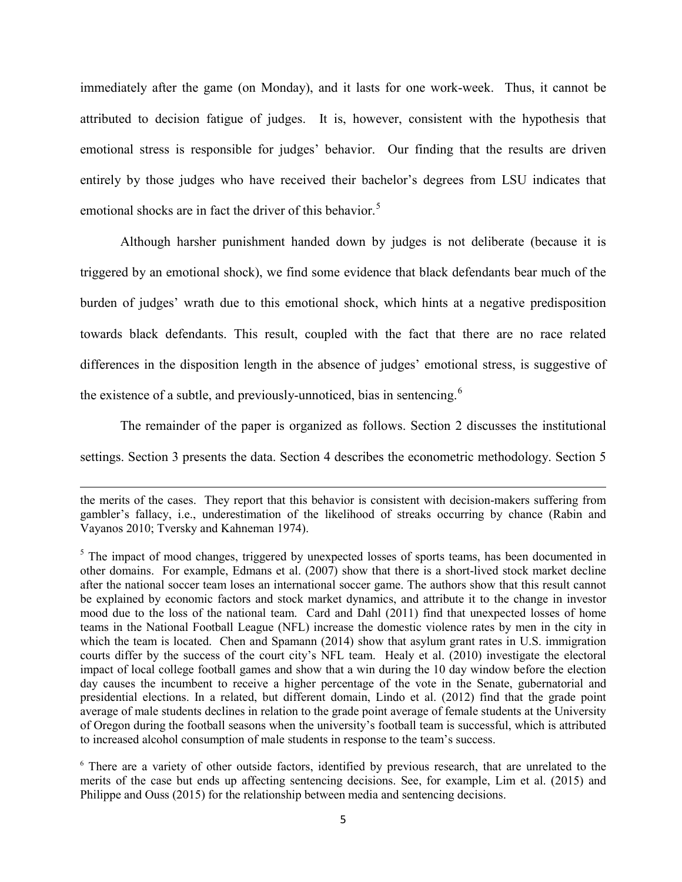immediately after the game (on Monday), and it lasts for one work-week. Thus, it cannot be attributed to decision fatigue of judges. It is, however, consistent with the hypothesis that emotional stress is responsible for judges' behavior. Our finding that the results are driven entirely by those judges who have received their bachelor's degrees from LSU indicates that emotional shocks are in fact the driver of this behavior.<sup>[5](#page-7-1)</sup>

Although harsher punishment handed down by judges is not deliberate (because it is triggered by an emotional shock), we find some evidence that black defendants bear much of the burden of judges' wrath due to this emotional shock, which hints at a negative predisposition towards black defendants. This result, coupled with the fact that there are no race related differences in the disposition length in the absence of judges' emotional stress, is suggestive of the existence of a subtle, and previously-unnoticed, bias in sentencing.<sup>[6](#page-8-0)</sup>

The remainder of the paper is organized as follows. Section 2 discusses the institutional settings. Section 3 presents the data. Section 4 describes the econometric methodology. Section 5

 $\overline{\phantom{a}}$ 

the merits of the cases. They report that this behavior is consistent with decision-makers suffering from gambler's fallacy, i.e., underestimation of the likelihood of streaks occurring by chance (Rabin and Vayanos 2010; Tversky and Kahneman 1974).

<sup>&</sup>lt;sup>5</sup> The impact of mood changes, triggered by unexpected losses of sports teams, has been documented in other domains. For example, Edmans et al. (2007) show that there is a short-lived stock market decline after the national soccer team loses an international soccer game. The authors show that this result cannot be explained by economic factors and stock market dynamics, and attribute it to the change in investor mood due to the loss of the national team. Card and Dahl (2011) find that unexpected losses of home teams in the National Football League (NFL) increase the domestic violence rates by men in the city in which the team is located. Chen and Spamann (2014) show that asylum grant rates in U.S. immigration courts differ by the success of the court city's NFL team. Healy et al. (2010) investigate the electoral impact of local college football games and show that a win during the 10 day window before the election day causes the incumbent to receive a higher percentage of the vote in the Senate, gubernatorial and presidential elections. In a related, but different domain, Lindo et al. (2012) find that the grade point average of male students declines in relation to the grade point average of female students at the University of Oregon during the football seasons when the university's football team is successful, which is attributed to increased alcohol consumption of male students in response to the team's success.

<span id="page-6-0"></span><sup>&</sup>lt;sup>6</sup> There are a variety of other outside factors, identified by previous research, that are unrelated to the merits of the case but ends up affecting sentencing decisions. See, for example, Lim et al. (2015) and Philippe and Ouss (2015) for the relationship between media and sentencing decisions.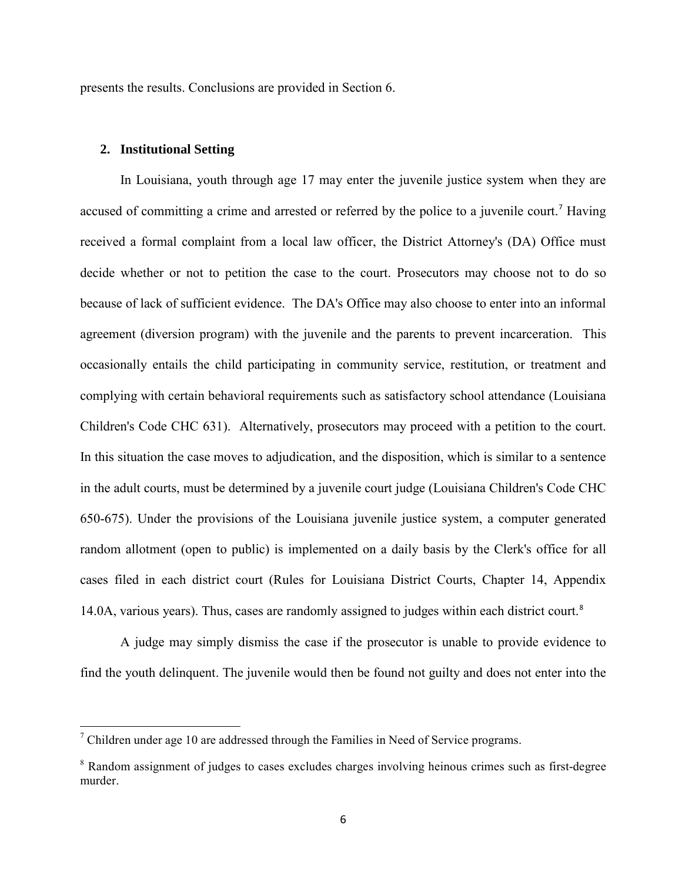presents the results. Conclusions are provided in Section 6.

# **2. Institutional Setting**

l

In Louisiana, youth through age 17 may enter the juvenile justice system when they are accused of committing a crime and arrested or referred by the police to a juvenile court.<sup>[7](#page-9-0)</sup> Having received a formal complaint from a local law officer, the District Attorney's (DA) Office must decide whether or not to petition the case to the court. Prosecutors may choose not to do so because of lack of sufficient evidence. The DA's Office may also choose to enter into an informal agreement (diversion program) with the juvenile and the parents to prevent incarceration. This occasionally entails the child participating in community service, restitution, or treatment and complying with certain behavioral requirements such as satisfactory school attendance (Louisiana Children's Code CHC 631). Alternatively, prosecutors may proceed with a petition to the court. In this situation the case moves to adjudication, and the disposition, which is similar to a sentence in the adult courts, must be determined by a juvenile court judge (Louisiana Children's Code CHC 650-675). Under the provisions of the Louisiana juvenile justice system, a computer generated random allotment (open to public) is implemented on a daily basis by the Clerk's office for all cases filed in each district court (Rules for Louisiana District Courts, Chapter 14, Appendix 14.0A, various years). Thus, cases are randomly assigned to judges within each district court.<sup>[8](#page-9-1)</sup>

<span id="page-7-0"></span>A judge may simply dismiss the case if the prosecutor is unable to provide evidence to find the youth delinquent. The juvenile would then be found not guilty and does not enter into the

<span id="page-7-1"></span><sup>&</sup>lt;sup>7</sup> Children under age 10 are addressed through the Families in Need of Service programs.

<sup>&</sup>lt;sup>8</sup> Random assignment of judges to cases excludes charges involving heinous crimes such as first-degree murder.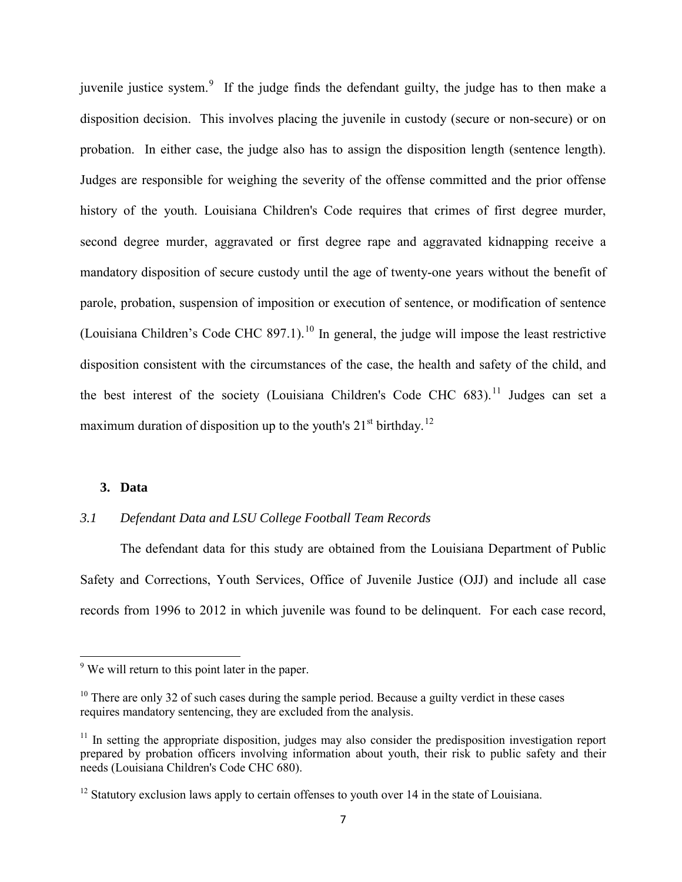juvenile justice system.<sup>[9](#page-9-2)</sup> If the judge finds the defendant guilty, the judge has to then make a disposition decision. This involves placing the juvenile in custody (secure or non-secure) or on probation. In either case, the judge also has to assign the disposition length (sentence length). Judges are responsible for weighing the severity of the offense committed and the prior offense history of the youth. Louisiana Children's Code requires that crimes of first degree murder, second degree murder, aggravated or first degree rape and aggravated kidnapping receive a mandatory disposition of secure custody until the age of twenty-one years without the benefit of parole, probation, suspension of imposition or execution of sentence, or modification of sentence (Louisiana Children's Code CHC 897.1).<sup>[10](#page-10-0)</sup> In general, the judge will impose the least restrictive disposition consistent with the circumstances of the case, the health and safety of the child, and the best interest of the society (Louisiana Children's Code CHC  $683$ ).<sup>[11](#page-10-1)</sup> Judges can set a maximum duration of disposition up to the youth's  $21<sup>st</sup>$  birthday.<sup>[12](#page-10-2)</sup>

## **3. Data**

 $\overline{\phantom{a}}$ 

# *3.1 Defendant Data and LSU College Football Team Records*

The defendant data for this study are obtained from the Louisiana Department of Public Safety and Corrections, Youth Services, Office of Juvenile Justice (OJJ) and include all case records from 1996 to 2012 in which juvenile was found to be delinquent. For each case record,

 $9$ <sup>9</sup> We will return to this point later in the paper.

 $10$  There are only 32 of such cases during the sample period. Because a guilty verdict in these cases requires mandatory sentencing, they are excluded from the analysis.

 $11$  In setting the appropriate disposition, judges may also consider the predisposition investigation report prepared by probation officers involving information about youth, their risk to public safety and their needs (Louisiana Children's Code CHC 680).

<span id="page-8-0"></span> $12$  Statutory exclusion laws apply to certain offenses to youth over 14 in the state of Louisiana.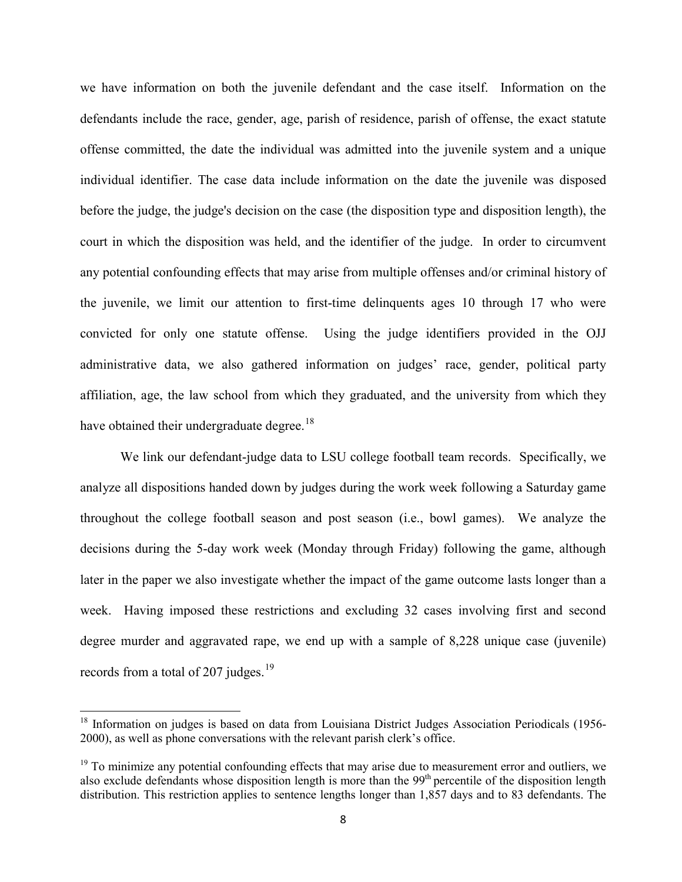we have information on both the juvenile defendant and the case itself. Information on the defendants include the race, gender, age, parish of residence, parish of offense, the exact statute offense committed, the date the individual was admitted into the juvenile system and a unique individual identifier. The case data include information on the date the juvenile was disposed before the judge, the judge's decision on the case (the disposition type and disposition length), the court in which the disposition was held, and the identifier of the judge. In order to circumvent any potential confounding effects that may arise from multiple offenses and/or criminal history of the juvenile, we limit our attention to first-time delinquents ages 10 through 17 who were convicted for only one statute offense. Using the judge identifiers provided in the OJJ administrative data, we also gathered information on judges' race, gender, political party affiliation, age, the law school from which they graduated, and the university from which they have obtained their undergraduate degree.<sup>[18](#page-12-0)</sup>

We link our defendant-judge data to LSU college football team records. Specifically, we analyze all dispositions handed down by judges during the work week following a Saturday game throughout the college football season and post season (i.e., bowl games). We analyze the decisions during the 5-day work week (Monday through Friday) following the game, although later in the paper we also investigate whether the impact of the game outcome lasts longer than a week. Having imposed these restrictions and excluding 32 cases involving first and second degree murder and aggravated rape, we end up with a sample of 8,228 unique case (juvenile) records from a total of 207 judges. $19$ 

 $\overline{\phantom{a}}$ 

<span id="page-9-1"></span><span id="page-9-0"></span><sup>&</sup>lt;sup>18</sup> Information on judges is based on data from Louisiana District Judges Association Periodicals (1956-2000), as well as phone conversations with the relevant parish clerk's office.

<span id="page-9-2"></span> $19$  To minimize any potential confounding effects that may arise due to measurement error and outliers, we also exclude defendants whose disposition length is more than the 99<sup>th</sup> percentile of the disposition length distribution. This restriction applies to sentence lengths longer than 1,857 days and to 83 defendants. The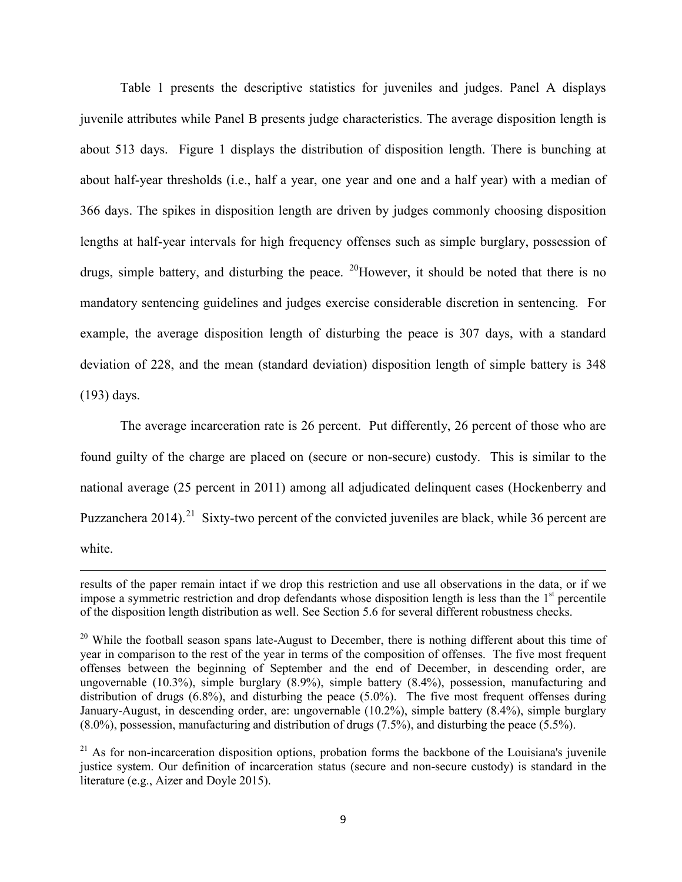Table 1 presents the descriptive statistics for juveniles and judges. Panel A displays juvenile attributes while Panel B presents judge characteristics. The average disposition length is about 513 days. Figure 1 displays the distribution of disposition length. There is bunching at about half-year thresholds (i.e., half a year, one year and one and a half year) with a median of 366 days. The spikes in disposition length are driven by judges commonly choosing disposition lengths at half-year intervals for high frequency offenses such as simple burglary, possession of drugs, simple battery, and disturbing the peace. <sup>20</sup>However, it should be noted that there is no mandatory sentencing guidelines and judges exercise considerable discretion in sentencing. For example, the average disposition length of disturbing the peace is 307 days, with a standard deviation of 228, and the mean (standard deviation) disposition length of simple battery is 348 (193) days.

 The average incarceration rate is 26 percent. Put differently, 26 percent of those who are found guilty of the charge are placed on (secure or non-secure) custody. This is similar to the national average (25 percent in 2011) among all adjudicated delinquent cases (Hockenberry and Puzzanchera 2014).<sup>[21](#page-14-0)</sup> Sixty-two percent of the convicted juveniles are black, while 36 percent are white.

l

results of the paper remain intact if we drop this restriction and use all observations in the data, or if we impose a symmetric restriction and drop defendants whose disposition length is less than the  $1<sup>st</sup>$  percentile of the disposition length distribution as well. See Section 5.6 for several different robustness checks.

<span id="page-10-0"></span> $20$  While the football season spans late-August to December, there is nothing different about this time of year in comparison to the rest of the year in terms of the composition of offenses. The five most frequent offenses between the beginning of September and the end of December, in descending order, are ungovernable (10.3%), simple burglary (8.9%), simple battery (8.4%), possession, manufacturing and distribution of drugs (6.8%), and disturbing the peace (5.0%). The five most frequent offenses during January-August, in descending order, are: ungovernable (10.2%), simple battery (8.4%), simple burglary (8.0%), possession, manufacturing and distribution of drugs (7.5%), and disturbing the peace (5.5%).

<span id="page-10-2"></span><span id="page-10-1"></span> $21$  As for non-incarceration disposition options, probation forms the backbone of the Louisiana's juvenile justice system. Our definition of incarceration status (secure and non-secure custody) is standard in the literature (e.g., Aizer and Doyle 2015).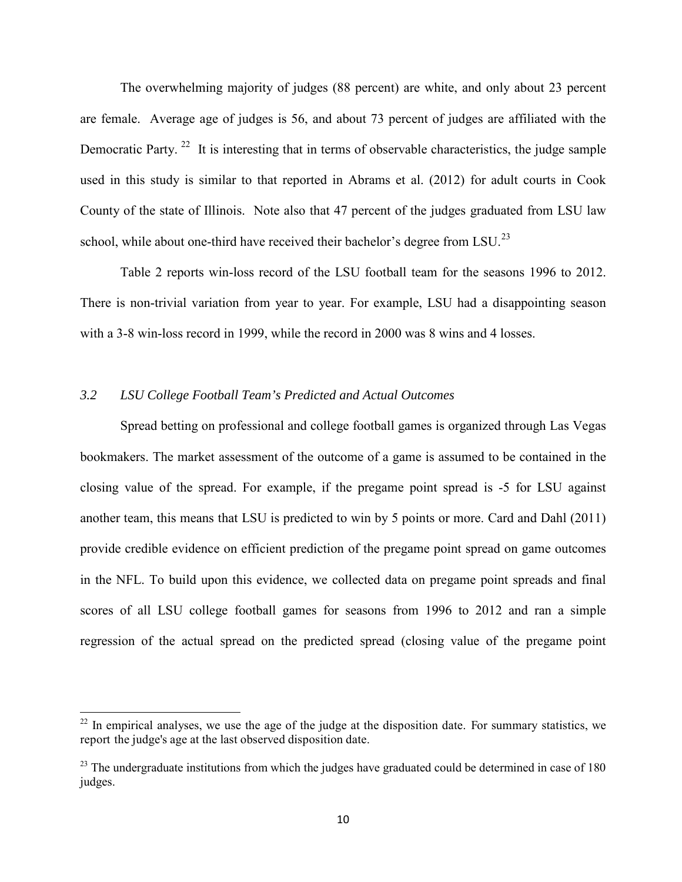The overwhelming majority of judges (88 percent) are white, and only about 23 percent are female. Average age of judges is 56, and about 73 percent of judges are affiliated with the Democratic Party.<sup>22</sup> It is interesting that in terms of observable characteristics, the judge sample used in this study is similar to that reported in Abrams et al. (2012) for adult courts in Cook County of the state of Illinois. Note also that 47 percent of the judges graduated from LSU law school, while about one-third have received their bachelor's degree from LSU.<sup>23</sup>

Table 2 reports win-loss record of the LSU football team for the seasons 1996 to 2012. There is non-trivial variation from year to year. For example, LSU had a disappointing season with a 3-8 win-loss record in 1999, while the record in 2000 was 8 wins and 4 losses.

# *3.2 LSU College Football Team's Predicted and Actual Outcomes*

l

Spread betting on professional and college football games is organized through Las Vegas bookmakers. The market assessment of the outcome of a game is assumed to be contained in the closing value of the spread. For example, if the pregame point spread is -5 for LSU against another team, this means that LSU is predicted to win by 5 points or more. Card and Dahl (2011) provide credible evidence on efficient prediction of the pregame point spread on game outcomes in the NFL. To build upon this evidence, we collected data on pregame point spreads and final scores of all LSU college football games for seasons from 1996 to 2012 and ran a simple regression of the actual spread on the predicted spread (closing value of the pregame point

 $22$  In empirical analyses, we use the age of the judge at the disposition date. For summary statistics, we report the judge's age at the last observed disposition date.

<span id="page-11-0"></span> $^{23}$  The undergraduate institutions from which the judges have graduated could be determined in case of 180 judges.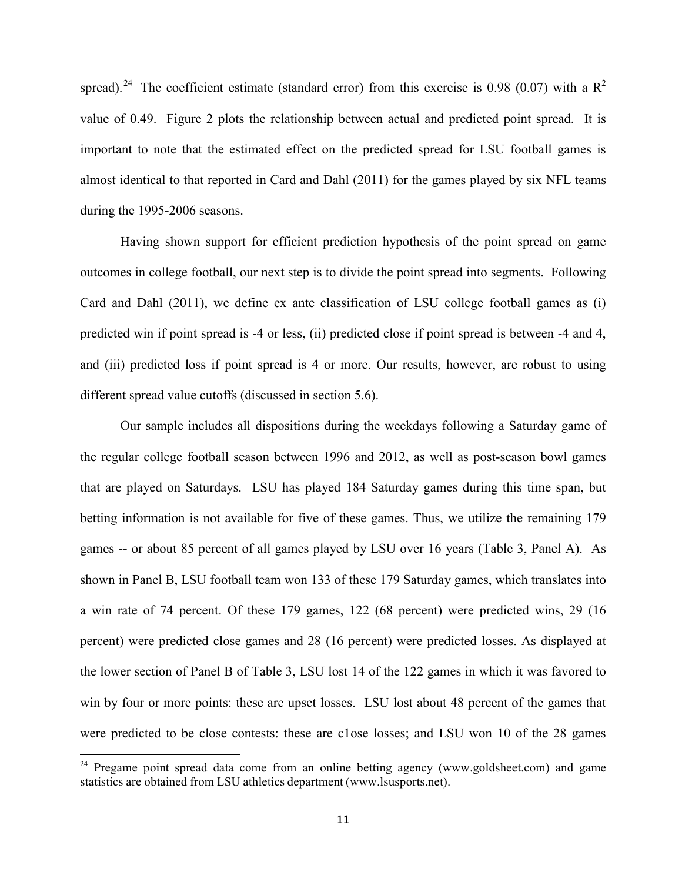spread).<sup>[24](#page-15-0)</sup> The coefficient estimate (standard error) from this exercise is 0.98 (0.07) with a  $\mathbb{R}^2$ value of 0.49. Figure 2 plots the relationship between actual and predicted point spread. It is important to note that the estimated effect on the predicted spread for LSU football games is almost identical to that reported in Card and Dahl (2011) for the games played by six NFL teams during the 1995-2006 seasons.

Having shown support for efficient prediction hypothesis of the point spread on game outcomes in college football, our next step is to divide the point spread into segments. Following Card and Dahl (2011), we define ex ante classification of LSU college football games as (i) predicted win if point spread is -4 or less, (ii) predicted close if point spread is between -4 and 4, and (iii) predicted loss if point spread is 4 or more. Our results, however, are robust to using different spread value cutoffs (discussed in section 5.6).

Our sample includes all dispositions during the weekdays following a Saturday game of the regular college football season between 1996 and 2012, as well as post-season bowl games that are played on Saturdays. LSU has played 184 Saturday games during this time span, but betting information is not available for five of these games. Thus, we utilize the remaining 179 games -- or about 85 percent of all games played by LSU over 16 years (Table 3, Panel A). As shown in Panel B, LSU football team won 133 of these 179 Saturday games, which translates into a win rate of 74 percent. Of these 179 games, 122 (68 percent) were predicted wins, 29 (16 percent) were predicted close games and 28 (16 percent) were predicted losses. As displayed at the lower section of Panel B of Table 3, LSU lost 14 of the 122 games in which it was favored to win by four or more points: these are upset losses. LSU lost about 48 percent of the games that were predicted to be close contests: these are c1ose losses; and LSU won 10 of the 28 games

 $\overline{\phantom{a}}$ 

<span id="page-12-0"></span><sup>&</sup>lt;sup>24</sup> Pregame point spread data come from an online betting agency (www.goldsheet.com) and game statistics are obtained from LSU athletics department (www.lsusports.net).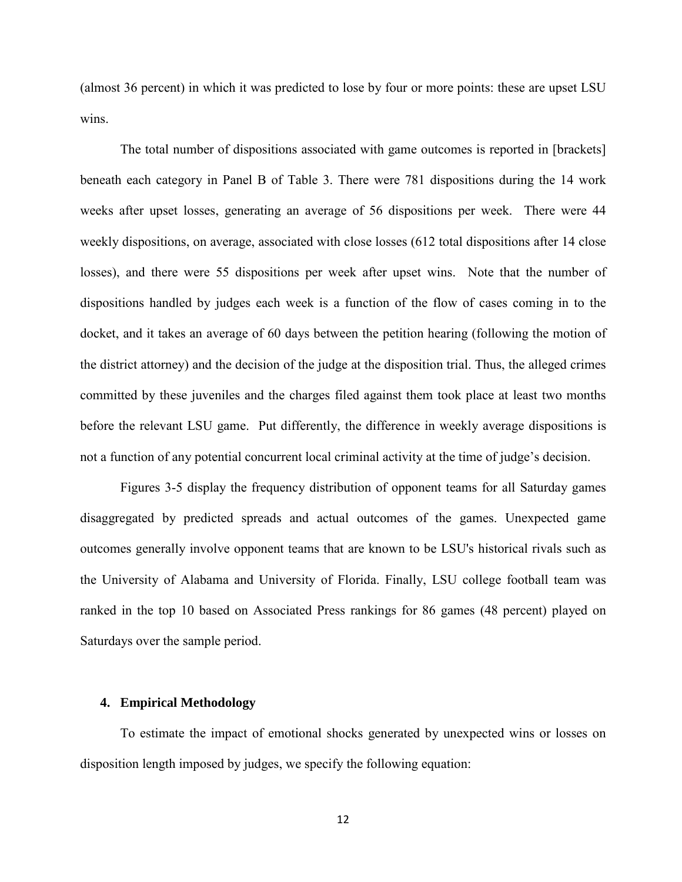(almost 36 percent) in which it was predicted to lose by four or more points: these are upset LSU wins.

The total number of dispositions associated with game outcomes is reported in [brackets] beneath each category in Panel B of Table 3. There were 781 dispositions during the 14 work weeks after upset losses, generating an average of 56 dispositions per week. There were 44 weekly dispositions, on average, associated with close losses (612 total dispositions after 14 close losses), and there were 55 dispositions per week after upset wins. Note that the number of dispositions handled by judges each week is a function of the flow of cases coming in to the docket, and it takes an average of 60 days between the petition hearing (following the motion of the district attorney) and the decision of the judge at the disposition trial. Thus, the alleged crimes committed by these juveniles and the charges filed against them took place at least two months before the relevant LSU game. Put differently, the difference in weekly average dispositions is not a function of any potential concurrent local criminal activity at the time of judge's decision.

<span id="page-13-0"></span>Figures 3-5 display the frequency distribution of opponent teams for all Saturday games disaggregated by predicted spreads and actual outcomes of the games. Unexpected game outcomes generally involve opponent teams that are known to be LSU's historical rivals such as the University of Alabama and University of Florida. Finally, LSU college football team was ranked in the top 10 based on Associated Press rankings for 86 games (48 percent) played on Saturdays over the sample period.

# **4. Empirical Methodology**

<span id="page-13-1"></span>To estimate the impact of emotional shocks generated by unexpected wins or losses on disposition length imposed by judges, we specify the following equation: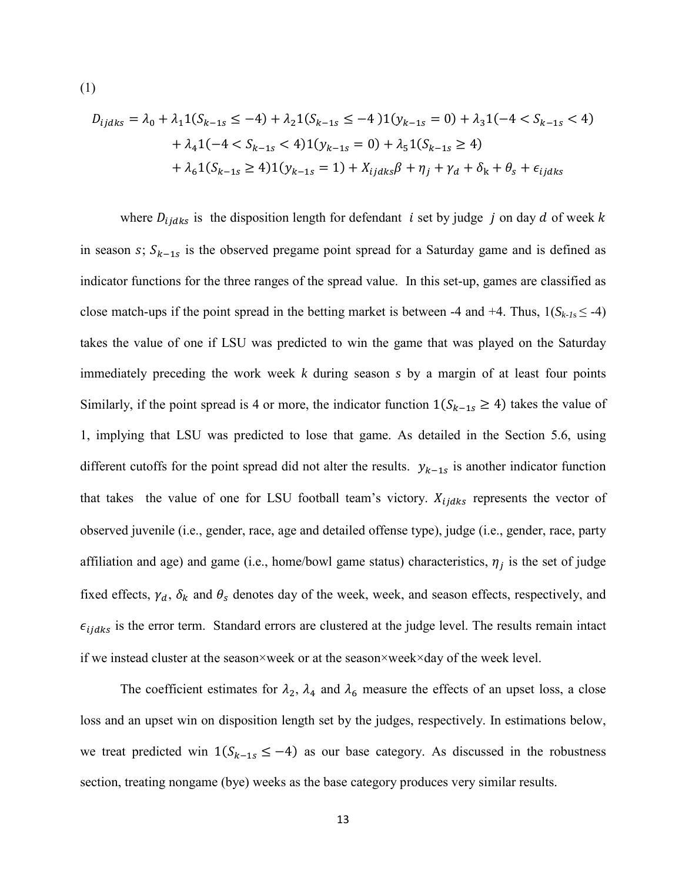$$
D_{ijdks} = \lambda_0 + \lambda_1 1(S_{k-1s} \le -4) + \lambda_2 1(S_{k-1s} \le -4) 1(y_{k-1s} = 0) + \lambda_3 1(-4 < S_{k-1s} < 4) \\
+ \lambda_4 1(-4 < S_{k-1s} < 4) 1(y_{k-1s} = 0) + \lambda_5 1(S_{k-1s} \ge 4) \\
+ \lambda_6 1(S_{k-1s} \ge 4) 1(y_{k-1s} = 1) + X_{ijdks} \beta + \eta_j + \gamma_d + \delta_k + \theta_s + \epsilon_{ijdks}
$$

(1)

where  $D_{ijdks}$  is the disposition length for defendant *i* set by judge *j* on day *d* of week *k* in season s;  $S_{k-1s}$  is the observed pregame point spread for a Saturday game and is defined as indicator functions for the three ranges of the spread value. In this set-up, games are classified as close match-ups if the point spread in the betting market is between -4 and +4. Thus,  $1(S_{k-1} s \le -4)$ takes the value of one if LSU was predicted to win the game that was played on the Saturday immediately preceding the work week *k* during season *s* by a margin of at least four points Similarly, if the point spread is 4 or more, the indicator function  $1(S_{k-1,s} \geq 4)$  takes the value of 1, implying that LSU was predicted to lose that game. As detailed in the Section 5.6, using different cutoffs for the point spread did not alter the results.  $y_{k-1,s}$  is another indicator function that takes the value of one for LSU football team's victory.  $X_{ijdks}$  represents the vector of observed juvenile (i.e., gender, race, age and detailed offense type), judge (i.e., gender, race, party affiliation and age) and game (i.e., home/bowl game status) characteristics,  $\eta_i$  is the set of judge fixed effects,  $\gamma_d$ ,  $\delta_k$  and  $\theta_s$  denotes day of the week, week, and season effects, respectively, and  $\epsilon_{ijdks}$  is the error term. Standard errors are clustered at the judge level. The results remain intact if we instead cluster at the season×week or at the season×week×day of the week level.

<span id="page-14-1"></span><span id="page-14-0"></span>The coefficient estimates for  $\lambda_2$ ,  $\lambda_4$  and  $\lambda_6$  measure the effects of an upset loss, a close loss and an upset win on disposition length set by the judges, respectively. In estimations below, we treat predicted win  $1(S_{k-1,s} \leq -4)$  as our base category. As discussed in the robustness section, treating nongame (bye) weeks as the base category produces very similar results.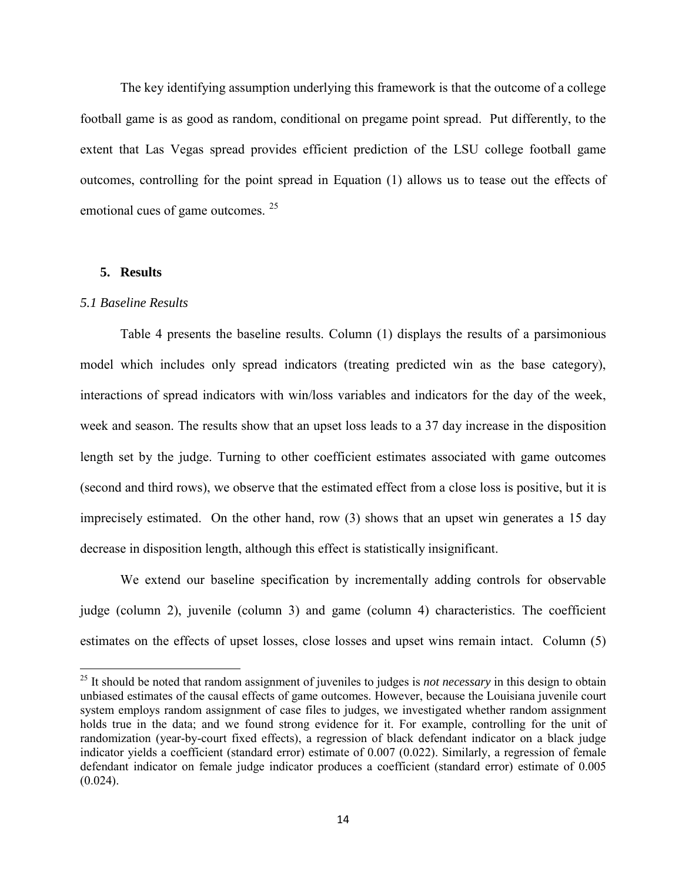The key identifying assumption underlying this framework is that the outcome of a college football game is as good as random, conditional on pregame point spread. Put differently, to the extent that Las Vegas spread provides efficient prediction of the LSU college football game outcomes, controlling for the point spread in Equation (1) allows us to tease out the effects of emotional cues of game outcomes. <sup>[25](#page-18-0)</sup>

#### **5. Results**

#### *5.1 Baseline Results*

l

Table 4 presents the baseline results. Column (1) displays the results of a parsimonious model which includes only spread indicators (treating predicted win as the base category), interactions of spread indicators with win/loss variables and indicators for the day of the week, week and season. The results show that an upset loss leads to a 37 day increase in the disposition length set by the judge. Turning to other coefficient estimates associated with game outcomes (second and third rows), we observe that the estimated effect from a close loss is positive, but it is imprecisely estimated. On the other hand, row (3) shows that an upset win generates a 15 day decrease in disposition length, although this effect is statistically insignificant.

We extend our baseline specification by incrementally adding controls for observable judge (column 2), juvenile (column 3) and game (column 4) characteristics. The coefficient estimates on the effects of upset losses, close losses and upset wins remain intact. Column (5)

<span id="page-15-0"></span><sup>25</sup> It should be noted that random assignment of juveniles to judges is *not necessary* in this design to obtain unbiased estimates of the causal effects of game outcomes. However, because the Louisiana juvenile court system employs random assignment of case files to judges, we investigated whether random assignment holds true in the data; and we found strong evidence for it. For example, controlling for the unit of randomization (year-by-court fixed effects), a regression of black defendant indicator on a black judge indicator yields a coefficient (standard error) estimate of 0.007 (0.022). Similarly, a regression of female defendant indicator on female judge indicator produces a coefficient (standard error) estimate of 0.005  $(0.024)$ .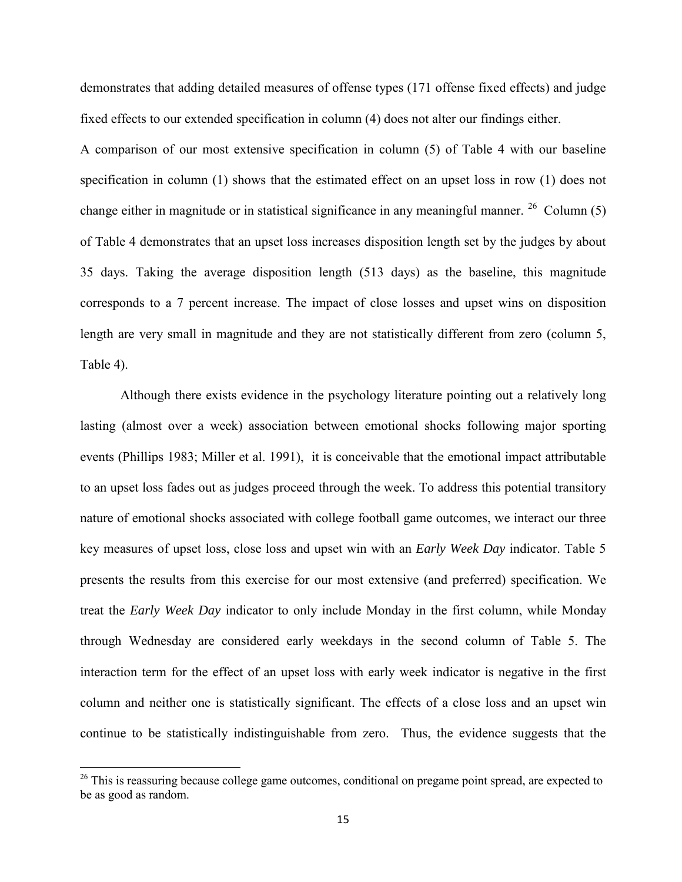demonstrates that adding detailed measures of offense types (171 offense fixed effects) and judge fixed effects to our extended specification in column (4) does not alter our findings either.

A comparison of our most extensive specification in column (5) of Table 4 with our baseline specification in column (1) shows that the estimated effect on an upset loss in row (1) does not change either in magnitude or in statistical significance in any meaningful manner.  $^{26}$  $^{26}$  $^{26}$  Column (5) of Table 4 demonstrates that an upset loss increases disposition length set by the judges by about 35 days. Taking the average disposition length (513 days) as the baseline, this magnitude corresponds to a 7 percent increase. The impact of close losses and upset wins on disposition length are very small in magnitude and they are not statistically different from zero (column 5, Table 4).

Although there exists evidence in the psychology literature pointing out a relatively long lasting (almost over a week) association between emotional shocks following major sporting events (Phillips 1983; Miller et al. 1991), it is conceivable that the emotional impact attributable to an upset loss fades out as judges proceed through the week. To address this potential transitory nature of emotional shocks associated with college football game outcomes, we interact our three key measures of upset loss, close loss and upset win with an *Early Week Day* indicator. Table 5 presents the results from this exercise for our most extensive (and preferred) specification. We treat the *Early Week Day* indicator to only include Monday in the first column, while Monday through Wednesday are considered early weekdays in the second column of Table 5. The interaction term for the effect of an upset loss with early week indicator is negative in the first column and neither one is statistically significant. The effects of a close loss and an upset win continue to be statistically indistinguishable from zero. Thus, the evidence suggests that the

l

<sup>&</sup>lt;sup>26</sup> This is reassuring because college game outcomes, conditional on pregame point spread, are expected to be as good as random.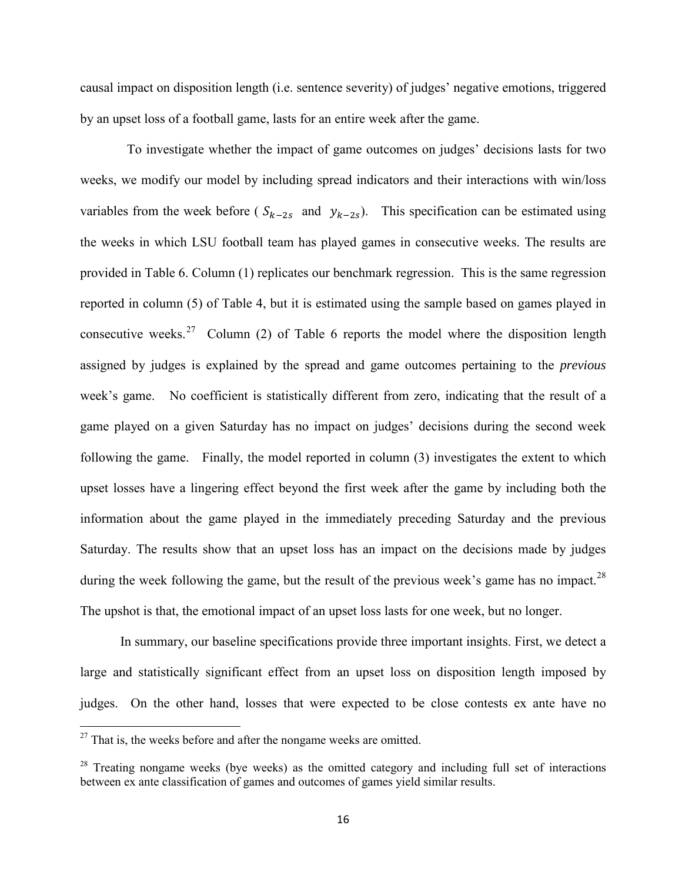causal impact on disposition length (i.e. sentence severity) of judges' negative emotions, triggered by an upset loss of a football game, lasts for an entire week after the game.

 To investigate whether the impact of game outcomes on judges' decisions lasts for two weeks, we modify our model by including spread indicators and their interactions with win/loss variables from the week before ( $S_{k-2s}$  and  $y_{k-2s}$ ). This specification can be estimated using the weeks in which LSU football team has played games in consecutive weeks. The results are provided in Table 6. Column (1) replicates our benchmark regression. This is the same regression reported in column (5) of Table 4, but it is estimated using the sample based on games played in consecutive weeks.<sup>27</sup> Column (2) of Table 6 reports the model where the disposition length assigned by judges is explained by the spread and game outcomes pertaining to the *previous* week's game. No coefficient is statistically different from zero, indicating that the result of a game played on a given Saturday has no impact on judges' decisions during the second week following the game. Finally, the model reported in column (3) investigates the extent to which upset losses have a lingering effect beyond the first week after the game by including both the information about the game played in the immediately preceding Saturday and the previous Saturday. The results show that an upset loss has an impact on the decisions made by judges during the week following the game, but the result of the previous week's game has no impact.<sup>[28](#page-21-1)</sup> The upshot is that, the emotional impact of an upset loss lasts for one week, but no longer.

In summary, our baseline specifications provide three important insights. First, we detect a large and statistically significant effect from an upset loss on disposition length imposed by judges. On the other hand, losses that were expected to be close contests ex ante have no

l

 $27$  That is, the weeks before and after the nongame weeks are omitted.

 $28$  Treating nongame weeks (bye weeks) as the omitted category and including full set of interactions between ex ante classification of games and outcomes of games yield similar results.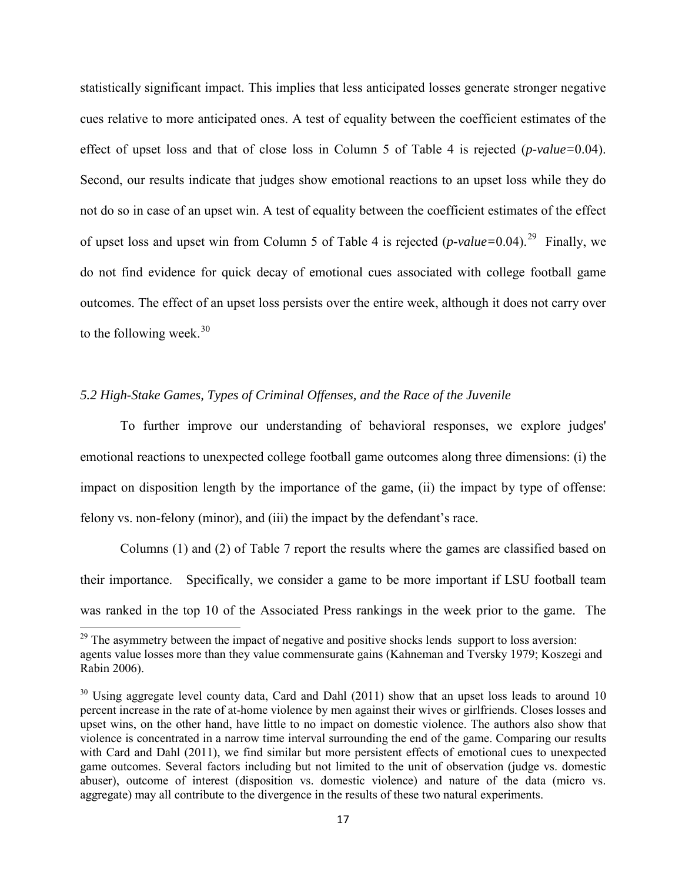statistically significant impact. This implies that less anticipated losses generate stronger negative cues relative to more anticipated ones. A test of equality between the coefficient estimates of the effect of upset loss and that of close loss in Column 5 of Table 4 is rejected (*p-value=*0.04). Second, our results indicate that judges show emotional reactions to an upset loss while they do not do so in case of an upset win. A test of equality between the coefficient estimates of the effect of upset loss and upset win from Column 5 of Table 4 is rejected (*p-value=*0.04).[29](#page-22-0) Finally, we do not find evidence for quick decay of emotional cues associated with college football game outcomes. The effect of an upset loss persists over the entire week, although it does not carry over to the following week. $30$ 

## *5.2 High-Stake Games, Types of Criminal Offenses, and the Race of the Juvenile*

l

To further improve our understanding of behavioral responses, we explore judges' emotional reactions to unexpected college football game outcomes along three dimensions: (i) the impact on disposition length by the importance of the game, (ii) the impact by type of offense: felony vs. non-felony (minor), and (iii) the impact by the defendant's race.

Columns (1) and (2) of Table 7 report the results where the games are classified based on their importance. Specifically, we consider a game to be more important if LSU football team was ranked in the top 10 of the Associated Press rankings in the week prior to the game. The

 $29$  The asymmetry between the impact of negative and positive shocks lends support to loss aversion: agents value losses more than they value commensurate gains (Kahneman and Tversky 1979; Koszegi and Rabin 2006).

<span id="page-18-0"></span><sup>&</sup>lt;sup>30</sup> Using aggregate level county data, Card and Dahl (2011) show that an upset loss leads to around 10 percent increase in the rate of at-home violence by men against their wives or girlfriends. Closes losses and upset wins, on the other hand, have little to no impact on domestic violence. The authors also show that violence is concentrated in a narrow time interval surrounding the end of the game. Comparing our results with Card and Dahl (2011), we find similar but more persistent effects of emotional cues to unexpected game outcomes. Several factors including but not limited to the unit of observation (judge vs. domestic abuser), outcome of interest (disposition vs. domestic violence) and nature of the data (micro vs. aggregate) may all contribute to the divergence in the results of these two natural experiments.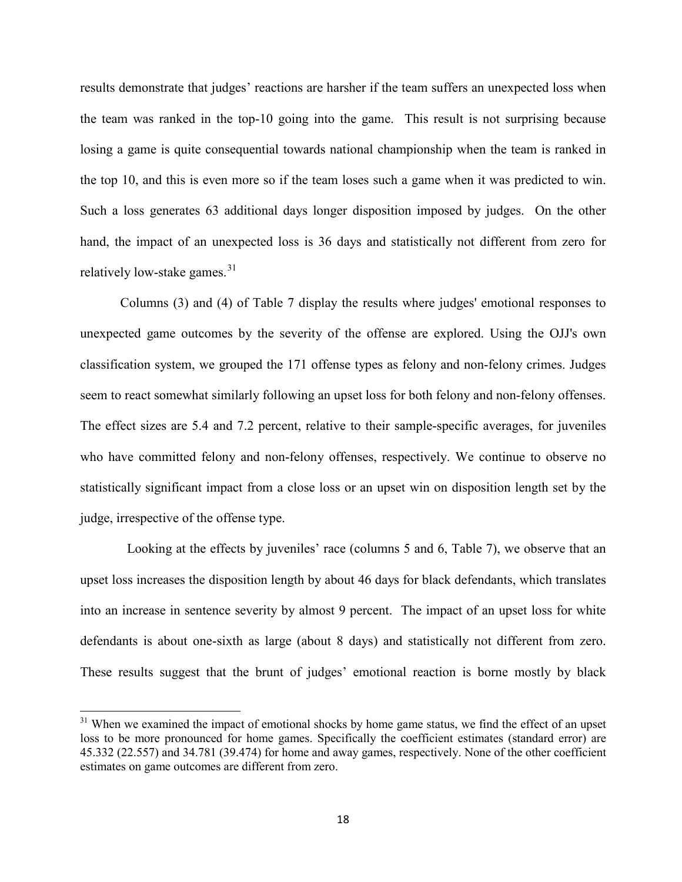results demonstrate that judges' reactions are harsher if the team suffers an unexpected loss when the team was ranked in the top-10 going into the game. This result is not surprising because losing a game is quite consequential towards national championship when the team is ranked in the top 10, and this is even more so if the team loses such a game when it was predicted to win. Such a loss generates 63 additional days longer disposition imposed by judges. On the other hand, the impact of an unexpected loss is 36 days and statistically not different from zero for relatively low-stake games. $31$ 

Columns (3) and (4) of Table 7 display the results where judges' emotional responses to unexpected game outcomes by the severity of the offense are explored. Using the OJJ's own classification system, we grouped the 171 offense types as felony and non-felony crimes. Judges seem to react somewhat similarly following an upset loss for both felony and non-felony offenses. The effect sizes are 5.4 and 7.2 percent, relative to their sample-specific averages, for juveniles who have committed felony and non-felony offenses, respectively. We continue to observe no statistically significant impact from a close loss or an upset win on disposition length set by the judge, irrespective of the offense type.

Looking at the effects by juveniles' race (columns 5 and 6, Table 7), we observe that an upset loss increases the disposition length by about 46 days for black defendants, which translates into an increase in sentence severity by almost 9 percent. The impact of an upset loss for white defendants is about one-sixth as large (about 8 days) and statistically not different from zero. These results suggest that the brunt of judges' emotional reaction is borne mostly by black

 $\overline{\phantom{a}}$ 

<span id="page-19-0"></span><sup>&</sup>lt;sup>31</sup> When we examined the impact of emotional shocks by home game status, we find the effect of an upset loss to be more pronounced for home games. Specifically the coefficient estimates (standard error) are 45.332 (22.557) and 34.781 (39.474) for home and away games, respectively. None of the other coefficient estimates on game outcomes are different from zero.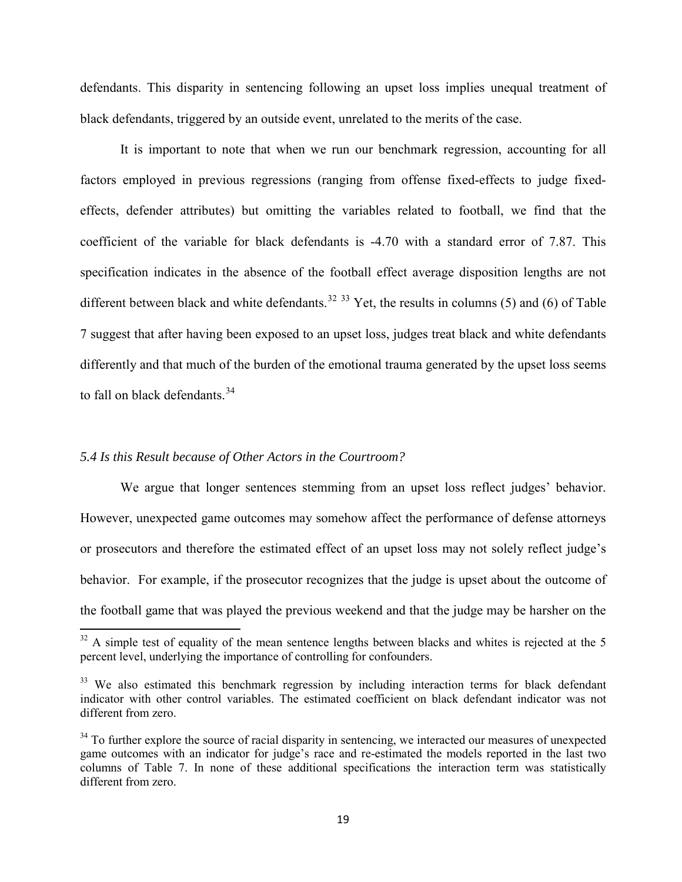defendants. This disparity in sentencing following an upset loss implies unequal treatment of black defendants, triggered by an outside event, unrelated to the merits of the case.

It is important to note that when we run our benchmark regression, accounting for all factors employed in previous regressions (ranging from offense fixed-effects to judge fixedeffects, defender attributes) but omitting the variables related to football, we find that the coefficient of the variable for black defendants is -4.70 with a standard error of 7.87. This specification indicates in the absence of the football effect average disposition lengths are not different between black and white defendants.<sup>[32](#page-24-0)</sup> <sup>[33](#page-24-1)</sup> Yet, the results in columns (5) and (6) of Table 7 suggest that after having been exposed to an upset loss, judges treat black and white defendants differently and that much of the burden of the emotional trauma generated by the upset loss seems to fall on black defendants. $34$ 

#### *5.4 Is this Result because of Other Actors in the Courtroom?*

l

We argue that longer sentences stemming from an upset loss reflect judges' behavior. However, unexpected game outcomes may somehow affect the performance of defense attorneys or prosecutors and therefore the estimated effect of an upset loss may not solely reflect judge's behavior. For example, if the prosecutor recognizes that the judge is upset about the outcome of the football game that was played the previous weekend and that the judge may be harsher on the

 $32$  A simple test of equality of the mean sentence lengths between blacks and whites is rejected at the 5 percent level, underlying the importance of controlling for confounders.

<sup>&</sup>lt;sup>33</sup> We also estimated this benchmark regression by including interaction terms for black defendant indicator with other control variables. The estimated coefficient on black defendant indicator was not different from zero.

<sup>&</sup>lt;sup>34</sup> To further explore the source of racial disparity in sentencing, we interacted our measures of unexpected game outcomes with an indicator for judge's race and re-estimated the models reported in the last two columns of Table 7. In none of these additional specifications the interaction term was statistically different from zero.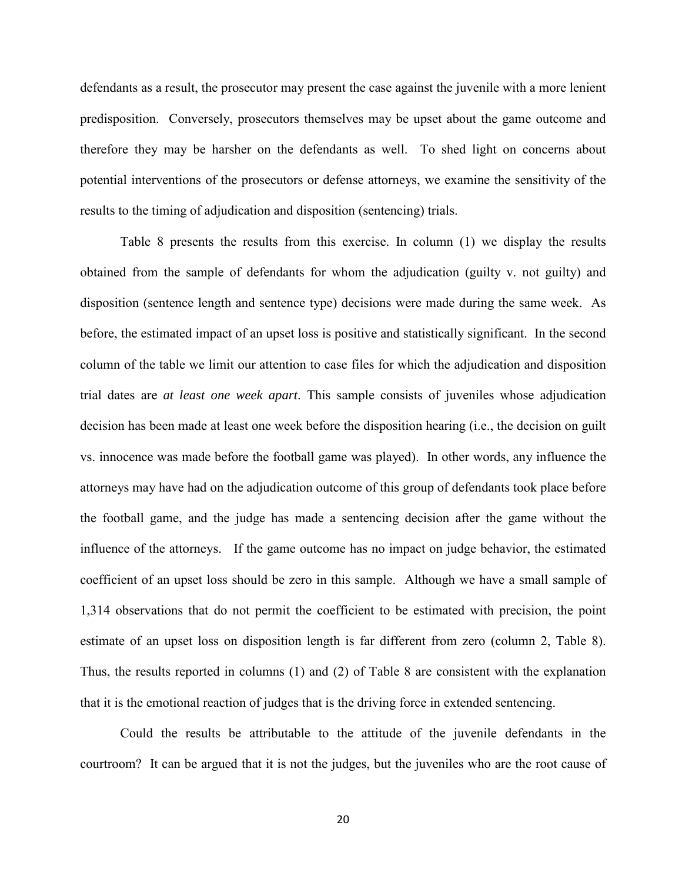defendants as a result, the prosecutor may present the case against the juvenile with a more lenient predisposition. Conversely, prosecutors themselves may be upset about the game outcome and therefore they may be harsher on the defendants as well. To shed light on concerns about potential interventions of the prosecutors or defense attorneys, we examine the sensitivity of the results to the timing of adjudication and disposition (sentencing) trials.

Table 8 presents the results from this exercise. In column (1) we display the results obtained from the sample of defendants for whom the adjudication (guilty v. not guilty) and disposition (sentence length and sentence type) decisions were made during the same week. As before, the estimated impact of an upset loss is positive and statistically significant. In the second column of the table we limit our attention to case files for which the adjudication and disposition trial dates are *at least one week apart*. This sample consists of juveniles whose adjudication decision has been made at least one week before the disposition hearing (i.e., the decision on guilt vs. innocence was made before the football game was played). In other words, any influence the attorneys may have had on the adjudication outcome of this group of defendants took place before the football game, and the judge has made a sentencing decision after the game without the influence of the attorneys. If the game outcome has no impact on judge behavior, the estimated coefficient of an upset loss should be zero in this sample. Although we have a small sample of 1,314 observations that do not permit the coefficient to be estimated with precision, the point estimate of an upset loss on disposition length is far different from zero (column 2, Table 8). Thus, the results reported in columns (1) and (2) of Table 8 are consistent with the explanation that it is the emotional reaction of judges that is the driving force in extended sentencing.

<span id="page-21-1"></span><span id="page-21-0"></span>Could the results be attributable to the attitude of the juvenile defendants in the courtroom? It can be argued that it is not the judges, but the juveniles who are the root cause of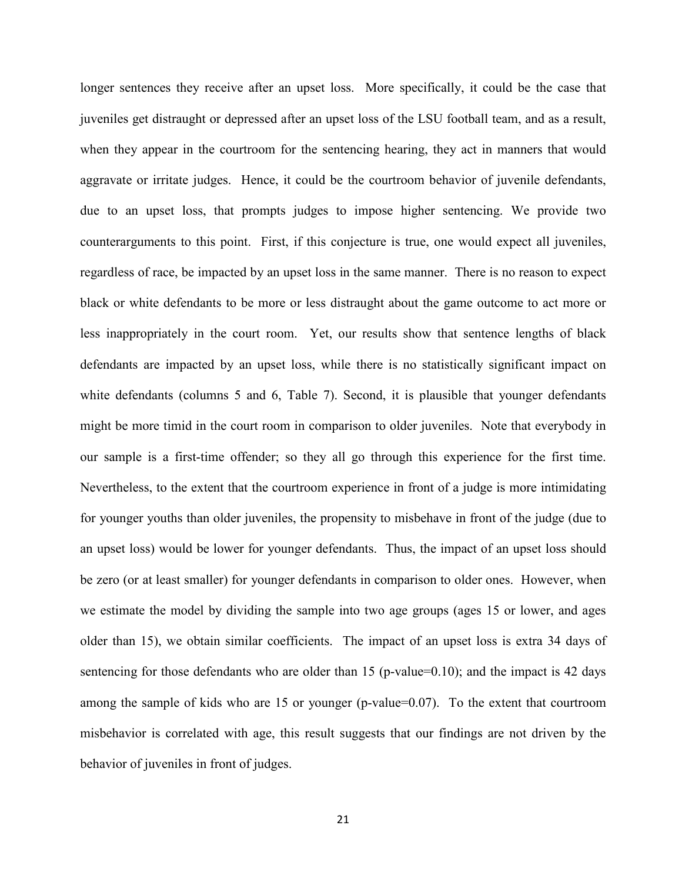<span id="page-22-1"></span><span id="page-22-0"></span>longer sentences they receive after an upset loss. More specifically, it could be the case that juveniles get distraught or depressed after an upset loss of the LSU football team, and as a result, when they appear in the courtroom for the sentencing hearing, they act in manners that would aggravate or irritate judges. Hence, it could be the courtroom behavior of juvenile defendants, due to an upset loss, that prompts judges to impose higher sentencing. We provide two counterarguments to this point. First, if this conjecture is true, one would expect all juveniles, regardless of race, be impacted by an upset loss in the same manner. There is no reason to expect black or white defendants to be more or less distraught about the game outcome to act more or less inappropriately in the court room. Yet, our results show that sentence lengths of black defendants are impacted by an upset loss, while there is no statistically significant impact on white defendants (columns 5 and 6, Table 7). Second, it is plausible that younger defendants might be more timid in the court room in comparison to older juveniles. Note that everybody in our sample is a first-time offender; so they all go through this experience for the first time. Nevertheless, to the extent that the courtroom experience in front of a judge is more intimidating for younger youths than older juveniles, the propensity to misbehave in front of the judge (due to an upset loss) would be lower for younger defendants. Thus, the impact of an upset loss should be zero (or at least smaller) for younger defendants in comparison to older ones. However, when we estimate the model by dividing the sample into two age groups (ages 15 or lower, and ages older than 15), we obtain similar coefficients. The impact of an upset loss is extra 34 days of sentencing for those defendants who are older than 15 (p-value=0.10); and the impact is 42 days among the sample of kids who are 15 or younger (p-value=0.07). To the extent that courtroom misbehavior is correlated with age, this result suggests that our findings are not driven by the behavior of juveniles in front of judges.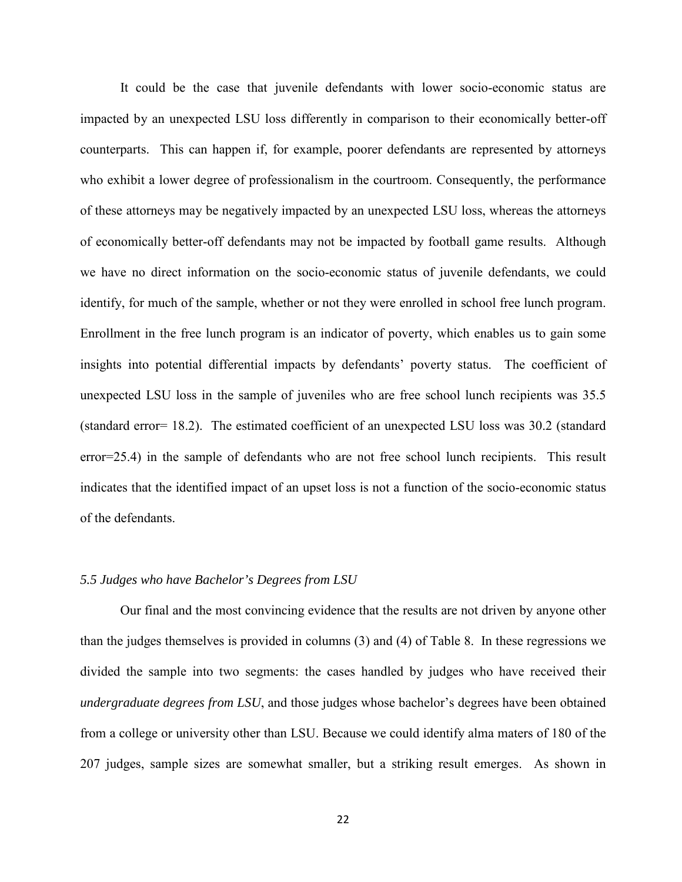It could be the case that juvenile defendants with lower socio-economic status are impacted by an unexpected LSU loss differently in comparison to their economically better-off counterparts. This can happen if, for example, poorer defendants are represented by attorneys who exhibit a lower degree of professionalism in the courtroom. Consequently, the performance of these attorneys may be negatively impacted by an unexpected LSU loss, whereas the attorneys of economically better-off defendants may not be impacted by football game results. Although we have no direct information on the socio-economic status of juvenile defendants, we could identify, for much of the sample, whether or not they were enrolled in school free lunch program. Enrollment in the free lunch program is an indicator of poverty, which enables us to gain some insights into potential differential impacts by defendants' poverty status. The coefficient of unexpected LSU loss in the sample of juveniles who are free school lunch recipients was 35.5 (standard error= 18.2). The estimated coefficient of an unexpected LSU loss was 30.2 (standard error=25.4) in the sample of defendants who are not free school lunch recipients. This result indicates that the identified impact of an upset loss is not a function of the socio-economic status of the defendants.

#### *5.5 Judges who have Bachelor's Degrees from LSU*

<span id="page-23-0"></span>Our final and the most convincing evidence that the results are not driven by anyone other than the judges themselves is provided in columns (3) and (4) of Table 8. In these regressions we divided the sample into two segments: the cases handled by judges who have received their *undergraduate degrees from LSU*, and those judges whose bachelor's degrees have been obtained from a college or university other than LSU. Because we could identify alma maters of 180 of the 207 judges, sample sizes are somewhat smaller, but a striking result emerges. As shown in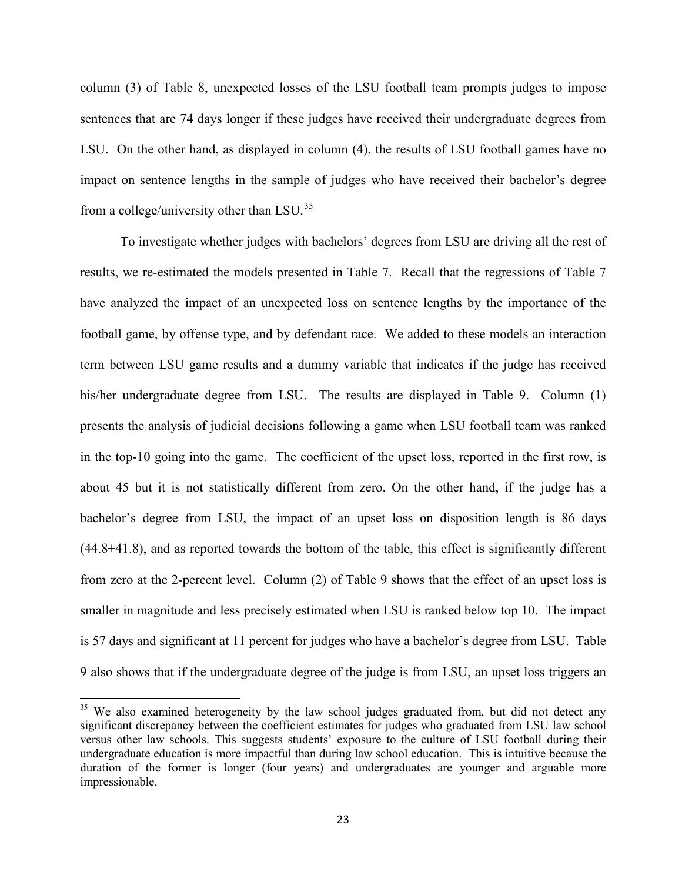column (3) of Table 8, unexpected losses of the LSU football team prompts judges to impose sentences that are 74 days longer if these judges have received their undergraduate degrees from LSU. On the other hand, as displayed in column (4), the results of LSU football games have no impact on sentence lengths in the sample of judges who have received their bachelor's degree from a college/university other than LSU.<sup>[35](#page-28-0)</sup>

To investigate whether judges with bachelors' degrees from LSU are driving all the rest of results, we re-estimated the models presented in Table 7. Recall that the regressions of Table 7 have analyzed the impact of an unexpected loss on sentence lengths by the importance of the football game, by offense type, and by defendant race. We added to these models an interaction term between LSU game results and a dummy variable that indicates if the judge has received his/her undergraduate degree from LSU. The results are displayed in Table 9. Column (1) presents the analysis of judicial decisions following a game when LSU football team was ranked in the top-10 going into the game. The coefficient of the upset loss, reported in the first row, is about 45 but it is not statistically different from zero. On the other hand, if the judge has a bachelor's degree from LSU, the impact of an upset loss on disposition length is 86 days (44.8+41.8), and as reported towards the bottom of the table, this effect is significantly different from zero at the 2-percent level. Column (2) of Table 9 shows that the effect of an upset loss is smaller in magnitude and less precisely estimated when LSU is ranked below top 10. The impact is 57 days and significant at 11 percent for judges who have a bachelor's degree from LSU. Table 9 also shows that if the undergraduate degree of the judge is from LSU, an upset loss triggers an

<span id="page-24-1"></span><span id="page-24-0"></span> $\overline{\phantom{a}}$ 

<span id="page-24-2"></span><sup>&</sup>lt;sup>35</sup> We also examined heterogeneity by the law school judges graduated from, but did not detect any significant discrepancy between the coefficient estimates for judges who graduated from LSU law school versus other law schools. This suggests students' exposure to the culture of LSU football during their undergraduate education is more impactful than during law school education. This is intuitive because the duration of the former is longer (four years) and undergraduates are younger and arguable more impressionable.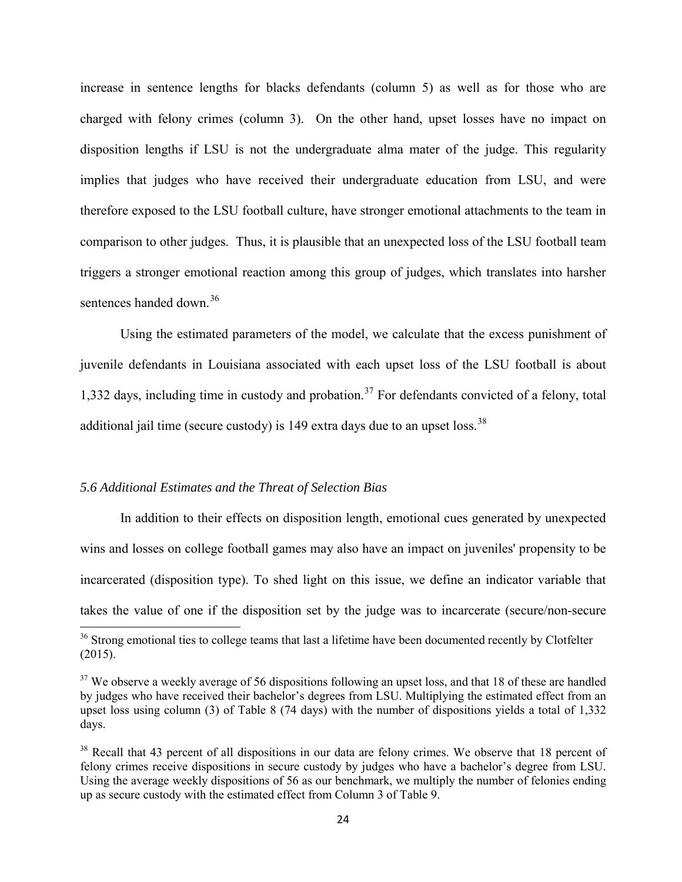increase in sentence lengths for blacks defendants (column 5) as well as for those who are charged with felony crimes (column 3). On the other hand, upset losses have no impact on disposition lengths if LSU is not the undergraduate alma mater of the judge. This regularity implies that judges who have received their undergraduate education from LSU, and were therefore exposed to the LSU football culture, have stronger emotional attachments to the team in comparison to other judges. Thus, it is plausible that an unexpected loss of the LSU football team triggers a stronger emotional reaction among this group of judges, which translates into harsher sentences handed down.<sup>36</sup>

Using the estimated parameters of the model, we calculate that the excess punishment of juvenile defendants in Louisiana associated with each upset loss of the LSU football is about 1,332 days, including time in custody and probation.<sup>[37](#page-29-1)</sup> For defendants convicted of a felony, total additional jail time (secure custody) is 149 extra days due to an upset loss.<sup>[38](#page-30-0)</sup>

## *5.6 Additional Estimates and the Threat of Selection Bias*

l

In addition to their effects on disposition length, emotional cues generated by unexpected wins and losses on college football games may also have an impact on juveniles' propensity to be incarcerated (disposition type). To shed light on this issue, we define an indicator variable that takes the value of one if the disposition set by the judge was to incarcerate (secure/non-secure

 $36$  Strong emotional ties to college teams that last a lifetime have been documented recently by Clotfelter (2015).

 $37$  We observe a weekly average of 56 dispositions following an upset loss, and that 18 of these are handled by judges who have received their bachelor's degrees from LSU. Multiplying the estimated effect from an upset loss using column (3) of Table 8 (74 days) with the number of dispositions yields a total of 1,332 days.

<sup>&</sup>lt;sup>38</sup> Recall that 43 percent of all dispositions in our data are felony crimes. We observe that 18 percent of felony crimes receive dispositions in secure custody by judges who have a bachelor's degree from LSU. Using the average weekly dispositions of 56 as our benchmark, we multiply the number of felonies ending up as secure custody with the estimated effect from Column 3 of Table 9.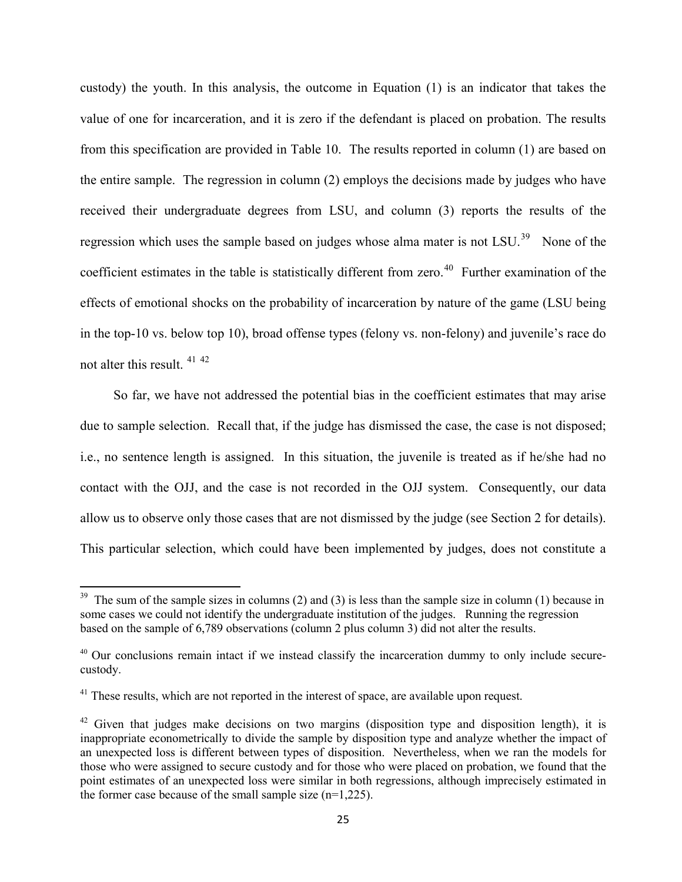custody) the youth. In this analysis, the outcome in Equation (1) is an indicator that takes the value of one for incarceration, and it is zero if the defendant is placed on probation. The results from this specification are provided in Table 10. The results reported in column (1) are based on the entire sample. The regression in column (2) employs the decisions made by judges who have received their undergraduate degrees from LSU, and column (3) reports the results of the regression which uses the sample based on judges whose alma mater is not LSU.<sup>[39](#page-30-1)</sup> None of the coefficient estimates in the table is statistically different from zero.<sup>[40](#page-30-2)</sup> Further examination of the effects of emotional shocks on the probability of incarceration by nature of the game (LSU being in the top-10 vs. below top 10), broad offense types (felony vs. non-felony) and juvenile's race do not alter this result. [41](#page-31-0) [42](#page-31-1)

 So far, we have not addressed the potential bias in the coefficient estimates that may arise due to sample selection. Recall that, if the judge has dismissed the case, the case is not disposed; i.e., no sentence length is assigned. In this situation, the juvenile is treated as if he/she had no contact with the OJJ, and the case is not recorded in the OJJ system. Consequently, our data allow us to observe only those cases that are not dismissed by the judge (see Section 2 for details). This particular selection, which could have been implemented by judges, does not constitute a

 $\overline{\phantom{a}}$ 

<sup>&</sup>lt;sup>39</sup> The sum of the sample sizes in columns (2) and (3) is less than the sample size in column (1) because in some cases we could not identify the undergraduate institution of the judges. Running the regression based on the sample of 6,789 observations (column 2 plus column 3) did not alter the results.

 $40$  Our conclusions remain intact if we instead classify the incarceration dummy to only include securecustody.

 $41$  These results, which are not reported in the interest of space, are available upon request.

 $42$  Given that judges make decisions on two margins (disposition type and disposition length), it is inappropriate econometrically to divide the sample by disposition type and analyze whether the impact of an unexpected loss is different between types of disposition. Nevertheless, when we ran the models for those who were assigned to secure custody and for those who were placed on probation, we found that the point estimates of an unexpected loss were similar in both regressions, although imprecisely estimated in the former case because of the small sample size  $(n=1,225)$ .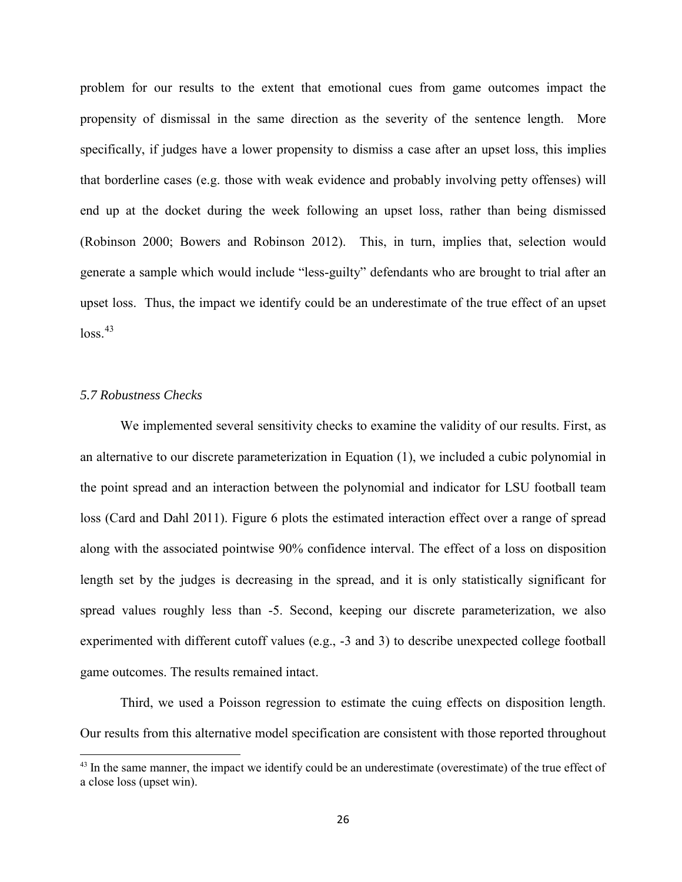problem for our results to the extent that emotional cues from game outcomes impact the propensity of dismissal in the same direction as the severity of the sentence length. More specifically, if judges have a lower propensity to dismiss a case after an upset loss, this implies that borderline cases (e.g. those with weak evidence and probably involving petty offenses) will end up at the docket during the week following an upset loss, rather than being dismissed (Robinson 2000; Bowers and Robinson 2012). This, in turn, implies that, selection would generate a sample which would include "less-guilty" defendants who are brought to trial after an upset loss. Thus, the impact we identify could be an underestimate of the true effect of an upset  $loss.<sup>43</sup>$  $loss.<sup>43</sup>$  $loss.<sup>43</sup>$ 

## *5.7 Robustness Checks*

 $\overline{\phantom{a}}$ 

We implemented several sensitivity checks to examine the validity of our results. First, as an alternative to our discrete parameterization in Equation (1), we included a cubic polynomial in the point spread and an interaction between the polynomial and indicator for LSU football team loss (Card and Dahl 2011). Figure 6 plots the estimated interaction effect over a range of spread along with the associated pointwise 90% confidence interval. The effect of a loss on disposition length set by the judges is decreasing in the spread, and it is only statistically significant for spread values roughly less than -5. Second, keeping our discrete parameterization, we also experimented with different cutoff values (e.g., -3 and 3) to describe unexpected college football game outcomes. The results remained intact.

Third, we used a Poisson regression to estimate the cuing effects on disposition length. Our results from this alternative model specification are consistent with those reported throughout

<sup>&</sup>lt;sup>43</sup> In the same manner, the impact we identify could be an underestimate (overestimate) of the true effect of a close loss (upset win).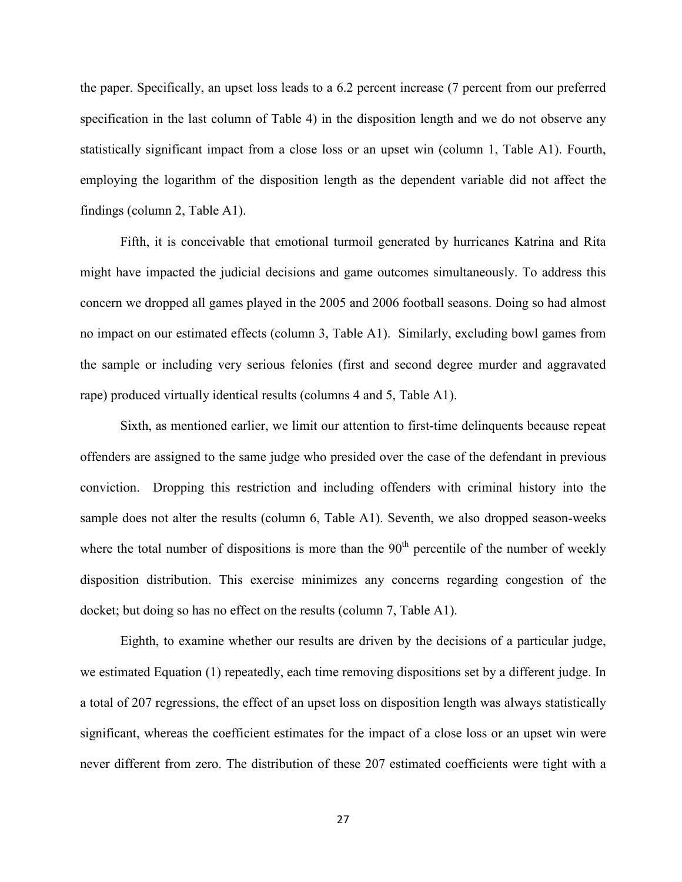the paper. Specifically, an upset loss leads to a 6.2 percent increase (7 percent from our preferred specification in the last column of Table 4) in the disposition length and we do not observe any statistically significant impact from a close loss or an upset win (column 1, Table A1). Fourth, employing the logarithm of the disposition length as the dependent variable did not affect the findings (column 2, Table A1).

Fifth, it is conceivable that emotional turmoil generated by hurricanes Katrina and Rita might have impacted the judicial decisions and game outcomes simultaneously. To address this concern we dropped all games played in the 2005 and 2006 football seasons. Doing so had almost no impact on our estimated effects (column 3, Table A1). Similarly, excluding bowl games from the sample or including very serious felonies (first and second degree murder and aggravated rape) produced virtually identical results (columns 4 and 5, Table A1).

Sixth, as mentioned earlier, we limit our attention to first-time delinquents because repeat offenders are assigned to the same judge who presided over the case of the defendant in previous conviction. Dropping this restriction and including offenders with criminal history into the sample does not alter the results (column 6, Table A1). Seventh, we also dropped season-weeks where the total number of dispositions is more than the  $90<sup>th</sup>$  percentile of the number of weekly disposition distribution. This exercise minimizes any concerns regarding congestion of the docket; but doing so has no effect on the results (column 7, Table A1).

<span id="page-28-0"></span>Eighth, to examine whether our results are driven by the decisions of a particular judge, we estimated Equation (1) repeatedly, each time removing dispositions set by a different judge. In a total of 207 regressions, the effect of an upset loss on disposition length was always statistically significant, whereas the coefficient estimates for the impact of a close loss or an upset win were never different from zero. The distribution of these 207 estimated coefficients were tight with a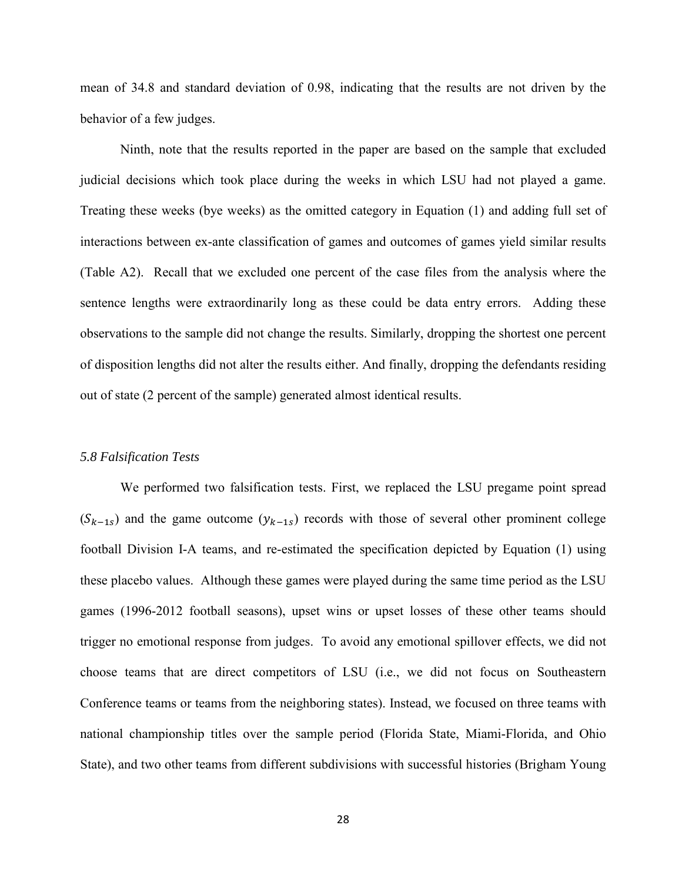mean of 34.8 and standard deviation of 0.98, indicating that the results are not driven by the behavior of a few judges.

Ninth, note that the results reported in the paper are based on the sample that excluded judicial decisions which took place during the weeks in which LSU had not played a game. Treating these weeks (bye weeks) as the omitted category in Equation (1) and adding full set of interactions between ex-ante classification of games and outcomes of games yield similar results (Table A2). Recall that we excluded one percent of the case files from the analysis where the sentence lengths were extraordinarily long as these could be data entry errors. Adding these observations to the sample did not change the results. Similarly, dropping the shortest one percent of disposition lengths did not alter the results either. And finally, dropping the defendants residing out of state (2 percent of the sample) generated almost identical results.

#### *5.8 Falsification Tests*

<span id="page-29-1"></span><span id="page-29-0"></span>We performed two falsification tests. First, we replaced the LSU pregame point spread  $(S_{k-1,s})$  and the game outcome  $(y_{k-1,s})$  records with those of several other prominent college football Division I-A teams, and re-estimated the specification depicted by Equation (1) using these placebo values. Although these games were played during the same time period as the LSU games (1996-2012 football seasons), upset wins or upset losses of these other teams should trigger no emotional response from judges. To avoid any emotional spillover effects, we did not choose teams that are direct competitors of LSU (i.e., we did not focus on Southeastern Conference teams or teams from the neighboring states). Instead, we focused on three teams with national championship titles over the sample period (Florida State, Miami-Florida, and Ohio State), and two other teams from different subdivisions with successful histories (Brigham Young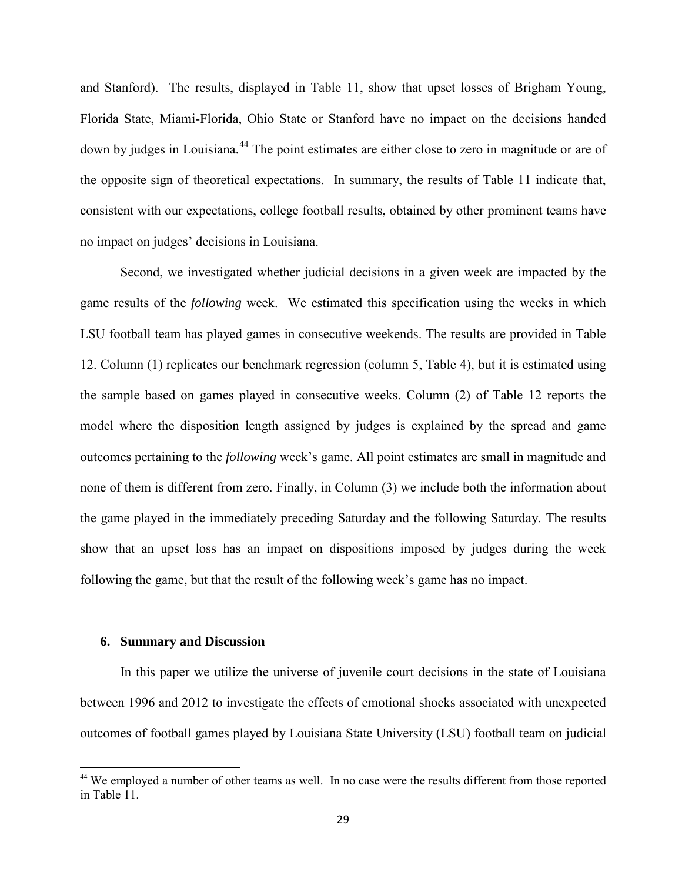and Stanford). The results, displayed in Table 11, show that upset losses of Brigham Young, Florida State, Miami-Florida, Ohio State or Stanford have no impact on the decisions handed down by judges in Louisiana.<sup>[44](#page-35-0)</sup> The point estimates are either close to zero in magnitude or are of the opposite sign of theoretical expectations. In summary, the results of Table 11 indicate that, consistent with our expectations, college football results, obtained by other prominent teams have no impact on judges' decisions in Louisiana.

Second, we investigated whether judicial decisions in a given week are impacted by the game results of the *following* week. We estimated this specification using the weeks in which LSU football team has played games in consecutive weekends. The results are provided in Table 12. Column (1) replicates our benchmark regression (column 5, Table 4), but it is estimated using the sample based on games played in consecutive weeks. Column (2) of Table 12 reports the model where the disposition length assigned by judges is explained by the spread and game outcomes pertaining to the *following* week's game. All point estimates are small in magnitude and none of them is different from zero. Finally, in Column (3) we include both the information about the game played in the immediately preceding Saturday and the following Saturday. The results show that an upset loss has an impact on dispositions imposed by judges during the week following the game, but that the result of the following week's game has no impact.

#### **6. Summary and Discussion**

l

<span id="page-30-1"></span><span id="page-30-0"></span>In this paper we utilize the universe of juvenile court decisions in the state of Louisiana between 1996 and 2012 to investigate the effects of emotional shocks associated with unexpected outcomes of football games played by Louisiana State University (LSU) football team on judicial

<span id="page-30-2"></span><sup>&</sup>lt;sup>44</sup> We employed a number of other teams as well. In no case were the results different from those reported in Table 11.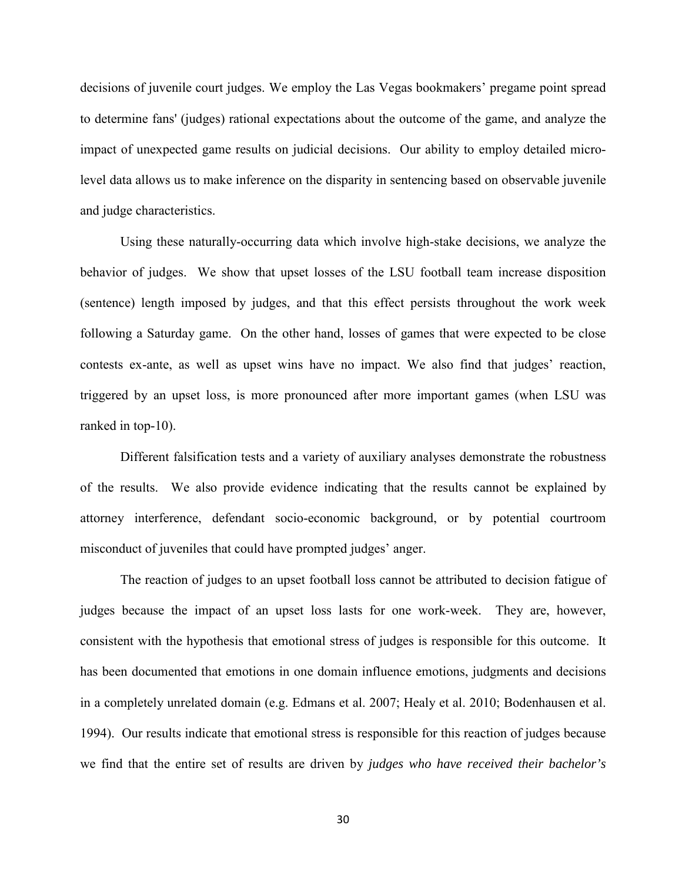decisions of juvenile court judges. We employ the Las Vegas bookmakers' pregame point spread to determine fans' (judges) rational expectations about the outcome of the game, and analyze the impact of unexpected game results on judicial decisions. Our ability to employ detailed microlevel data allows us to make inference on the disparity in sentencing based on observable juvenile and judge characteristics.

Using these naturally-occurring data which involve high-stake decisions, we analyze the behavior of judges. We show that upset losses of the LSU football team increase disposition (sentence) length imposed by judges, and that this effect persists throughout the work week following a Saturday game. On the other hand, losses of games that were expected to be close contests ex-ante, as well as upset wins have no impact. We also find that judges' reaction, triggered by an upset loss, is more pronounced after more important games (when LSU was ranked in top-10).

Different falsification tests and a variety of auxiliary analyses demonstrate the robustness of the results. We also provide evidence indicating that the results cannot be explained by attorney interference, defendant socio-economic background, or by potential courtroom misconduct of juveniles that could have prompted judges' anger.

<span id="page-31-2"></span><span id="page-31-1"></span><span id="page-31-0"></span>The reaction of judges to an upset football loss cannot be attributed to decision fatigue of judges because the impact of an upset loss lasts for one work-week. They are, however, consistent with the hypothesis that emotional stress of judges is responsible for this outcome. It has been documented that emotions in one domain influence emotions, judgments and decisions in a completely unrelated domain (e.g. Edmans et al. 2007; Healy et al. 2010; Bodenhausen et al. 1994). Our results indicate that emotional stress is responsible for this reaction of judges because we find that the entire set of results are driven by *judges who have received their bachelor's*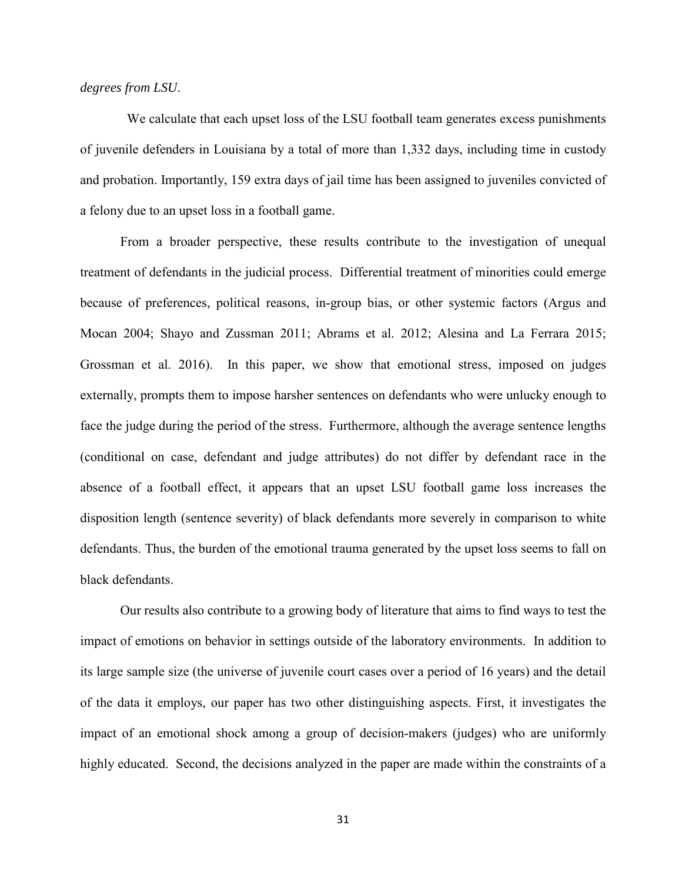## *degrees from LSU*.

 We calculate that each upset loss of the LSU football team generates excess punishments of juvenile defenders in Louisiana by a total of more than 1,332 days, including time in custody and probation. Importantly, 159 extra days of jail time has been assigned to juveniles convicted of a felony due to an upset loss in a football game.

From a broader perspective, these results contribute to the investigation of unequal treatment of defendants in the judicial process. Differential treatment of minorities could emerge because of preferences, political reasons, in-group bias, or other systemic factors (Argus and Mocan 2004; Shayo and Zussman 2011; Abrams et al. 2012; Alesina and La Ferrara 2015; Grossman et al. 2016). In this paper, we show that emotional stress, imposed on judges externally, prompts them to impose harsher sentences on defendants who were unlucky enough to face the judge during the period of the stress. Furthermore, although the average sentence lengths (conditional on case, defendant and judge attributes) do not differ by defendant race in the absence of a football effect, it appears that an upset LSU football game loss increases the disposition length (sentence severity) of black defendants more severely in comparison to white defendants. Thus, the burden of the emotional trauma generated by the upset loss seems to fall on black defendants.

Our results also contribute to a growing body of literature that aims to find ways to test the impact of emotions on behavior in settings outside of the laboratory environments. In addition to its large sample size (the universe of juvenile court cases over a period of 16 years) and the detail of the data it employs, our paper has two other distinguishing aspects. First, it investigates the impact of an emotional shock among a group of decision-makers (judges) who are uniformly highly educated. Second, the decisions analyzed in the paper are made within the constraints of a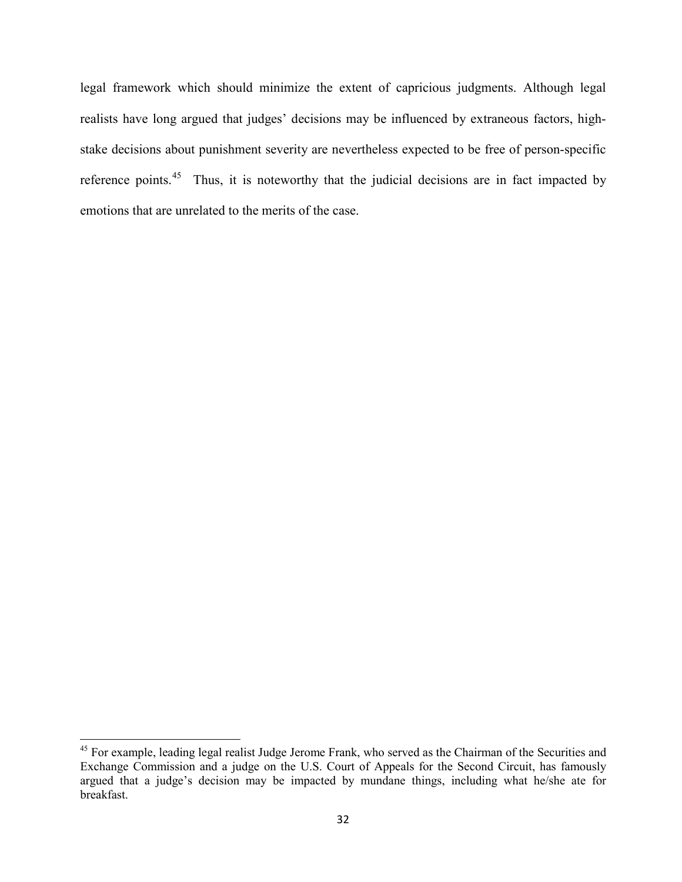legal framework which should minimize the extent of capricious judgments. Although legal realists have long argued that judges' decisions may be influenced by extraneous factors, highstake decisions about punishment severity are nevertheless expected to be free of person-specific reference points.<sup>45</sup> Thus, it is noteworthy that the judicial decisions are in fact impacted by emotions that are unrelated to the merits of the case.

 $\overline{\phantom{a}}$ 

<sup>&</sup>lt;sup>45</sup> For example, leading legal realist Judge Jerome Frank, who served as the Chairman of the Securities and Exchange Commission and a judge on the U.S. Court of Appeals for the Second Circuit, has famously argued that a judge's decision may be impacted by mundane things, including what he/she ate for breakfast.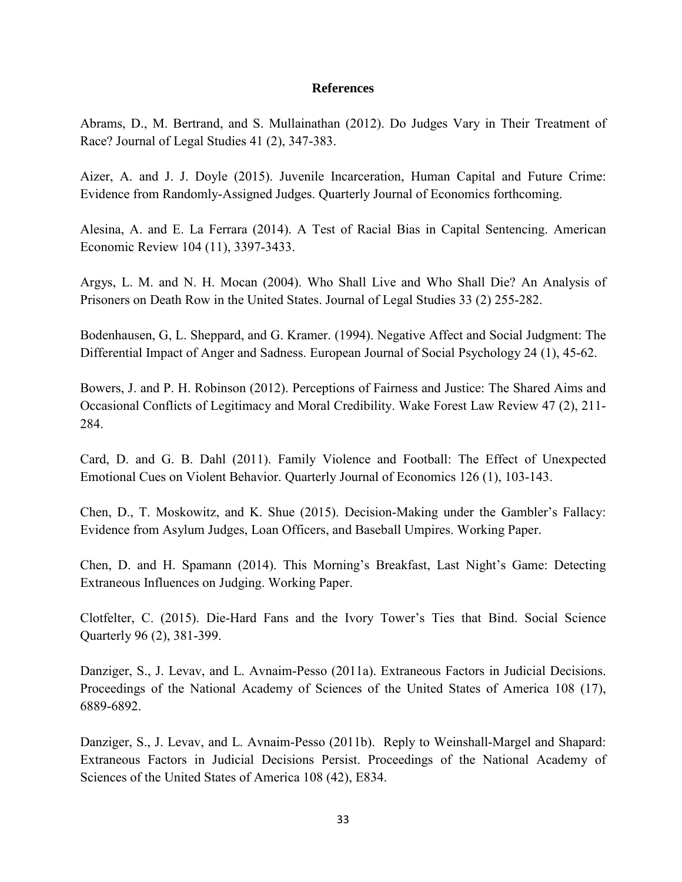# **References**

Abrams, D., M. Bertrand, and S. Mullainathan (2012). Do Judges Vary in Their Treatment of Race? Journal of Legal Studies 41 (2), 347-383.

Aizer, A. and J. J. Doyle (2015). Juvenile Incarceration, Human Capital and Future Crime: Evidence from Randomly-Assigned Judges. Quarterly Journal of Economics forthcoming.

Alesina, A. and E. La Ferrara (2014). A Test of Racial Bias in Capital Sentencing. American Economic Review 104 (11), 3397-3433.

Argys, L. M. and N. H. Mocan (2004). Who Shall Live and Who Shall Die? An Analysis of Prisoners on Death Row in the United States. Journal of Legal Studies 33 (2) 255-282.

Bodenhausen, G, L. Sheppard, and G. Kramer. (1994). Negative Affect and Social Judgment: The Differential Impact of Anger and Sadness. European Journal of Social Psychology 24 (1), 45-62.

Bowers, J. and P. H. Robinson (2012). Perceptions of Fairness and Justice: The Shared Aims and Occasional Conflicts of Legitimacy and Moral Credibility. Wake Forest Law Review 47 (2), 211- 284.

Card, D. and G. B. Dahl (2011). Family Violence and Football: The Effect of Unexpected Emotional Cues on Violent Behavior. Quarterly Journal of Economics 126 (1), 103-143.

Chen, D., T. Moskowitz, and K. Shue (2015). Decision-Making under the Gambler's Fallacy: Evidence from Asylum Judges, Loan Officers, and Baseball Umpires. Working Paper.

Chen, D. and H. Spamann (2014). This Morning's Breakfast, Last Night's Game: Detecting Extraneous Influences on Judging. Working Paper.

Clotfelter, C. (2015). Die-Hard Fans and the Ivory Tower's Ties that Bind. Social Science Quarterly 96 (2), 381-399.

Danziger, S., J. Levav, and L. Avnaim-Pesso (2011a). Extraneous Factors in Judicial Decisions. Proceedings of the National Academy of Sciences of the United States of America 108 (17), 6889-6892.

Danziger, S., J. Levav, and L. Avnaim-Pesso (2011b). Reply to Weinshall-Margel and Shapard: Extraneous Factors in Judicial Decisions Persist. Proceedings of the National Academy of Sciences of the United States of America 108 (42), E834.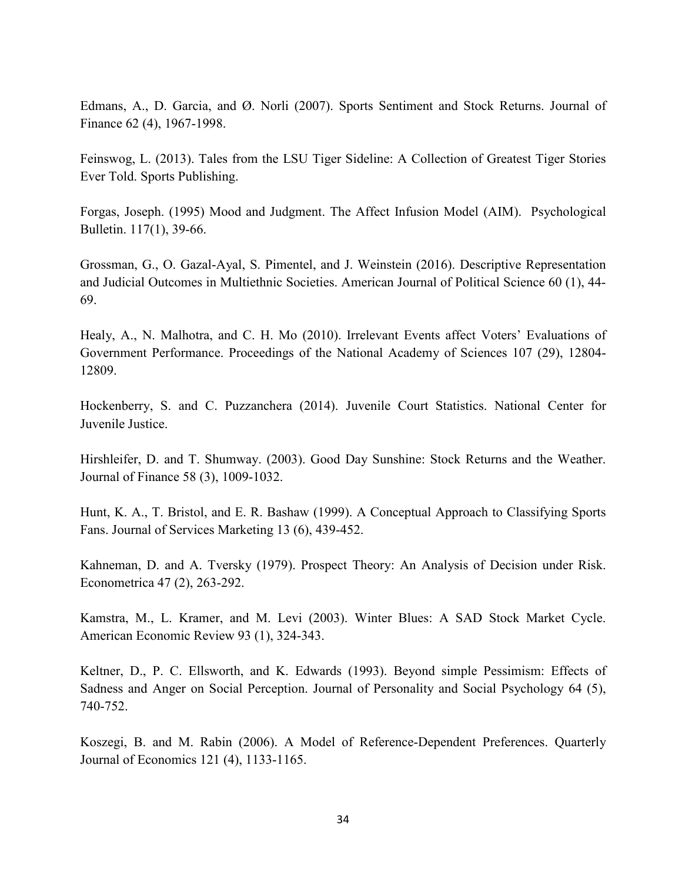Edmans, A., D. Garcia, and Ø. Norli (2007). Sports Sentiment and Stock Returns. Journal of Finance 62 (4), 1967-1998.

Feinswog, L. (2013). Tales from the LSU Tiger Sideline: A Collection of Greatest Tiger Stories Ever Told. Sports Publishing.

Forgas, Joseph. (1995) Mood and Judgment. The Affect Infusion Model (AIM). Psychological Bulletin. 117(1), 39-66.

Grossman, G., O. Gazal-Ayal, S. Pimentel, and J. Weinstein (2016). Descriptive Representation and Judicial Outcomes in Multiethnic Societies. American Journal of Political Science 60 (1), 44- 69.

Healy, A., N. Malhotra, and C. H. Mo (2010). Irrelevant Events affect Voters' Evaluations of Government Performance. Proceedings of the National Academy of Sciences 107 (29), 12804- 12809.

Hockenberry, S. and C. Puzzanchera (2014). Juvenile Court Statistics. National Center for Juvenile Justice.

Hirshleifer, D. and T. Shumway. (2003). Good Day Sunshine: Stock Returns and the Weather. Journal of Finance 58 (3), 1009-1032.

Hunt, K. A., T. Bristol, and E. R. Bashaw (1999). A Conceptual Approach to Classifying Sports Fans. Journal of Services Marketing 13 (6), 439-452.

Kahneman, D. and A. Tversky (1979). Prospect Theory: An Analysis of Decision under Risk. Econometrica 47 (2), 263-292.

Kamstra, M., L. Kramer, and M. Levi (2003). Winter Blues: A SAD Stock Market Cycle. American Economic Review 93 (1), 324-343.

Keltner, D., P. C. Ellsworth, and K. Edwards (1993). Beyond simple Pessimism: Effects of Sadness and Anger on Social Perception. Journal of Personality and Social Psychology 64 (5), 740-752.

<span id="page-35-0"></span>Koszegi, B. and M. Rabin (2006). A Model of Reference-Dependent Preferences. Quarterly Journal of Economics 121 (4), 1133-1165.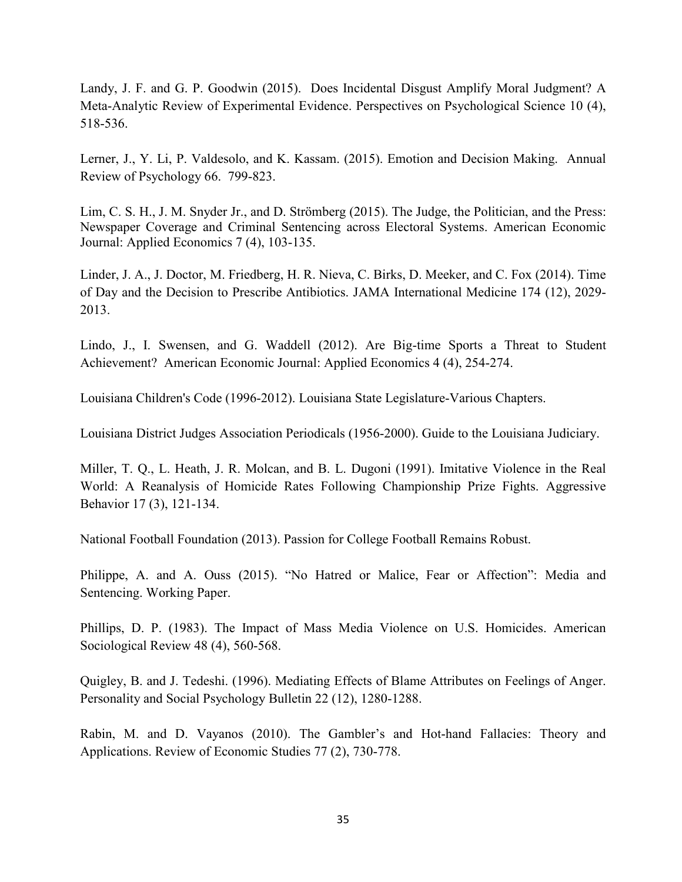Landy, J. F. and G. P. Goodwin (2015). Does Incidental Disgust Amplify Moral Judgment? A Meta-Analytic Review of Experimental Evidence. Perspectives on Psychological Science 10 (4), 518-536.

Lerner, J., Y. Li, P. Valdesolo, and K. Kassam. (2015). Emotion and Decision Making. Annual Review of Psychology 66. 799-823.

Lim, C. S. H., J. M. Snyder Jr., and D. Strömberg (2015). The Judge, the Politician, and the Press: Newspaper Coverage and Criminal Sentencing across Electoral Systems. American Economic Journal: Applied Economics 7 (4), 103-135.

Linder, J. A., J. Doctor, M. Friedberg, H. R. Nieva, C. Birks, D. Meeker, and C. Fox (2014). Time of Day and the Decision to Prescribe Antibiotics. JAMA International Medicine 174 (12), 2029- 2013.

Lindo, J., I. Swensen, and G. Waddell (2012). Are Big-time Sports a Threat to Student Achievement? American Economic Journal: Applied Economics 4 (4), 254-274.

Louisiana Children's Code (1996-2012). Louisiana State Legislature-Various Chapters.

Louisiana District Judges Association Periodicals (1956-2000). Guide to the Louisiana Judiciary.

Miller, T. Q., L. Heath, J. R. Molcan, and B. L. Dugoni (1991). Imitative Violence in the Real World: A Reanalysis of Homicide Rates Following Championship Prize Fights. Aggressive Behavior 17 (3), 121-134.

National Football Foundation (2013). Passion for College Football Remains Robust.

Philippe, A. and A. Ouss (2015). "No Hatred or Malice, Fear or Affection": Media and Sentencing. Working Paper.

Phillips, D. P. (1983). The Impact of Mass Media Violence on U.S. Homicides. American Sociological Review 48 (4), 560-568.

Quigley, B. and J. Tedeshi. (1996). Mediating Effects of Blame Attributes on Feelings of Anger. Personality and Social Psychology Bulletin 22 (12), 1280-1288.

Rabin, M. and D. Vayanos (2010). The Gambler's and Hot-hand Fallacies: Theory and Applications. Review of Economic Studies 77 (2), 730-778.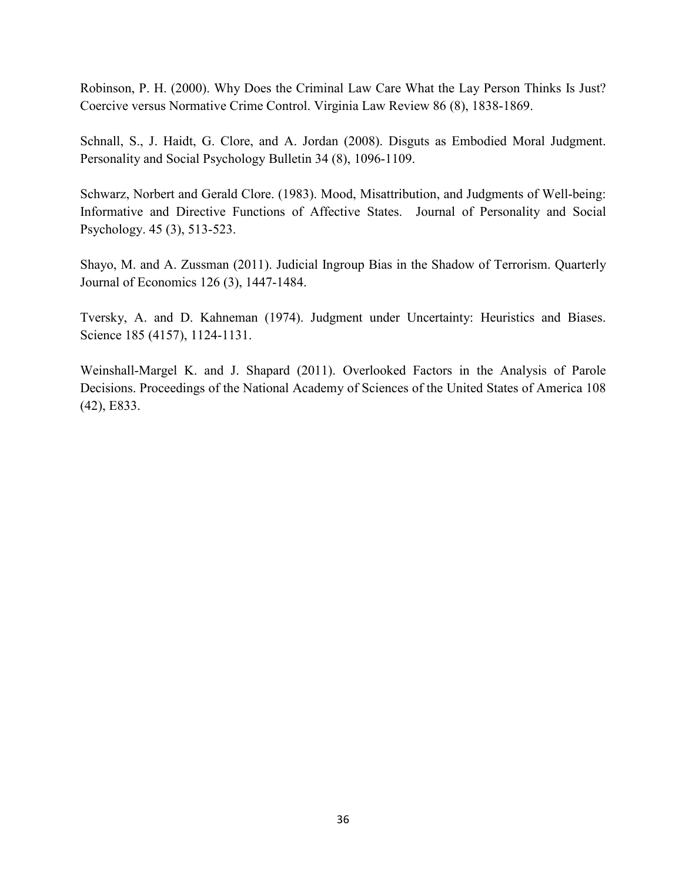Robinson, P. H. (2000). Why Does the Criminal Law Care What the Lay Person Thinks Is Just? Coercive versus Normative Crime Control. Virginia Law Review 86 (8), 1838-1869.

Schnall, S., J. Haidt, G. Clore, and A. Jordan (2008). Disguts as Embodied Moral Judgment. Personality and Social Psychology Bulletin 34 (8), 1096-1109.

Schwarz, Norbert and Gerald Clore. (1983). Mood, Misattribution, and Judgments of Well-being: Informative and Directive Functions of Affective States. Journal of Personality and Social Psychology. 45 (3), 513-523.

Shayo, M. and A. Zussman (2011). Judicial Ingroup Bias in the Shadow of Terrorism. Quarterly Journal of Economics 126 (3), 1447-1484.

Tversky, A. and D. Kahneman (1974). Judgment under Uncertainty: Heuristics and Biases. Science 185 (4157), 1124-1131.

Weinshall-Margel K. and J. Shapard (2011). Overlooked Factors in the Analysis of Parole Decisions. Proceedings of the National Academy of Sciences of the United States of America 108 (42), E833.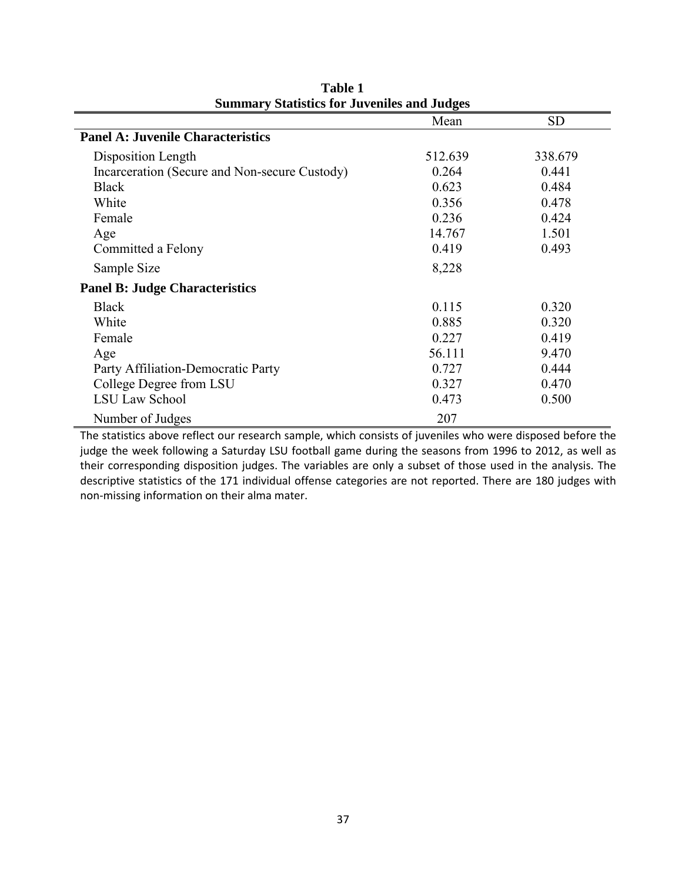|                                               | Mean    | <b>SD</b> |
|-----------------------------------------------|---------|-----------|
| <b>Panel A: Juvenile Characteristics</b>      |         |           |
| Disposition Length                            | 512.639 | 338.679   |
| Incarceration (Secure and Non-secure Custody) | 0.264   | 0.441     |
| <b>Black</b>                                  | 0.623   | 0.484     |
| White                                         | 0.356   | 0.478     |
| Female                                        | 0.236   | 0.424     |
| Age                                           | 14.767  | 1.501     |
| Committed a Felony                            | 0.419   | 0.493     |
| Sample Size                                   | 8,228   |           |
| <b>Panel B: Judge Characteristics</b>         |         |           |
| <b>Black</b>                                  | 0.115   | 0.320     |
| White                                         | 0.885   | 0.320     |
| Female                                        | 0.227   | 0.419     |
| Age                                           | 56.111  | 9.470     |
| Party Affiliation-Democratic Party            | 0.727   | 0.444     |
| College Degree from LSU                       | 0.327   | 0.470     |
| <b>LSU Law School</b>                         | 0.473   | 0.500     |
| Number of Judges                              | 207     |           |

**Table 1 Summary Statistics for Juveniles and Judges**

<span id="page-38-0"></span>The statistics above reflect our research sample, which consists of juveniles who were disposed before the judge the week following a Saturday LSU football game during the seasons from 1996 to 2012, as well as their corresponding disposition judges. The variables are only a subset of those used in the analysis. The descriptive statistics of the 171 individual offense categories are not reported. There are 180 judges with non-missing information on their alma mater.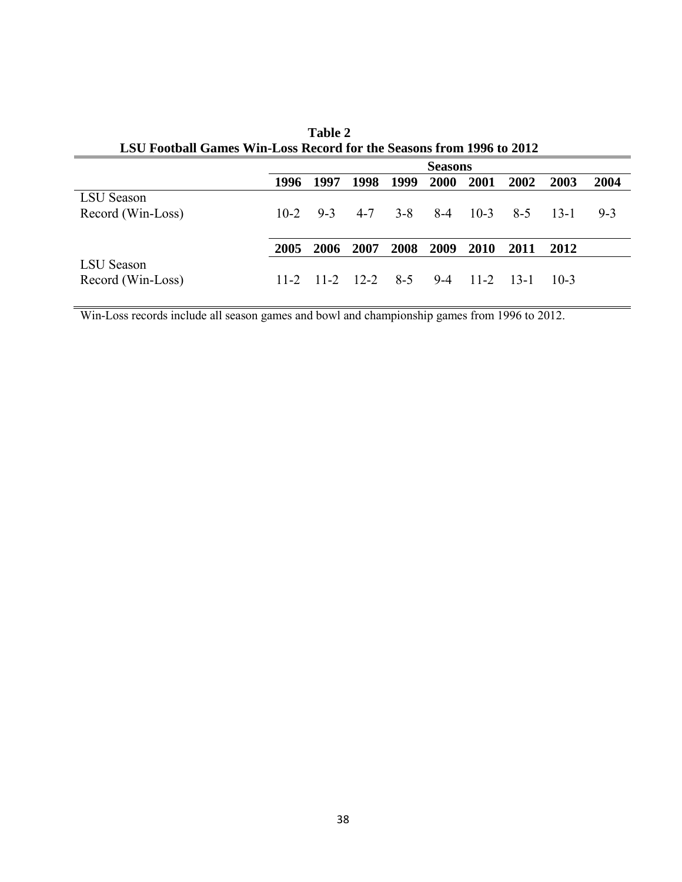|                   | <b>Seasons</b> |         |                            |         |                |        |         |        |       |
|-------------------|----------------|---------|----------------------------|---------|----------------|--------|---------|--------|-------|
|                   | 1996           | 1997    | 1998                       | 1999    | <b>2000</b>    | 2001   | 2002    | 2003   | 2004  |
| <b>LSU</b> Season |                |         |                            |         |                |        |         |        |       |
| Record (Win-Loss) | $10-2$         | $9 - 3$ | 4-7                        | $3 - 8$ | $8-4$          | $10-3$ | $8 - 5$ | $13-1$ | $9-3$ |
|                   |                |         |                            |         |                |        |         |        |       |
|                   | 2005           | 2006    | 2007                       |         | 2008 2009 2010 |        | 2011    | 2012   |       |
| LSU Season        |                |         |                            |         |                |        |         |        |       |
| Record (Win-Loss) |                |         | $11-2$ $11-2$ $12-2$ $8-5$ |         | $9-4$          | $11-2$ | $13-1$  | $10-3$ |       |

**Table 2 LSU Football Games Win-Loss Record for the Seasons from 1996 to 2012**

Win-Loss records include all season games and bowl and championship games from 1996 to 2012.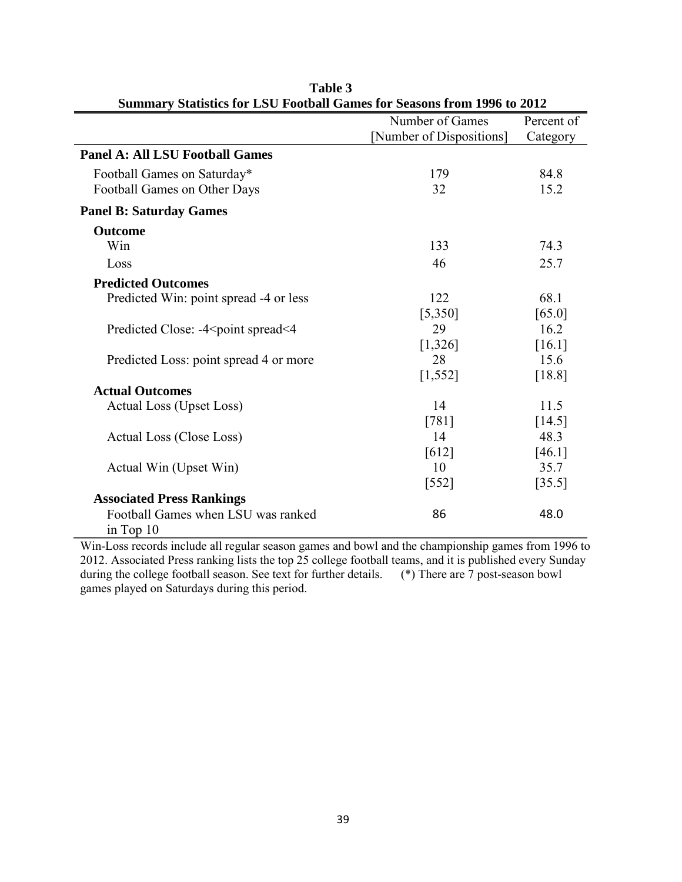|                                                                                | Number of Games          | Percent of |
|--------------------------------------------------------------------------------|--------------------------|------------|
|                                                                                | [Number of Dispositions] | Category   |
| <b>Panel A: All LSU Football Games</b>                                         |                          |            |
| Football Games on Saturday*                                                    | 179                      | 84.8       |
| Football Games on Other Days                                                   | 32                       | 15.2       |
| <b>Panel B: Saturday Games</b>                                                 |                          |            |
| <b>Outcome</b>                                                                 |                          |            |
| Win                                                                            | 133                      | 74.3       |
| Loss                                                                           | 46                       | 25.7       |
| <b>Predicted Outcomes</b>                                                      |                          |            |
| Predicted Win: point spread -4 or less                                         | 122                      | 68.1       |
|                                                                                | [5,350]                  | [65.0]     |
| Predicted Close: -4 <point spread<4<="" td=""><td>29</td><td>16.2</td></point> | 29                       | 16.2       |
|                                                                                | [1,326]                  | [16.1]     |
| Predicted Loss: point spread 4 or more                                         | 28                       | 15.6       |
|                                                                                | [1, 552]                 | [18.8]     |
| <b>Actual Outcomes</b>                                                         |                          |            |
| Actual Loss (Upset Loss)                                                       | 14                       | 11.5       |
|                                                                                | $[781]$                  | [14.5]     |
| Actual Loss (Close Loss)                                                       | 14                       | 48.3       |
|                                                                                | [612]                    | [46.1]     |
| Actual Win (Upset Win)                                                         | 10                       | 35.7       |
|                                                                                | $[552]$                  | [35.5]     |
| <b>Associated Press Rankings</b>                                               |                          |            |
| Football Games when LSU was ranked                                             | 86                       | 48.0       |
| in Top $10$                                                                    |                          |            |

**Table 3 Summary Statistics for LSU Football Games for Seasons from 1996 to 2012**

Win-Loss records include all regular season games and bowl and the championship games from 1996 to 2012. Associated Press ranking lists the top 25 college football teams, and it is published every Sunday during the college football season. See text for further details. (\*) There are 7 post-season bowl during the college football season. See text for further details. games played on Saturdays during this period.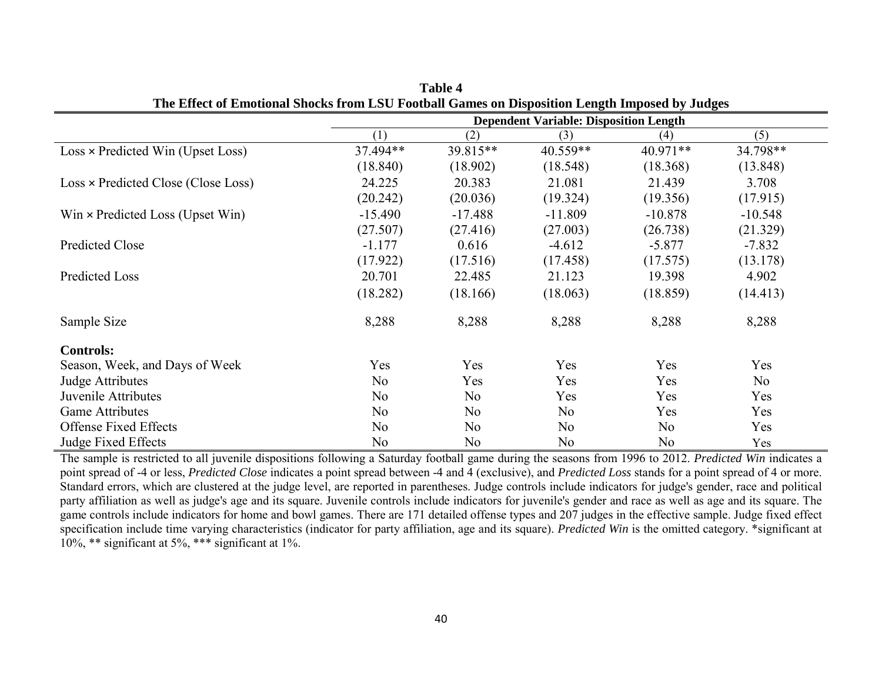|                                          | <b>Dependent Variable: Disposition Length</b> |           |            |            |           |  |  |
|------------------------------------------|-----------------------------------------------|-----------|------------|------------|-----------|--|--|
|                                          | (1)                                           | (2)       | (3)        | (4)        | (5)       |  |  |
| $Loss \times Predicted Win (Upset Loss)$ | 37.494**                                      | 39.815**  | $40.559**$ | $40.971**$ | 34.798**  |  |  |
|                                          | (18.840)                                      | (18.902)  | (18.548)   | (18.368)   | (13.848)  |  |  |
| Loss × Predicted Close (Close Loss)      | 24.225                                        | 20.383    | 21.081     | 21.439     | 3.708     |  |  |
|                                          | (20.242)                                      | (20.036)  | (19.324)   | (19.356)   | (17.915)  |  |  |
| $Win \times Predicted Loss (Upset Win)$  | $-15.490$                                     | $-17.488$ | $-11.809$  | $-10.878$  | $-10.548$ |  |  |
|                                          | (27.507)                                      | (27.416)  | (27.003)   | (26.738)   | (21.329)  |  |  |
| <b>Predicted Close</b>                   | $-1.177$                                      | 0.616     | $-4.612$   | $-5.877$   | $-7.832$  |  |  |
|                                          | (17.922)                                      | (17.516)  | (17.458)   | (17.575)   | (13.178)  |  |  |
| Predicted Loss                           | 20.701                                        | 22.485    | 21.123     | 19.398     | 4.902     |  |  |
|                                          | (18.282)                                      | (18.166)  | (18.063)   | (18.859)   | (14.413)  |  |  |
| Sample Size                              | 8,288                                         | 8,288     | 8,288      | 8,288      | 8,288     |  |  |
| <b>Controls:</b>                         |                                               |           |            |            |           |  |  |
| Season, Week, and Days of Week           | Yes                                           | Yes       | Yes        | Yes        | Yes       |  |  |
| Judge Attributes                         | No                                            | Yes       | Yes        | Yes        | No        |  |  |
| Juvenile Attributes                      | N <sub>o</sub>                                | No        | Yes        | Yes        | Yes       |  |  |
| <b>Game Attributes</b>                   | N <sub>o</sub>                                | No        | No         | Yes        | Yes       |  |  |
| <b>Offense Fixed Effects</b>             | No                                            | No        | No         | No         | Yes       |  |  |
| Judge Fixed Effects                      | N <sub>o</sub>                                | No        | No         | No         | Yes       |  |  |

**Table 4 The Effect of Emotional Shocks from LSU Football Games on Disposition Length Imposed by Judges**

The sample is restricted to all juvenile dispositions following a Saturday football game during the seasons from 1996 to 2012. *Predicted Win* indicates a point spread of -4 or less, *Predicted Close* indicates a point spread between -4 and 4 (exclusive), and *Predicted Loss* stands for a point spread of 4 or more. Standard errors, which are clustered at the judge level, are reported in parentheses. Judge controls include indicators for judge's gender, race and political party affiliation as well as judge's age and its square. Juvenile controls include indicators for juvenile's gender and race as well as age and its square. The game controls include indicators for home and bowl games. There are 171 detailed offense types and 207 judges in the effective sample. Judge fixed effect specification include time varying characteristics (indicator for party affiliation, age and its square). *Predicted Win* is the omitted category. \*significant at  $10\%$ , \*\* significant at 5%, \*\*\* significant at 1%.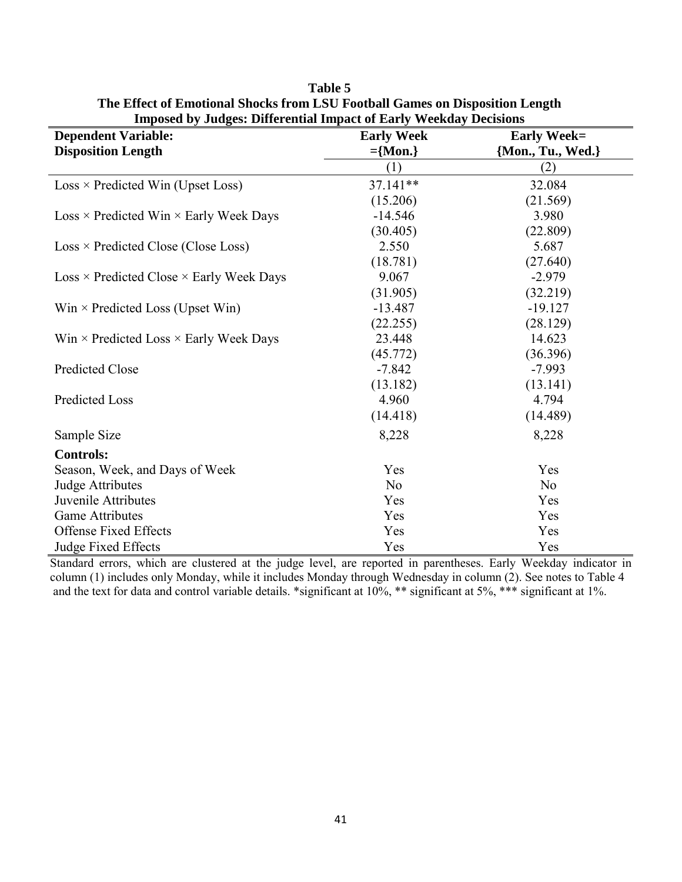| Imposed by Judges. Differential impact of Early Weekuay Decisions |                   |                    |  |  |  |  |
|-------------------------------------------------------------------|-------------------|--------------------|--|--|--|--|
| <b>Dependent Variable:</b>                                        | <b>Early Week</b> | <b>Early Week=</b> |  |  |  |  |
| <b>Disposition Length</b>                                         | $=\{Mon.\}$       | {Mon., Tu., Wed.}  |  |  |  |  |
|                                                                   | (1)               | (2)                |  |  |  |  |
| $Loss \times Predicted Win (Upset Loss)$                          | 37.141**          | 32.084             |  |  |  |  |
|                                                                   | (15.206)          | (21.569)           |  |  |  |  |
| $Loss \times Predicted Win \times Early Week$ Days                | $-14.546$         | 3.980              |  |  |  |  |
|                                                                   | (30.405)          | (22.809)           |  |  |  |  |
| $Loss \times Predicted Close (Close Loss)$                        | 2.550             | 5.687              |  |  |  |  |
|                                                                   | (18.781)          | (27.640)           |  |  |  |  |
| $Loss \times Predicted Close \times Early Week Days$              | 9.067             | $-2.979$           |  |  |  |  |
|                                                                   | (31.905)          | (32.219)           |  |  |  |  |
| $Win \times Predicted Loss$ (Upset Win)                           | $-13.487$         | $-19.127$          |  |  |  |  |
|                                                                   | (22.255)          | (28.129)           |  |  |  |  |
| Win $\times$ Predicted Loss $\times$ Early Week Days              | 23.448            | 14.623             |  |  |  |  |
|                                                                   | (45.772)          | (36.396)           |  |  |  |  |
| <b>Predicted Close</b>                                            | $-7.842$          | $-7.993$           |  |  |  |  |
|                                                                   | (13.182)          | (13.141)           |  |  |  |  |
| Predicted Loss                                                    | 4.960             | 4.794              |  |  |  |  |
|                                                                   | (14.418)          | (14.489)           |  |  |  |  |
| Sample Size                                                       | 8,228             | 8,228              |  |  |  |  |
| <b>Controls:</b>                                                  |                   |                    |  |  |  |  |
| Season, Week, and Days of Week                                    | Yes               | Yes                |  |  |  |  |
| <b>Judge Attributes</b>                                           | No                | No                 |  |  |  |  |
| Juvenile Attributes                                               | Yes               | Yes                |  |  |  |  |
| <b>Game Attributes</b>                                            | Yes               | Yes                |  |  |  |  |
| <b>Offense Fixed Effects</b>                                      | Yes               | Yes                |  |  |  |  |
| Judge Fixed Effects                                               | Yes               | Yes                |  |  |  |  |

**Table 5 The Effect of Emotional Shocks from LSU Football Games on Disposition Length Imposed by Judges: Differential Impact of Early Weekday Decisions**

Standard errors, which are clustered at the judge level, are reported in parentheses. Early Weekday indicator in column (1) includes only Monday, while it includes Monday through Wednesday in column (2). See notes to Table 4 and the text for data and control variable details. \*significant at 10%, \*\* significant at 5%, \*\*\* significant at 1%.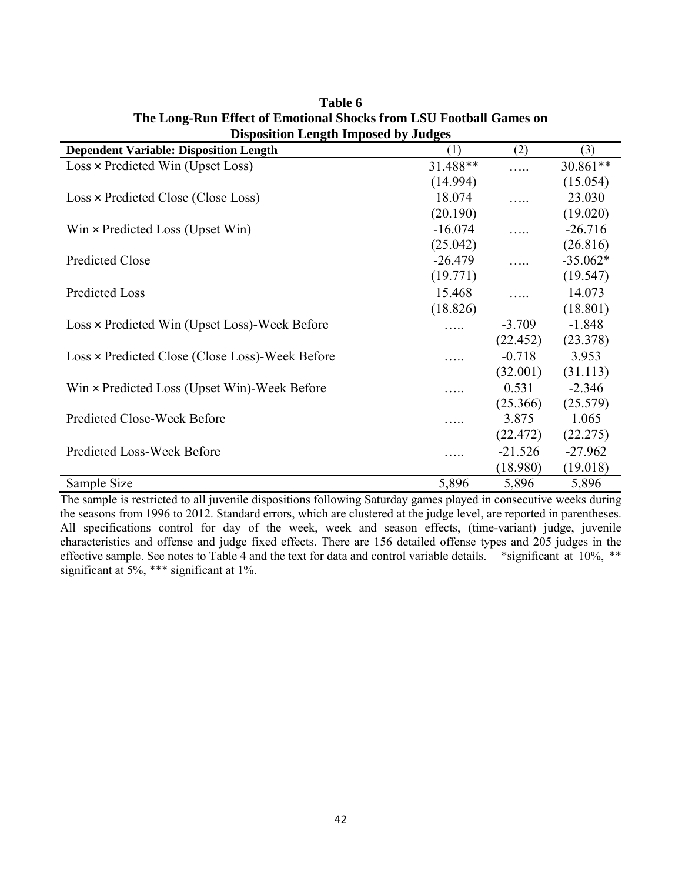| Disposition Length Imposed by Judges            |           |           |            |
|-------------------------------------------------|-----------|-----------|------------|
| <b>Dependent Variable: Disposition Length</b>   | (1)       | (2)       | (3)        |
| Loss × Predicted Win (Upset Loss)               | 31.488**  |           | 30.861**   |
|                                                 | (14.994)  |           | (15.054)   |
| Loss × Predicted Close (Close Loss)             | 18.074    |           | 23.030     |
|                                                 | (20.190)  |           | (19.020)   |
| $Win \times Predicted Loss (Upset Win)$         | $-16.074$ |           | $-26.716$  |
|                                                 | (25.042)  |           | (26.816)   |
| Predicted Close                                 | $-26.479$ |           | $-35.062*$ |
|                                                 | (19.771)  |           | (19.547)   |
| Predicted Loss                                  | 15.468    |           | 14.073     |
|                                                 | (18.826)  |           | (18.801)   |
| Loss × Predicted Win (Upset Loss)-Week Before   | .         | $-3.709$  | $-1.848$   |
|                                                 |           | (22.452)  | (23.378)   |
| Loss × Predicted Close (Close Loss)-Week Before |           | $-0.718$  | 3.953      |
|                                                 |           | (32.001)  | (31.113)   |
| Win × Predicted Loss (Upset Win)-Week Before    | .         | 0.531     | $-2.346$   |
|                                                 |           | (25.366)  | (25.579)   |
| Predicted Close-Week Before                     | .         | 3.875     | 1.065      |
|                                                 |           | (22.472)  | (22.275)   |
| Predicted Loss-Week Before                      | .         | $-21.526$ | $-27.962$  |
|                                                 |           | (18.980)  | (19.018)   |
| Sample Size                                     | 5,896     | 5,896     | 5,896      |

**Table 6 The Long-Run Effect of Emotional Shocks from LSU Football Games on Disposition Length Imposed by Judges**

The sample is restricted to all juvenile dispositions following Saturday games played in consecutive weeks during the seasons from 1996 to 2012. Standard errors, which are clustered at the judge level, are reported in parentheses. All specifications control for day of the week, week and season effects, (time-variant) judge, juvenile characteristics and offense and judge fixed effects. There are 156 detailed offense types and 205 judges in the effective sample. See notes to Table 4 and the text for data and control variable details. \*significant at 10%, \*\* significant at 5%, \*\*\* significant at 1%.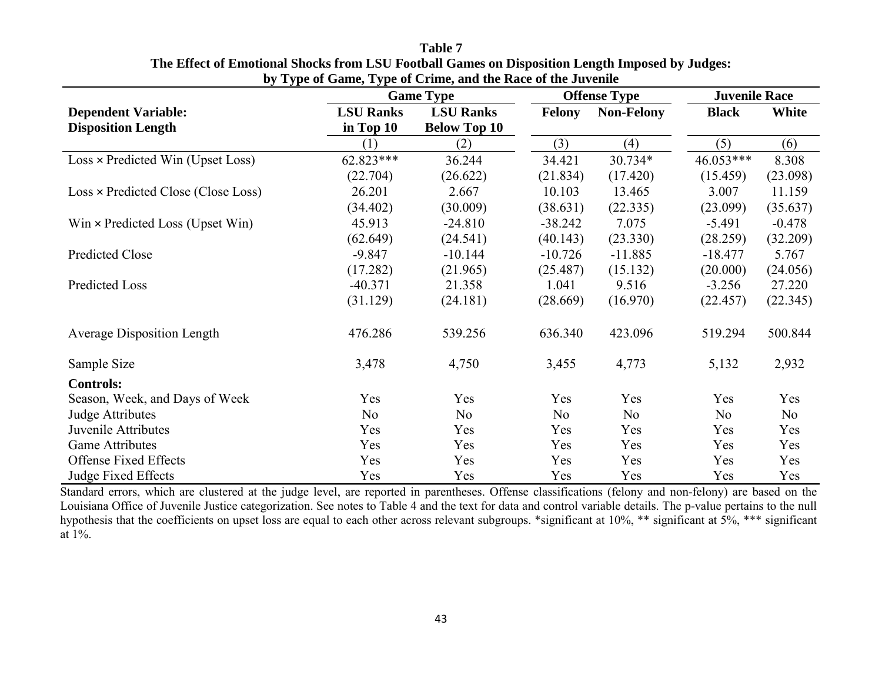| $\sim$ $\sim$ $\sim$                    |                  | <b>Game Type</b>    |               | <b>Offense Type</b> | <b>Juvenile Race</b> |          |  |
|-----------------------------------------|------------------|---------------------|---------------|---------------------|----------------------|----------|--|
| <b>Dependent Variable:</b>              | <b>LSU Ranks</b> | <b>LSU Ranks</b>    | <b>Felony</b> | <b>Non-Felony</b>   | <b>Black</b>         | White    |  |
| <b>Disposition Length</b>               | in Top 10        | <b>Below Top 10</b> |               |                     |                      |          |  |
|                                         | (1)              | (2)                 | (3)           | (4)                 | (5)                  | (6)      |  |
| Loss × Predicted Win (Upset Loss)       | 62.823***        | 36.244              | 34.421        | 30.734*             | 46.053***            | 8.308    |  |
|                                         | (22.704)         | (26.622)            | (21.834)      | (17.420)            | (15.459)             | (23.098) |  |
| Loss × Predicted Close (Close Loss)     | 26.201           | 2.667               | 10.103        | 13.465              | 3.007                | 11.159   |  |
|                                         | (34.402)         | (30.009)            | (38.631)      | (22.335)            | (23.099)             | (35.637) |  |
| Win $\times$ Predicted Loss (Upset Win) | 45.913           | $-24.810$           | $-38.242$     | 7.075               | $-5.491$             | $-0.478$ |  |
|                                         | (62.649)         | (24.541)            | (40.143)      | (23.330)            | (28.259)             | (32.209) |  |
| <b>Predicted Close</b>                  | $-9.847$         | $-10.144$           | $-10.726$     | $-11.885$           | $-18.477$            | 5.767    |  |
|                                         | (17.282)         | (21.965)            | (25.487)      | (15.132)            | (20.000)             | (24.056) |  |
| Predicted Loss                          | $-40.371$        | 21.358              | 1.041         | 9.516               | $-3.256$             | 27.220   |  |
|                                         | (31.129)         | (24.181)            | (28.669)      | (16.970)            | (22.457)             | (22.345) |  |
| <b>Average Disposition Length</b>       | 476.286          | 539.256             | 636.340       | 423.096             | 519.294              | 500.844  |  |
| Sample Size                             | 3,478            | 4,750               | 3,455         | 4,773               | 5,132                | 2,932    |  |
| <b>Controls:</b>                        |                  |                     |               |                     |                      |          |  |
| Season, Week, and Days of Week          | Yes              | Yes                 | Yes           | Yes                 | Yes                  | Yes      |  |
| Judge Attributes                        | No               | No                  | No            | No                  | N <sub>o</sub>       | No       |  |
| Juvenile Attributes                     | Yes              | Yes                 | Yes           | Yes                 | Yes                  | Yes      |  |
| <b>Game Attributes</b>                  | Yes              | Yes                 | Yes           | Yes                 | Yes                  | Yes      |  |
| <b>Offense Fixed Effects</b>            | Yes              | Yes                 | Yes           | Yes                 | Yes                  | Yes      |  |
| <b>Judge Fixed Effects</b>              | Yes              | Yes                 | Yes           | Yes                 | Yes                  | Yes      |  |

**Table 7 The Effect of Emotional Shocks from LSU Football Games on Disposition Length Imposed by Judges: by Type of Game, Type of Crime, and the Race of the Juvenile**

Standard errors, which are clustered at the judge level, are reported in parentheses. Offense classifications (felony and non-felony) are based on the Louisiana Office of Juvenile Justice categorization. See notes to Table 4 and the text for data and control variable details. The p-value pertains to the null hypothesis that the coefficients on upset loss are equal to each other across relevant subgroups. \*significant at 10%, \*\* significant at 5%, \*\*\* significant at 1%.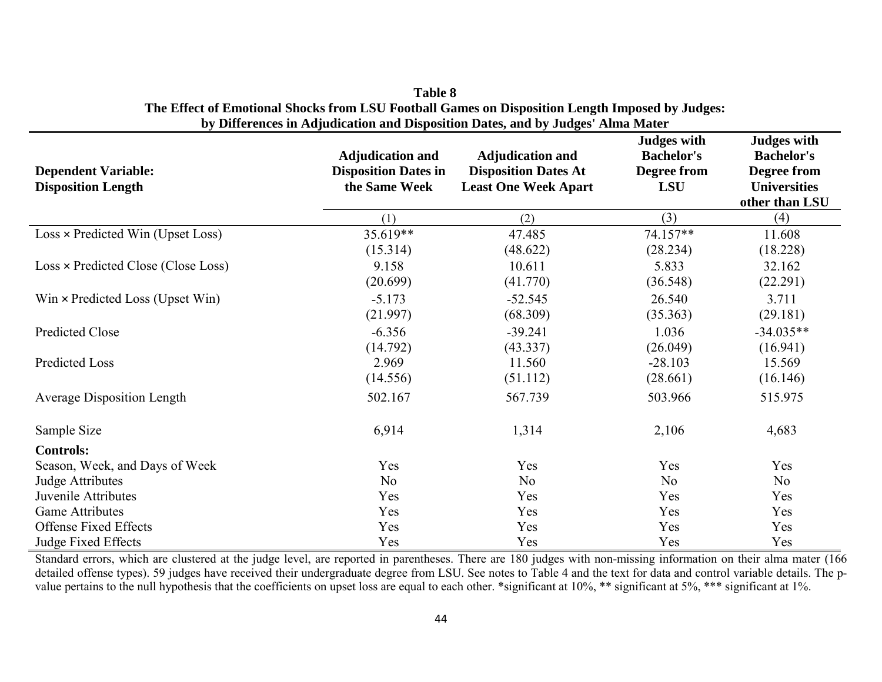| <b>Dependent Variable:</b><br><b>Disposition Length</b> | <b>Adjudication and</b><br><b>Disposition Dates in</b><br>the Same Week | <b>Adjudication and</b><br><b>Disposition Dates At</b><br><b>Least One Week Apart</b> | <b>Judges with</b><br><b>Bachelor's</b><br>Degree from<br><b>LSU</b> | <b>Judges with</b><br><b>Bachelor's</b><br>Degree from<br><b>Universities</b><br>other than LSU |
|---------------------------------------------------------|-------------------------------------------------------------------------|---------------------------------------------------------------------------------------|----------------------------------------------------------------------|-------------------------------------------------------------------------------------------------|
|                                                         | (1)                                                                     | (2)                                                                                   | (3)                                                                  | (4)                                                                                             |
| Loss × Predicted Win (Upset Loss)                       | 35.619**<br>(15.314)                                                    | 47.485<br>(48.622)                                                                    | 74.157**<br>(28.234)                                                 | 11.608<br>(18.228)                                                                              |
| Loss × Predicted Close (Close Loss)                     | 9.158<br>(20.699)                                                       | 10.611<br>(41.770)                                                                    | 5.833<br>(36.548)                                                    | 32.162<br>(22.291)                                                                              |
| $Win \times Predicted Loss (Upset Win)$                 | $-5.173$<br>(21.997)                                                    | $-52.545$<br>(68.309)                                                                 | 26.540<br>(35.363)                                                   | 3.711<br>(29.181)                                                                               |
| Predicted Close                                         | $-6.356$<br>(14.792)                                                    | $-39.241$<br>(43.337)                                                                 | 1.036<br>(26.049)                                                    | $-34.035**$<br>(16.941)                                                                         |
| <b>Predicted Loss</b>                                   | 2.969<br>(14.556)                                                       | 11.560<br>(51.112)                                                                    | $-28.103$<br>(28.661)                                                | 15.569<br>(16.146)                                                                              |
| <b>Average Disposition Length</b>                       | 502.167                                                                 | 567.739                                                                               | 503.966                                                              | 515.975                                                                                         |
| Sample Size                                             | 6,914                                                                   | 1,314                                                                                 | 2,106                                                                | 4,683                                                                                           |
| <b>Controls:</b>                                        |                                                                         |                                                                                       |                                                                      |                                                                                                 |
| Season, Week, and Days of Week                          | Yes                                                                     | Yes                                                                                   | Yes                                                                  | Yes                                                                                             |
| Judge Attributes                                        | No                                                                      | No                                                                                    | No                                                                   | No                                                                                              |
| Juvenile Attributes                                     | Yes                                                                     | Yes                                                                                   | Yes                                                                  | Yes                                                                                             |
| <b>Game Attributes</b>                                  | Yes                                                                     | Yes                                                                                   | Yes                                                                  | Yes                                                                                             |
| <b>Offense Fixed Effects</b>                            | Yes                                                                     | Yes                                                                                   | Yes                                                                  | Yes                                                                                             |
| Judge Fixed Effects                                     | Yes                                                                     | Yes                                                                                   | Yes                                                                  | Yes                                                                                             |

| <b>Table 8</b>                                                                                  |
|-------------------------------------------------------------------------------------------------|
| The Effect of Emotional Shocks from LSU Football Games on Disposition Length Imposed by Judges: |
| by Differences in Adjudication and Disposition Dates, and by Judges' Alma Mater                 |

Standard errors, which are clustered at the judge level, are reported in parentheses. There are 180 judges with non-missing information on their alma mater (166 detailed offense types). 59 judges have received their undergraduate degree from LSU. See notes to Table 4 and the text for data and control variable details. The pvalue pertains to the null hypothesis that the coefficients on upset loss are equal to each other. \*significant at 10%, \*\* significant at 5%, \*\*\* significant at 1%.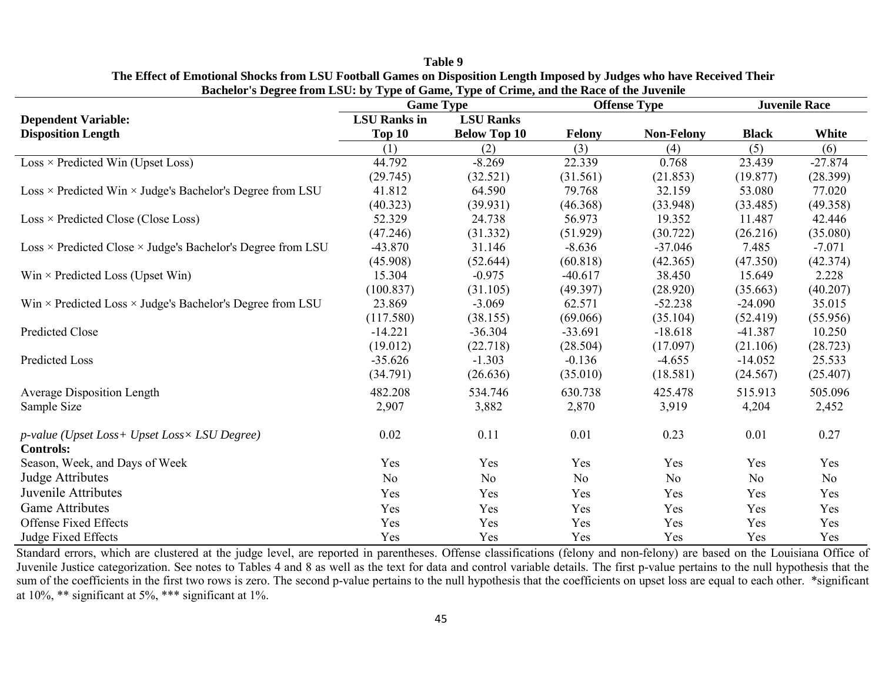|                                                                         | <b>Game Type</b>    |                     |           | <b>Offense Type</b> | <b>Juvenile Race</b> |           |
|-------------------------------------------------------------------------|---------------------|---------------------|-----------|---------------------|----------------------|-----------|
| <b>Dependent Variable:</b>                                              | <b>LSU</b> Ranks in | <b>LSU Ranks</b>    |           |                     |                      |           |
| <b>Disposition Length</b>                                               | <b>Top 10</b>       | <b>Below Top 10</b> | Felony    | <b>Non-Felony</b>   | <b>Black</b>         | White     |
|                                                                         | (1)                 | (2)                 | (3)       | (4)                 | (5)                  | (6)       |
| $Loss \times Predicted Win (Upset Loss)$                                | 44.792              | $-8.269$            | 22.339    | 0.768               | 23.439               | $-27.874$ |
|                                                                         | (29.745)            | (32.521)            | (31.561)  | (21.853)            | (19.877)             | (28.399)  |
| Loss × Predicted Win × Judge's Bachelor's Degree from LSU               | 41.812              | 64.590              | 79.768    | 32.159              | 53.080               | 77.020    |
|                                                                         | (40.323)            | (39.931)            | (46.368)  | (33.948)            | (33.485)             | (49.358)  |
| $Loss \times Predicted Close (Close Loss)$                              | 52.329              | 24.738              | 56.973    | 19.352              | 11.487               | 42.446    |
|                                                                         | (47.246)            | (31.332)            | (51.929)  | (30.722)            | (26.216)             | (35.080)  |
| $Loss \times Predicted Close \times Judge's Bachelor's Degree from LSU$ | $-43.870$           | 31.146              | $-8.636$  | $-37.046$           | 7.485                | $-7.071$  |
|                                                                         | (45.908)            | (52.644)            | (60.818)  | (42.365)            | (47.350)             | (42.374)  |
| $Win \times Predicted Loss (Upset Win)$                                 | 15.304              | $-0.975$            | $-40.617$ | 38.450              | 15.649               | 2.228     |
|                                                                         | (100.837)           | (31.105)            | (49.397)  | (28.920)            | (35.663)             | (40.207)  |
| Win $\times$ Predicted Loss $\times$ Judge's Bachelor's Degree from LSU | 23.869              | $-3.069$            | 62.571    | $-52.238$           | $-24.090$            | 35.015    |
|                                                                         | (117.580)           | (38.155)            | (69.066)  | (35.104)            | (52.419)             | (55.956)  |
| <b>Predicted Close</b>                                                  | $-14.221$           | $-36.304$           | $-33.691$ | $-18.618$           | $-41.387$            | 10.250    |
|                                                                         | (19.012)            | (22.718)            | (28.504)  | (17.097)            | (21.106)             | (28.723)  |
| Predicted Loss                                                          | $-35.626$           | $-1.303$            | $-0.136$  | $-4.655$            | $-14.052$            | 25.533    |
|                                                                         | (34.791)            | (26.636)            | (35.010)  | (18.581)            | (24.567)             | (25.407)  |
| <b>Average Disposition Length</b>                                       | 482.208             | 534.746             | 630.738   | 425.478             | 515.913              | 505.096   |
| Sample Size                                                             | 2,907               | 3,882               | 2,870     | 3,919               | 4,204                | 2,452     |
| p-value (Upset Loss+ Upset Loss× LSU Degree)                            | 0.02                | 0.11                | 0.01      | 0.23                | 0.01                 | 0.27      |
| <b>Controls:</b>                                                        |                     |                     |           |                     |                      |           |
| Season, Week, and Days of Week                                          | Yes                 | Yes                 | Yes       | Yes                 | Yes                  | Yes       |
| Judge Attributes                                                        | N <sub>o</sub>      | N <sub>o</sub>      | No        | No                  | N <sub>o</sub>       | No        |
| Juvenile Attributes                                                     | Yes                 | Yes                 | Yes       | Yes                 | Yes                  | Yes       |
| <b>Game Attributes</b>                                                  | Yes                 | Yes                 | Yes       | Yes                 | Yes                  | Yes       |
| <b>Offense Fixed Effects</b>                                            | Yes                 | Yes                 | Yes       | Yes                 | Yes                  | Yes       |
| Judge Fixed Effects                                                     | Yes                 | Yes                 | Yes       | Yes                 | Yes                  | Yes       |

**Table 9 The Effect of Emotional Shocks from LSU Football Games on Disposition Length Imposed by Judges who have Received Their Bachelor's Degree from LSU: by Type of Game, Type of Crime, and the Race of the Juvenile**

Standard errors, which are clustered at the judge level, are reported in parentheses. Offense classifications (felony and non-felony) are based on the Louisiana Office of Juvenile Justice categorization. See notes to Tables 4 and 8 as well as the text for data and control variable details. The first p-value pertains to the null hypothesis that the sum of the coefficients in the first two rows is zero. The second p-value pertains to the null hypothesis that the coefficients on upset loss are equal to each other. \*significant at 10%, \*\* significant at 5%, \*\*\* significant at 1%.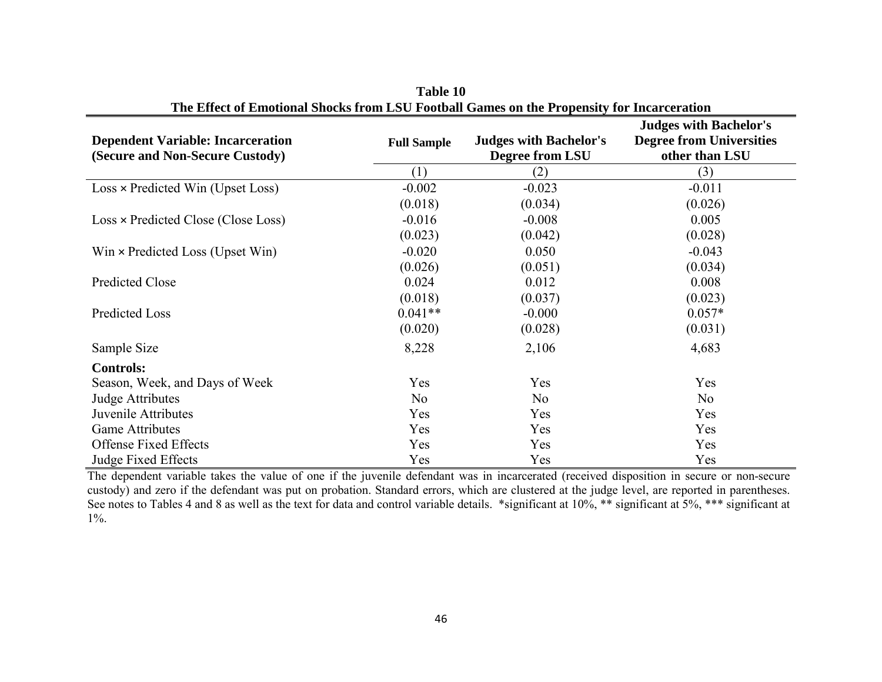|                                          |                    |                               | <b>Judges with Bachelor's</b>   |
|------------------------------------------|--------------------|-------------------------------|---------------------------------|
| <b>Dependent Variable: Incarceration</b> | <b>Full Sample</b> | <b>Judges with Bachelor's</b> | <b>Degree from Universities</b> |
| (Secure and Non-Secure Custody)          |                    | Degree from LSU               | other than LSU                  |
|                                          | (1)                | (2)                           | (3)                             |
| $Loss \times Predicted Win (Upset Loss)$ | $-0.002$           | $-0.023$                      | $-0.011$                        |
|                                          | (0.018)            | (0.034)                       | (0.026)                         |
| Loss × Predicted Close (Close Loss)      | $-0.016$           | $-0.008$                      | 0.005                           |
|                                          | (0.023)            | (0.042)                       | (0.028)                         |
| $Win \times Predicted Loss (Upset Win)$  | $-0.020$           | 0.050                         | $-0.043$                        |
|                                          | (0.026)            | (0.051)                       | (0.034)                         |
| Predicted Close                          | 0.024              | 0.012                         | 0.008                           |
|                                          | (0.018)            | (0.037)                       | (0.023)                         |
| <b>Predicted Loss</b>                    | $0.041**$          | $-0.000$                      | $0.057*$                        |
|                                          | (0.020)            | (0.028)                       | (0.031)                         |
| Sample Size                              | 8,228              | 2,106                         | 4,683                           |
| <b>Controls:</b>                         |                    |                               |                                 |
| Season, Week, and Days of Week           | Yes                | Yes                           | <b>Yes</b>                      |
| Judge Attributes                         | N <sub>o</sub>     | N <sub>o</sub>                | No                              |
| Juvenile Attributes                      | Yes                | Yes                           | Yes                             |
| <b>Game Attributes</b>                   | Yes                | Yes                           | Yes                             |
| <b>Offense Fixed Effects</b>             | Yes                | Yes                           | Yes                             |
| Judge Fixed Effects                      | Yes                | Yes                           | Yes                             |

**Table 10 The Effect of Emotional Shocks from LSU Football Games on the Propensity for Incarceration**

The dependent variable takes the value of one if the juvenile defendant was in incarcerated (received disposition in secure or non-secure custody) and zero if the defendant was put on probation. Standard errors, which are clustered at the judge level, are reported in parentheses. See notes to Tables 4 and 8 as well as the text for data and control variable details. \*significant at 10%, \*\* significant at 5%, \*\*\* significant at 1%.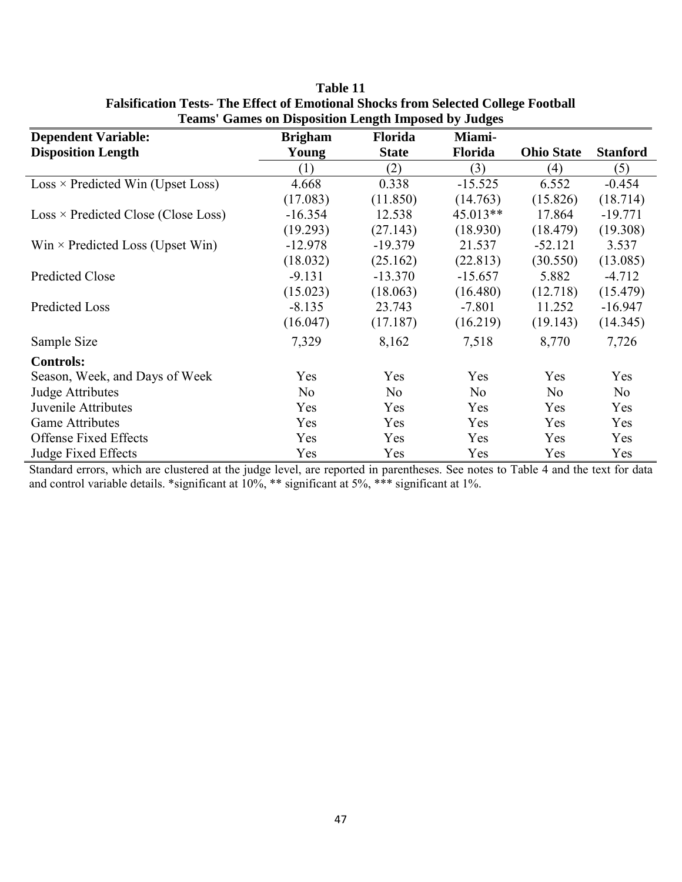|                                            | <b>Teams</b> Games on Disposition Length Imposed by Judges |                |           |                   |                 |
|--------------------------------------------|------------------------------------------------------------|----------------|-----------|-------------------|-----------------|
| <b>Dependent Variable:</b>                 | <b>Brigham</b>                                             | <b>Florida</b> | Miami-    |                   |                 |
| <b>Disposition Length</b>                  | Young                                                      | <b>State</b>   | Florida   | <b>Ohio State</b> | <b>Stanford</b> |
|                                            | (1)                                                        | (2)            | (3)       | (4)               | (5)             |
| $Loss \times Predicted Win (Upset Loss)$   | 4.668                                                      | 0.338          | $-15.525$ | 6.552             | $-0.454$        |
|                                            | (17.083)                                                   | (11.850)       | (14.763)  | (15.826)          | (18.714)        |
| $Loss \times Predicted Close (Close Loss)$ | $-16.354$                                                  | 12.538         | 45.013**  | 17.864            | $-19.771$       |
|                                            | (19.293)                                                   | (27.143)       | (18.930)  | (18.479)          | (19.308)        |
| $Win \times Predicted Loss (Upset Win)$    | $-12.978$                                                  | $-19.379$      | 21.537    | $-52.121$         | 3.537           |
|                                            | (18.032)                                                   | (25.162)       | (22.813)  | (30.550)          | (13.085)        |
| <b>Predicted Close</b>                     | $-9.131$                                                   | $-13.370$      | $-15.657$ | 5.882             | $-4.712$        |
|                                            | (15.023)                                                   | (18.063)       | (16.480)  | (12.718)          | (15.479)        |
| <b>Predicted Loss</b>                      | $-8.135$                                                   | 23.743         | $-7.801$  | 11.252            | $-16.947$       |
|                                            | (16.047)                                                   | (17.187)       | (16.219)  | (19.143)          | (14.345)        |
| Sample Size                                | 7,329                                                      | 8,162          | 7,518     | 8,770             | 7,726           |
| <b>Controls:</b>                           |                                                            |                |           |                   |                 |
| Season, Week, and Days of Week             | Yes                                                        | Yes            | Yes       | Yes               | Yes             |
| Judge Attributes                           | No                                                         | N <sub>o</sub> | No        | No                | No              |
| Juvenile Attributes                        | Yes                                                        | Yes            | Yes       | Yes               | Yes             |
| <b>Game Attributes</b>                     | Yes                                                        | Yes            | Yes       | Yes               | Yes             |
| <b>Offense Fixed Effects</b>               | Yes                                                        | Yes            | Yes       | Yes               | Yes             |
| <b>Judge Fixed Effects</b>                 | Yes                                                        | Yes            | Yes       | Yes               | Yes             |

| Table 11                                                                                 |
|------------------------------------------------------------------------------------------|
| <b>Falsification Tests-The Effect of Emotional Shocks from Selected College Football</b> |
| <b>Teams' Games on Disposition Length Imposed by Judges</b>                              |

Standard errors, which are clustered at the judge level, are reported in parentheses. See notes to Table 4 and the text for data and control variable details. \*significant at 10%, \*\* significant at 5%, \*\*\* significant at 1%.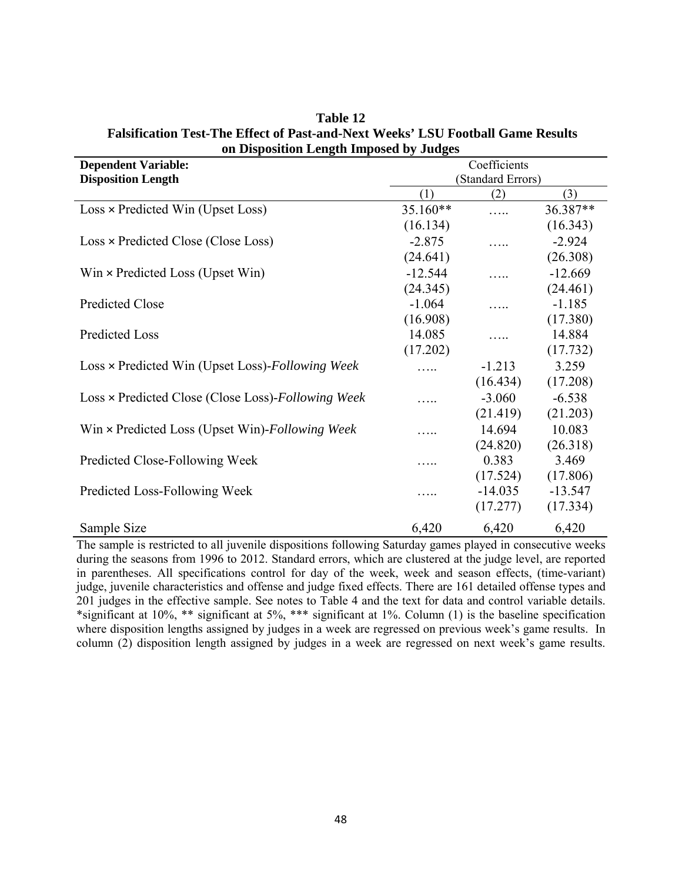| <b>Dependent Variable:</b>                         |                   | Coefficients |           |  |
|----------------------------------------------------|-------------------|--------------|-----------|--|
| <b>Disposition Length</b>                          | (Standard Errors) |              |           |  |
|                                                    | (1)               | (2)          | (3)       |  |
| $Loss \times Predicted Win (Upset Loss)$           | 35.160**          |              | 36.387**  |  |
|                                                    | (16.134)          |              | (16.343)  |  |
| Loss × Predicted Close (Close Loss)                | $-2.875$          |              | $-2.924$  |  |
|                                                    | (24.641)          |              | (26.308)  |  |
| $Win \times Predicted Loss (Upset Win)$            | $-12.544$         |              | $-12.669$ |  |
|                                                    | (24.345)          |              | (24.461)  |  |
| Predicted Close                                    | $-1.064$          |              | $-1.185$  |  |
|                                                    | (16.908)          |              | (17.380)  |  |
| Predicted Loss                                     | 14.085            |              | 14.884    |  |
|                                                    | (17.202)          |              | (17.732)  |  |
| Loss × Predicted Win (Upset Loss)-Following Week   |                   | $-1.213$     | 3.259     |  |
|                                                    |                   | (16.434)     | (17.208)  |  |
| Loss × Predicted Close (Close Loss)-Following Week |                   | $-3.060$     | $-6.538$  |  |
|                                                    |                   | (21.419)     | (21.203)  |  |
| Win × Predicted Loss (Upset Win)-Following Week    |                   | 14.694       | 10.083    |  |
|                                                    |                   | (24.820)     | (26.318)  |  |
| Predicted Close-Following Week                     | .                 | 0.383        | 3.469     |  |
|                                                    |                   | (17.524)     | (17.806)  |  |
| Predicted Loss-Following Week                      | .                 | $-14.035$    | $-13.547$ |  |
|                                                    |                   | (17.277)     | (17.334)  |  |
| Sample Size                                        | 6,420             | 6,420        | 6,420     |  |

**Table 12 Falsification Test-The Effect of Past-and-Next Weeks' LSU Football Game Results on Disposition Length Imposed by Judges**

The sample is restricted to all juvenile dispositions following Saturday games played in consecutive weeks during the seasons from 1996 to 2012. Standard errors, which are clustered at the judge level, are reported in parentheses. All specifications control for day of the week, week and season effects, (time-variant) judge, juvenile characteristics and offense and judge fixed effects. There are 161 detailed offense types and 201 judges in the effective sample. See notes to Table 4 and the text for data and control variable details. \*significant at 10%, \*\* significant at 5%, \*\*\* significant at 1%. Column (1) is the baseline specification where disposition lengths assigned by judges in a week are regressed on previous week's game results. In column (2) disposition length assigned by judges in a week are regressed on next week's game results.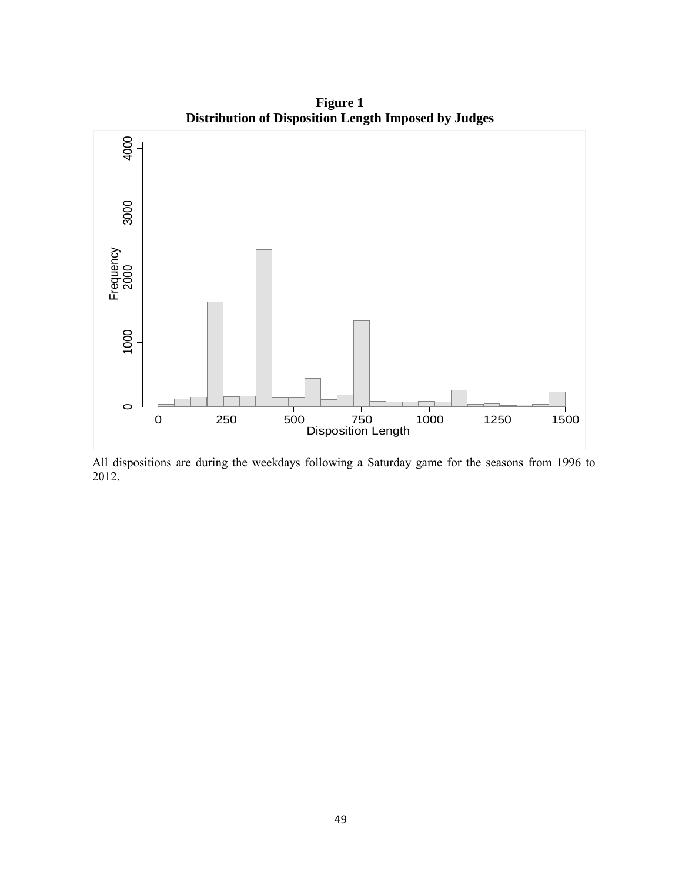

**Figure 1 Distribution of Disposition Length Imposed by Judges**

All dispositions are during the weekdays following a Saturday game for the seasons from 1996 to 2012.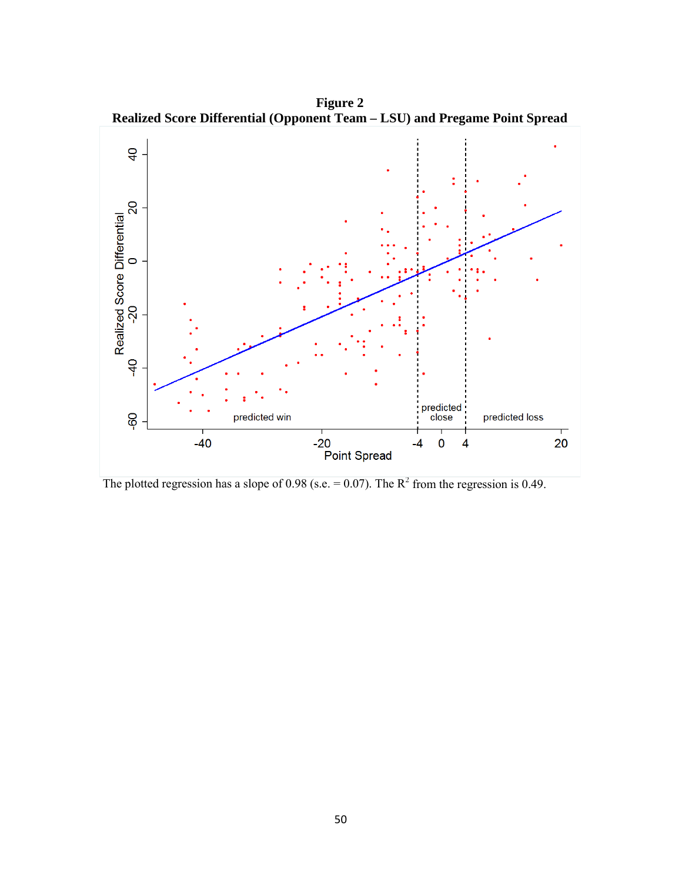

**Figure 2 Realized Score Differential (Opponent Team – LSU) and Pregame Point Spread**

The plotted regression has a slope of 0.98 (s.e.  $= 0.07$ ). The R<sup>2</sup> from the regression is 0.49.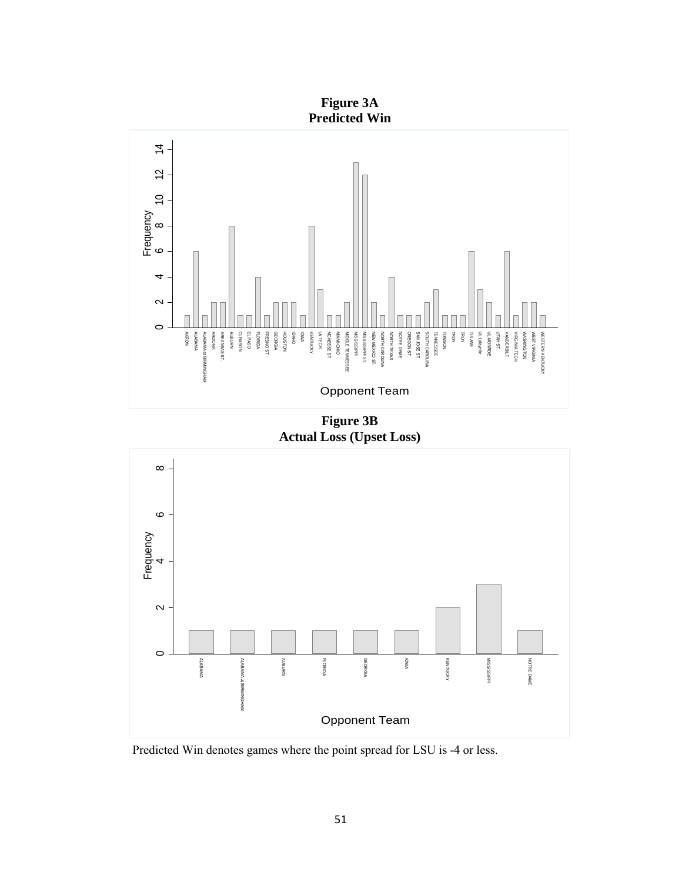**Figure 3A Predicted Win**



**Figure 3B Actual Loss (Upset Loss)**



Predicted Win denotes games where the point spread for LSU is -4 or less.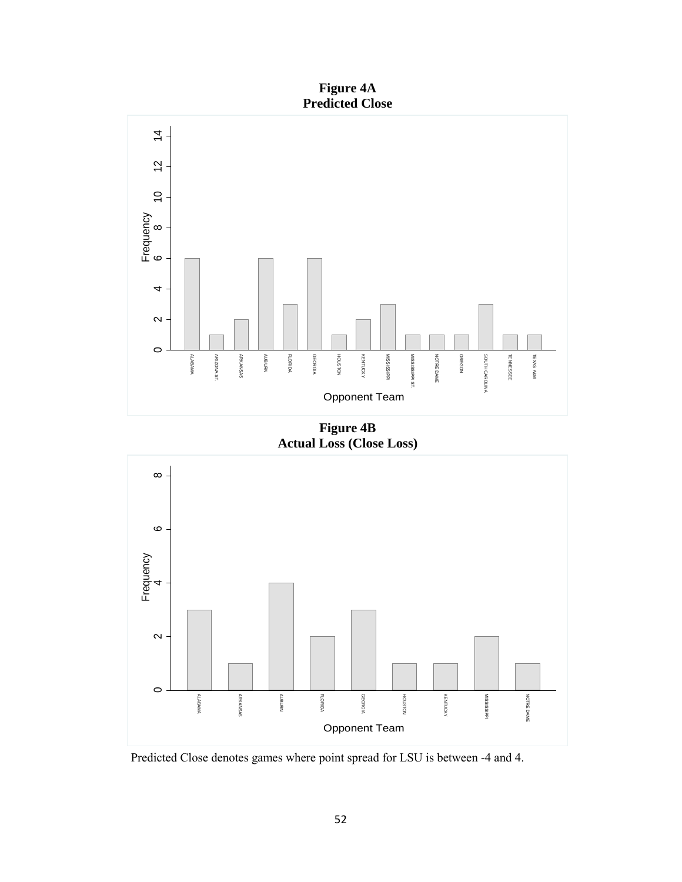**Figure 4A Predicted Close**



**Actual Loss (Close Loss)**



Predicted Close denotes games where point spread for LSU is between -4 and 4.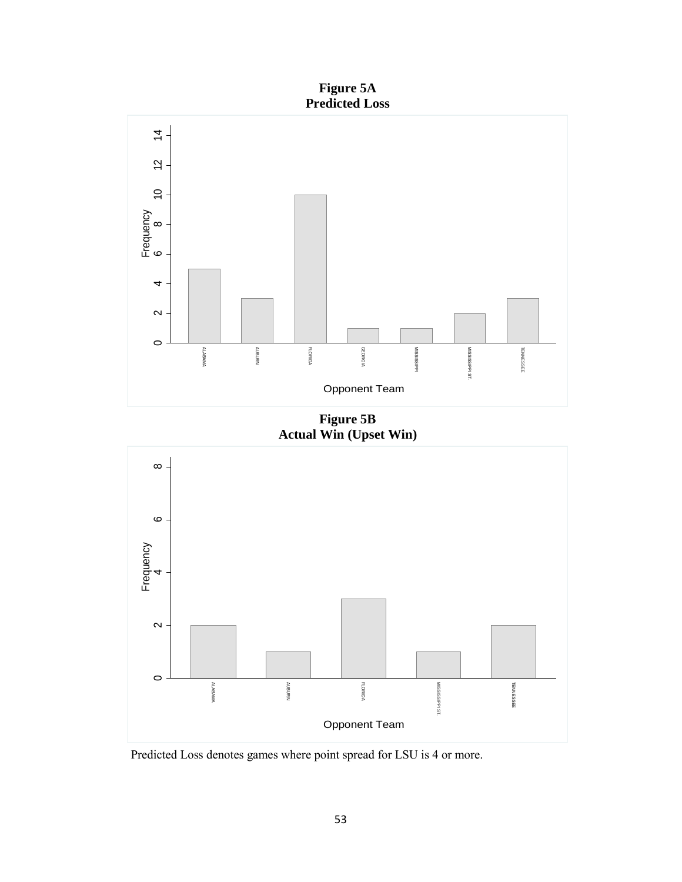



**Figure 5B Actual Win (Upset Win)**



Predicted Loss denotes games where point spread for LSU is 4 or more.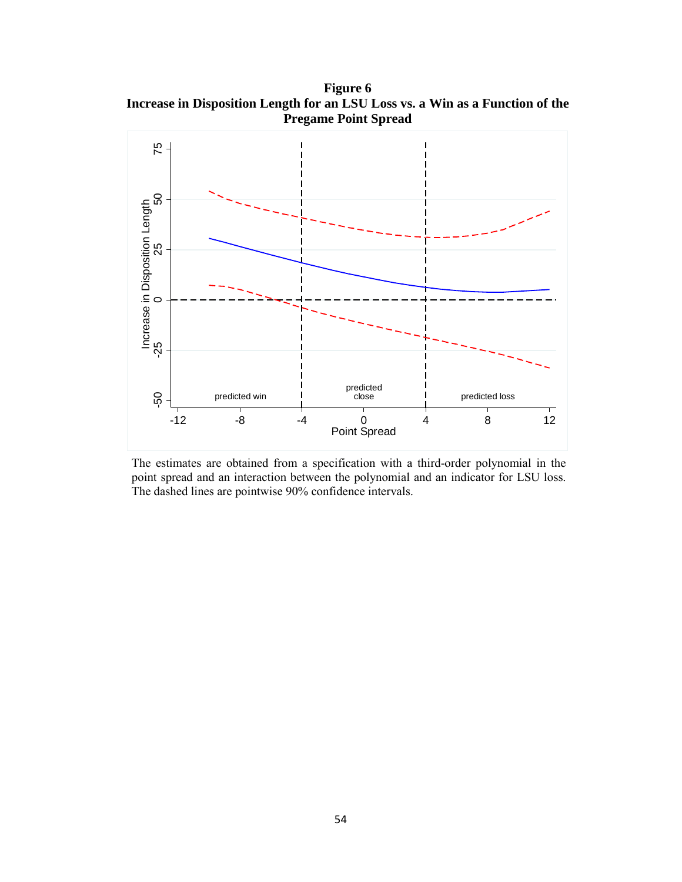**Figure 6 Increase in Disposition Length for an LSU Loss vs. a Win as a Function of the Pregame Point Spread**



The estimates are obtained from a specification with a third-order polynomial in the point spread and an interaction between the polynomial and an indicator for LSU loss. The dashed lines are pointwise 90% confidence intervals.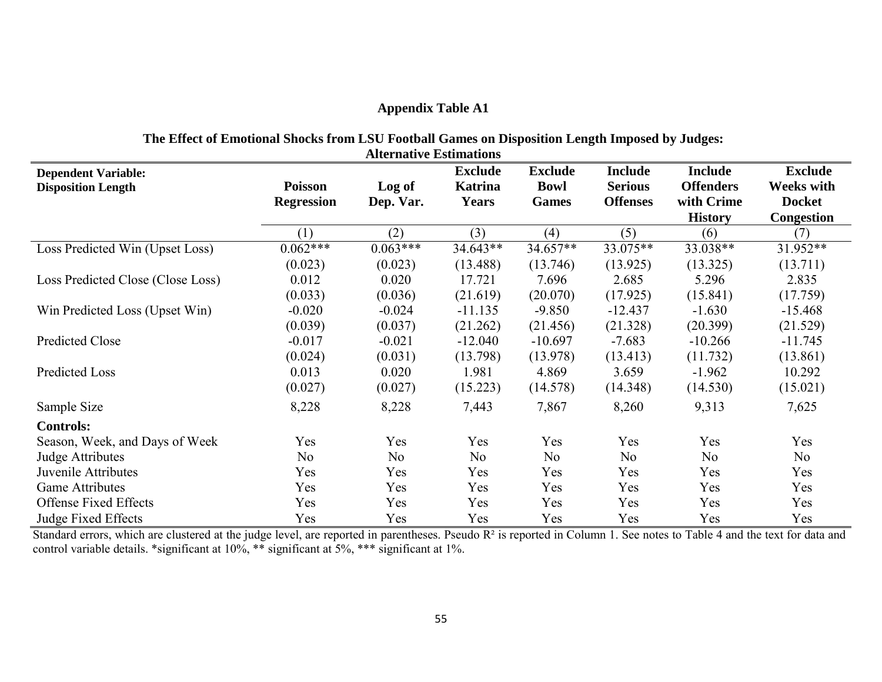# **Appendix Table A1**

# **The Effect of Emotional Shocks from LSU Football Games on Disposition Length Imposed by Judges:**

| <b>Alternative Estimations</b>                          |                                     |                     |                                                  |                                               |                                                     |                                                                    |                                                                           |
|---------------------------------------------------------|-------------------------------------|---------------------|--------------------------------------------------|-----------------------------------------------|-----------------------------------------------------|--------------------------------------------------------------------|---------------------------------------------------------------------------|
| <b>Dependent Variable:</b><br><b>Disposition Length</b> | <b>Poisson</b><br><b>Regression</b> | Log of<br>Dep. Var. | <b>Exclude</b><br><b>Katrina</b><br><b>Years</b> | <b>Exclude</b><br><b>Bowl</b><br><b>Games</b> | <b>Include</b><br><b>Serious</b><br><b>Offenses</b> | <b>Include</b><br><b>Offenders</b><br>with Crime<br><b>History</b> | <b>Exclude</b><br><b>Weeks with</b><br><b>Docket</b><br><b>Congestion</b> |
|                                                         | (1)                                 | (2)                 | (3)                                              | (4)                                           | (5)                                                 | (6)                                                                | (7)                                                                       |
| Loss Predicted Win (Upset Loss)                         | $0.062***$                          | $0.063***$          | $34.643**$                                       | $34.657**$                                    | 33.075**                                            | 33.038**                                                           | 31.952**                                                                  |
|                                                         | (0.023)                             | (0.023)             | (13.488)                                         | (13.746)                                      | (13.925)                                            | (13.325)                                                           | (13.711)                                                                  |
| Loss Predicted Close (Close Loss)                       | 0.012                               | 0.020               | 17.721                                           | 7.696                                         | 2.685                                               | 5.296                                                              | 2.835                                                                     |
|                                                         | (0.033)                             | (0.036)             | (21.619)                                         | (20.070)                                      | (17.925)                                            | (15.841)                                                           | (17.759)                                                                  |
| Win Predicted Loss (Upset Win)                          | $-0.020$                            | $-0.024$            | $-11.135$                                        | $-9.850$                                      | $-12.437$                                           | $-1.630$                                                           | $-15.468$                                                                 |
|                                                         | (0.039)                             | (0.037)             | (21.262)                                         | (21.456)                                      | (21.328)                                            | (20.399)                                                           | (21.529)                                                                  |
| Predicted Close                                         | $-0.017$                            | $-0.021$            | $-12.040$                                        | $-10.697$                                     | $-7.683$                                            | $-10.266$                                                          | $-11.745$                                                                 |
|                                                         | (0.024)                             | (0.031)             | (13.798)                                         | (13.978)                                      | (13.413)                                            | (11.732)                                                           | (13.861)                                                                  |
| Predicted Loss                                          | 0.013                               | 0.020               | 1.981                                            | 4.869                                         | 3.659                                               | $-1.962$                                                           | 10.292                                                                    |
|                                                         | (0.027)                             | (0.027)             | (15.223)                                         | (14.578)                                      | (14.348)                                            | (14.530)                                                           | (15.021)                                                                  |
| Sample Size                                             | 8,228                               | 8,228               | 7,443                                            | 7,867                                         | 8,260                                               | 9,313                                                              | 7,625                                                                     |
| <b>Controls:</b>                                        |                                     |                     |                                                  |                                               |                                                     |                                                                    |                                                                           |
| Season, Week, and Days of Week                          | Yes                                 | Yes                 | Yes                                              | Yes                                           | Yes                                                 | Yes                                                                | Yes                                                                       |
| Judge Attributes                                        | No                                  | No                  | No                                               | No                                            | N <sub>o</sub>                                      | N <sub>o</sub>                                                     | No                                                                        |
| Juvenile Attributes                                     | Yes                                 | Yes                 | Yes                                              | Yes                                           | Yes                                                 | Yes                                                                | Yes                                                                       |
| <b>Game Attributes</b>                                  | Yes                                 | Yes                 | Yes                                              | Yes                                           | Yes                                                 | Yes                                                                | Yes                                                                       |
| <b>Offense Fixed Effects</b>                            | Yes                                 | Yes                 | Yes                                              | Yes                                           | Yes                                                 | Yes                                                                | Yes                                                                       |
| Judge Fixed Effects                                     | Yes                                 | Yes                 | Yes                                              | Yes                                           | Yes                                                 | Yes                                                                | Yes                                                                       |

Standard errors, which are clustered at the judge level, are reported in parentheses. Pseudo R<sup>2</sup> is reported in Column 1. See notes to Table 4 and the text for data and control variable details. \*significant at 10%, \*\* significant at 5%, \*\*\* significant at 1%.